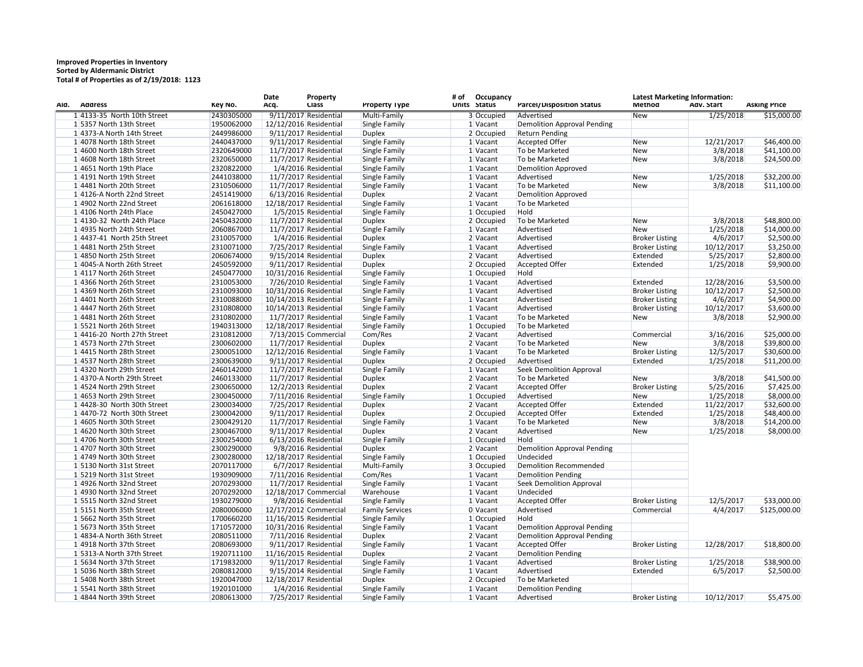## **Improved Properties in Inventory Sorted by Aldermanic District Total # of Properties as of 2/19/2018: 1123**

| Ald. | <b>Address</b>                | Key No.    | Date<br><b>Property</b><br><b>Class</b><br>Acq. |                         | <b>Property Type</b>   | # of | Occupancy<br>Units Status | <b>Parcel/Disposition Status</b>   | <b>Latest Marketing Information:</b><br>Method<br>Adv. Start |            | <b>Asking Price</b> |  |
|------|-------------------------------|------------|-------------------------------------------------|-------------------------|------------------------|------|---------------------------|------------------------------------|--------------------------------------------------------------|------------|---------------------|--|
|      | 1 4133-35 North 10th Street   | 2430305000 |                                                 | 9/11/2017 Residential   | Multi-Family           |      | 3 Occupied                | Advertised                         | New                                                          | 1/25/2018  | \$15,000.00         |  |
|      | 1 5357 North 13th Street      | 1950062000 | 12/12/2016 Residential                          |                         | Single Family          |      | 1 Vacant                  | <b>Demolition Approval Pending</b> |                                                              |            |                     |  |
|      | 1 4373-A North 14th Street    | 2449986000 |                                                 | 9/11/2017 Residential   | <b>Duplex</b>          |      | 2 Occupied                | <b>Return Pending</b>              |                                                              |            |                     |  |
|      | 1 4078 North 18th Street      | 2440437000 |                                                 | 9/11/2017 Residential   | Single Family          |      | 1 Vacant                  | <b>Accepted Offer</b>              | <b>New</b>                                                   | 12/21/2017 | \$46,400.00         |  |
|      | 14600 North 18th Street       | 2320649000 |                                                 | 11/7/2017 Residential   | Single Family          |      | 1 Vacant                  | To be Marketed                     | <b>New</b>                                                   | 3/8/2018   | \$41,100.00         |  |
|      | 1 4608 North 18th Street      | 2320650000 |                                                 | 11/7/2017 Residential   | Single Family          |      | 1 Vacant                  | To be Marketed                     | New                                                          | 3/8/2018   | \$24,500.00         |  |
|      | $1 4651$ North 19th Place     | 2320822000 |                                                 | 1/4/2016 Residential    | Single Family          |      | $1$ Vacant                | Demolition Approved                |                                                              |            |                     |  |
|      | 14191 North 19th Street       | 2441038000 |                                                 | 11/7/2017 Residential   | Single Family          |      | $1$ Vacant                | Advertised                         | <b>New</b>                                                   | 1/25/2018  | \$32,200.00         |  |
|      | 14481 North 20th Street       | 2310506000 |                                                 | 11/7/2017 Residential   | Single Family          |      | 1 Vacant                  | To be Marketed                     | <b>New</b>                                                   | 3/8/2018   | \$11,100.00         |  |
|      | 14126-A North 22nd Street     | 2451419000 |                                                 | 6/13/2016 Residential   | <b>Duplex</b>          |      | $2$ Vacant                | <b>Demolition Approved</b>         |                                                              |            |                     |  |
|      | 14902 North 22nd Street       | 2061618000 | 12/18/2017 Residential                          |                         | Single Family          |      | 1 Vacant                  | To be Marketed                     |                                                              |            |                     |  |
|      | 1 4106 North 24th Place       | 2450427000 |                                                 | 1/5/2015 Residential    | Single Family          |      | 1 Occupied                | Hold                               |                                                              |            |                     |  |
|      | 1 4130-32 North 24th Place    | 2450432000 |                                                 | 11/7/2017 Residential   | <b>Duplex</b>          |      | 2 Occupied                | To be Marketed                     | <b>New</b>                                                   | 3/8/2018   | \$48,800.00         |  |
|      | 1 4935 North 24th Street      | 2060867000 |                                                 | 11/7/2017 Residential   | Single Family          |      | 1 Vacant                  | Advertised                         | <b>New</b>                                                   | 1/25/2018  | \$14,000.00         |  |
|      | $1 4437-41$ North 25th Street | 2310057000 |                                                 | 1/4/2016 Residential    | <b>Duplex</b>          |      | 2 Vacant                  | Advertised                         | <b>Broker Listing</b>                                        | 4/6/2017   | \$2,500.00          |  |
|      | 14481 North 25th Street       | 2310071000 |                                                 | 7/25/2017 Residential   | Single Family          |      | 1 Vacant                  | Advertised                         | <b>Broker Listing</b>                                        | 10/12/2017 | \$3,250.00          |  |
|      | 14850 North 25th Street       | 2060674000 |                                                 | $9/15/2014$ Residential | <b>Duplex</b>          |      | 2 Vacant                  | Advertised                         | Extended                                                     | 5/25/2017  | \$2,800.00          |  |
|      | 1 4045-A North 26th Street    | 2450592000 |                                                 | 9/11/2017 Residential   | <b>Duplex</b>          |      | 2 Occupied                | <b>Accepted Offer</b>              | Extended                                                     | 1/25/2018  | \$9,900.00          |  |
|      | 14117 North 26th Street       | 2450477000 | 10/31/2016 Residential                          |                         | <b>Single Family</b>   |      | 1 Occupied                | Hold                               |                                                              |            |                     |  |
|      | 14366 North 26th Street       | 2310053000 |                                                 | 7/26/2010 Residential   | Single Family          |      | 1 Vacant                  | Advertised                         | Extended                                                     | 12/28/2016 | \$3,500.00          |  |
|      | 14369 North 26th Street       | 2310093000 | 10/31/2016 Residential                          |                         | Single Family          |      | $1$ Vacant                | Advertised                         | <b>Broker Listing</b>                                        | 10/12/2017 | \$2,500.00          |  |
|      | 14401 North 26th Street       | 2310088000 | 10/14/2013 Residential                          |                         | Single Family          |      | $1$ Vacant                | Advertised                         | <b>Broker Listing</b>                                        | 4/6/2017   | \$4,900.00          |  |
|      | 14447 North 26th Street       | 2310808000 | 10/14/2013 Residential                          |                         | Single Family          |      | $1$ Vacant                | Advertised                         | <b>Broker Listing</b>                                        | 10/12/2017 | \$3,600.00          |  |
|      | 14481 North 26th Street       | 2310802000 |                                                 | 11/7/2017 Residential   | Single Family          |      | $1$ Vacant                | To be Marketed                     | New                                                          | 3/8/2018   | \$2,900.00          |  |
|      |                               | 1940313000 |                                                 |                         |                        |      |                           | To be Marketed                     |                                                              |            |                     |  |
|      | 15521 North 26th Street       |            | 12/18/2017 Residential                          |                         | Single Family          |      | 1 Occupied                | Advertised                         | Commercial                                                   | 3/16/2016  |                     |  |
|      | $1 4416-20$ North 27th Street | 2310812000 |                                                 | 7/13/2015 Commercial    | Com/Res                |      | $2$ Vacant                |                                    |                                                              |            | \$25,000.00         |  |
|      | 14573 North 27th Street       | 2300602000 |                                                 | 11/7/2017 Residential   | <b>Duplex</b>          |      | $2$ Vacant                | To be Marketed                     | New                                                          | 3/8/2018   | \$39,800.00         |  |
|      | 14415 North 28th Street       | 2300051000 | 12/12/2016 Residential                          |                         | Single Family          |      | $1$ Vacant                | To be Marketed                     | <b>Broker Listing</b>                                        | 12/5/2017  | \$30,600.00         |  |
|      | 14537 North 28th Street       | 2300639000 |                                                 | 9/11/2017 Residential   | <b>Duplex</b>          |      | 2 Occupied                | Advertised                         | Extended                                                     | 1/25/2018  | \$11,200.00         |  |
|      | 1 4320 North 29th Street      | 2460142000 |                                                 | 11/7/2017 Residential   | Single Family          |      | 1 Vacant                  | <b>Seek Demolition Approval</b>    |                                                              |            |                     |  |
|      | 1 4370-A North 29th Street    | 2460133000 |                                                 | 11/7/2017 Residential   | <b>Duplex</b>          |      | 2 Vacant                  | To be Marketed                     | <b>New</b>                                                   | 3/8/2018   | \$41,500.00         |  |
|      | 14524 North 29th Street       | 2300650000 |                                                 | 12/2/2013 Residential   | <b>Duplex</b>          |      | 2 Vacant                  | <b>Accepted Offer</b>              | <b>Broker Listing</b>                                        | 5/25/2016  | \$7,425.00          |  |
|      | 14653 North 29th Street       | 2300450000 |                                                 | 7/11/2016 Residential   | <b>Single Family</b>   |      | 1 Occupied                | Advertised                         | <b>New</b>                                                   | 1/25/2018  | \$8,000.00          |  |
|      | $1 4428-30$ North 30th Street | 2300034000 |                                                 | 7/25/2017 Residential   | <b>Duplex</b>          |      | 2 Vacant                  | <b>Accepted Offer</b>              | Extended                                                     | 11/22/2017 | \$32,600.00         |  |
|      | 1 4470-72 North 30th Street   | 2300042000 |                                                 | 9/11/2017 Residential   | <b>Duplex</b>          |      | 2 Occupied                | <b>Accepted Offer</b>              | Extended                                                     | 1/25/2018  | \$48,400.00         |  |
|      | 1 4605 North 30th Street      | 2300429120 |                                                 | 11/7/2017 Residential   | Single Family          |      | $1$ Vacant                | To be Marketed                     | <b>New</b>                                                   | 3/8/2018   | \$14,200.00         |  |
|      | 14620 North 30th Street       | 2300467000 |                                                 | 9/11/2017 Residential   | <b>Duplex</b>          |      | $2$ Vacant                | Advertised                         | New                                                          | 1/25/2018  | \$8,000.00          |  |
|      | 1 4706 North 30th Street      | 2300254000 |                                                 | 6/13/2016 Residential   | Single Family          |      | $1$ Occupied              | Hold                               |                                                              |            |                     |  |
|      | 14707 North 30th Street       | 2300290000 |                                                 | 9/8/2016 Residential    | <b>Duplex</b>          |      | $2$ Vacant                | <b>Demolition Approval Pending</b> |                                                              |            |                     |  |
|      | 1 4749 North 30th Street      | 2300280000 | 12/18/2017 Residential                          |                         | Single Family          |      | $1$ Occupied              | Undecided                          |                                                              |            |                     |  |
|      | 15130 North 31st Street       | 2070117000 |                                                 | 6/7/2017 Residential    | Multi-Family           |      | 3 Occupied                | Demolition Recommended             |                                                              |            |                     |  |
|      | 1 5219 North 31st Street      | 1930909000 |                                                 | 7/11/2016 Residential   | Com/Res                |      | 1 Vacant                  | <b>Demolition Pending</b>          |                                                              |            |                     |  |
|      | 14926 North 32nd Street       | 2070293000 |                                                 | 11/7/2017 Residential   | Single Family          |      | 1 Vacant                  | Seek Demolition Approval           |                                                              |            |                     |  |
|      | 14930 North 32nd Street       | 2070292000 |                                                 | 12/18/2017 Commercial   | Warehouse              |      | 1 Vacant                  | Undecided                          |                                                              |            |                     |  |
|      | 15515 North 32nd Street       | 1930279000 |                                                 | 9/8/2016 Residential    | Single Family          |      | 1 Vacant                  | <b>Accepted Offer</b>              | <b>Broker Listing</b>                                        | 12/5/2017  | \$33,000.00         |  |
|      | 15151 North 35th Street       | 2080006000 |                                                 | 12/17/2012 Commercial   | <b>Family Services</b> |      | 0 Vacant                  | Advertised                         | Commercial                                                   | 4/4/2017   | \$125,000.00        |  |
|      | 15662 North 35th Street       | 1700660200 | 11/16/2015 Residential                          |                         | Single Family          |      | 1 Occupied                | Hold                               |                                                              |            |                     |  |
|      | 15673 North 35th Street       | 1710572000 | 10/31/2016 Residential                          |                         | Single Family          |      | 1 Vacant                  | <b>Demolition Approval Pending</b> |                                                              |            |                     |  |
|      | 1 4834-A North 36th Street    | 2080511000 |                                                 | 7/11/2016 Residential   | <b>Duplex</b>          |      | 2 Vacant                  | <b>Demolition Approval Pending</b> |                                                              |            |                     |  |
|      | 14918 North 37th Street       | 2080693000 |                                                 | 9/11/2017 Residential   | Single Family          |      | 1 Vacant                  | <b>Accepted Offer</b>              | <b>Broker Listing</b>                                        | 12/28/2017 | \$18,800.00         |  |
|      | 15313-A North 37th Street     | 1920711100 | 11/16/2015 Residential                          |                         | <b>Duplex</b>          |      | 2 Vacant                  | <b>Demolition Pending</b>          |                                                              |            |                     |  |
|      | 1 5634 North 37th Street      | 1719832000 |                                                 | 9/11/2017 Residential   | Single Family          |      | 1 Vacant                  | Advertised                         | <b>Broker Listing</b>                                        | 1/25/2018  | \$38,900.00         |  |
|      | 1 5036 North 38th Street      | 2080812000 |                                                 | 9/15/2014 Residential   | Single Family          |      | 1 Vacant                  | Advertised                         | Extended                                                     | 6/5/2017   | \$2,500.00          |  |
|      | 1 5408 North 38th Street      | 1920047000 | 12/18/2017 Residential                          |                         | <b>Duplex</b>          |      | 2 Occupied                | To be Marketed                     |                                                              |            |                     |  |
|      | 1 5541 North 38th Street      | 1920101000 |                                                 | 1/4/2016 Residential    | Single Family          |      | $1$ Vacant                | Demolition Pending                 |                                                              |            |                     |  |
|      | 1 4844 North 39th Street      | 2080613000 |                                                 | 7/25/2017 Residential   | Single Family          |      | 1 Vacant                  | Advertised                         | <b>Broker Listing</b>                                        | 10/12/2017 | \$5,475.00          |  |
|      |                               |            |                                                 |                         |                        |      |                           |                                    |                                                              |            |                     |  |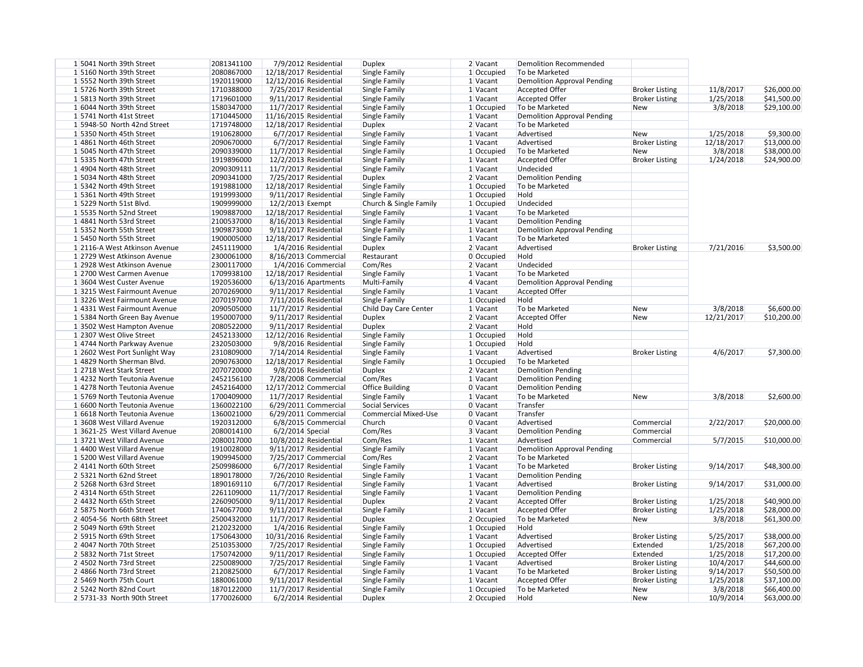| 1 5041 North 39th Street      | 2081341100 | 7/9/2012 Residential    | <b>Duplex</b>          | 2 Vacant     | <b>Demolition Recommended</b>      |                       |            |             |
|-------------------------------|------------|-------------------------|------------------------|--------------|------------------------------------|-----------------------|------------|-------------|
| 1 5160 North 39th Street      | 2080867000 | 12/18/2017 Residential  | Single Family          | 1 Occupied   | To be Marketed                     |                       |            |             |
| 1 5552 North 39th Street      | 1920119000 | 12/12/2016 Residential  | Single Family          | $1$ Vacant   | <b>Demolition Approval Pending</b> |                       |            |             |
| 15726 North 39th Street       | 1710388000 | 7/25/2017 Residential   | Single Family          | $1$ Vacant   | Accepted Offer                     | <b>Broker Listing</b> | 11/8/2017  | \$26,000.00 |
| 1 5813 North 39th Street      | 1719601000 | 9/11/2017 Residential   | Single Family          | 1 Vacant     | <b>Accepted Offer</b>              | <b>Broker Listing</b> | 1/25/2018  | \$41,500.00 |
| 1 6044 North 39th Street      | 1580347000 | $11/7/2017$ Residential | Single Family          | 1 Occupied   | To be Marketed                     | <b>New</b>            | 3/8/2018   | \$29,100.00 |
| 1 5741 North 41st Street      | 1710445000 | 11/16/2015 Residential  | Single Family          | 1 Vacant     | <b>Demolition Approval Pending</b> |                       |            |             |
| 1 5948-50 North 42nd Street   | 1719748000 | 12/18/2017 Residential  | <b>Duplex</b>          | 2 Vacant     | To be Marketed                     |                       |            |             |
| 1 5350 North 45th Street      | 1910628000 | 6/7/2017 Residential    | Single Family          | 1 Vacant     | Advertised                         | <b>New</b>            | 1/25/2018  | \$9,300.00  |
| 14861 North 46th Street       | 2090670000 | 6/7/2017 Residential    | Single Family          | 1 Vacant     | Advertised                         | <b>Broker Listing</b> | 12/18/2017 | \$13,000.00 |
| 1 5045 North 47th Street      | 2090339000 | 11/7/2017 Residential   | Single Family          | $1$ Occupied | To be Marketed                     | <b>New</b>            | 3/8/2018   | \$38,000.00 |
| 1 5335 North 47th Street      | 1919896000 | 12/2/2013 Residential   | Single Family          | $1$ Vacant   | <b>Accepted Offer</b>              | <b>Broker Listing</b> | 1/24/2018  | \$24,900.00 |
| 1 4904 North 48th Street      | 2090309111 | 11/7/2017 Residential   | Single Family          | 1 Vacant     | Undecided                          |                       |            |             |
| 1 5034 North 48th Street      | 2090341000 | 7/25/2017 Residential   | <b>Duplex</b>          | 2 Vacant     | <b>Demolition Pending</b>          |                       |            |             |
| 1 5342 North 49th Street      | 1919881000 | 12/18/2017 Residential  | Single Family          | $1$ Occupied | To be Marketed                     |                       |            |             |
| 1 5361 North 49th Street      | 1919993000 | 9/11/2017 Residential   | Single Family          | 1 Occupied   | Hold                               |                       |            |             |
| 1 5229 North 51st Blvd.       | 1909999000 | 12/2/2013 Exempt        | Church & Single Family | 1 Occupied   | Undecided                          |                       |            |             |
| 1 5535 North 52nd Street      | 1909887000 | 12/18/2017 Residential  | Single Family          | $1$ Vacant   | To be Marketed                     |                       |            |             |
| 1 4841 North 53rd Street      | 2100537000 | 8/16/2013 Residential   | Single Family          | 1 Vacant     | <b>Demolition Pending</b>          |                       |            |             |
| 1 5352 North 55th Street      | 1909873000 | 9/11/2017 Residential   | Single Family          | $1$ Vacant   | <b>Demolition Approval Pending</b> |                       |            |             |
| 1 5450 North 55th Street      | 1900005000 | 12/18/2017 Residential  | Single Family          | 1 Vacant     | To be Marketed                     |                       |            |             |
| 1 2116-A West Atkinson Avenue | 2451119000 | 1/4/2016 Residential    | <b>Duplex</b>          | 2 Vacant     | Advertised                         | <b>Broker Listing</b> | 7/21/2016  | \$3,500.00  |
| 1 2729 West Atkinson Avenue   | 2300061000 | 8/16/2013 Commercial    | Restaurant             | 0 Occupied   | Hold                               |                       |            |             |
| 1 2928 West Atkinson Avenue   | 2300117000 |                         |                        |              | Undecided                          |                       |            |             |
|                               |            | 1/4/2016 Commercial     | Com/Res                | 2 Vacant     |                                    |                       |            |             |
| 1 2700 West Carmen Avenue     | 1709938100 | 12/18/2017 Residential  | Single Family          | 1 Vacant     | To be Marketed                     |                       |            |             |
| 13604 West Custer Avenue      | 1920536000 | $6/13/2016$ Apartments  | Multi-Family           | 4 Vacant     | <b>Demolition Approval Pending</b> |                       |            |             |
| 13215 West Fairmount Avenue   | 2070269000 | 9/11/2017 Residential   | Single Family          | 1 Vacant     | <b>Accepted Offer</b>              |                       |            |             |
| 13226 West Fairmount Avenue   | 2070197000 | 7/11/2016 Residential   | Single Family          | 1 Occupied   | Hold                               |                       |            |             |
| 1 4331 West Fairmount Avenue  | 2090505000 | 11/7/2017 Residential   | Child Day Care Center  | 1 Vacant     | To be Marketed                     | <b>New</b>            | 3/8/2018   | \$6,600.00  |
| 1 5384 North Green Bay Avenue | 1950007000 | 9/11/2017 Residential   | <b>Duplex</b>          | 2 Vacant     | <b>Accepted Offer</b>              | <b>New</b>            | 12/21/2017 | \$10,200.00 |
| 13502 West Hampton Avenue     | 2080522000 | 9/11/2017 Residential   | <b>Duplex</b>          | 2 Vacant     | Hold                               |                       |            |             |
| 1 2307 West Olive Street      | 2452133000 | 12/12/2016 Residential  | Single Family          | 1 Occupied   | Hold                               |                       |            |             |
| 1 4744 North Parkway Avenue   | 2320503000 | 9/8/2016 Residential    | Single Family          | 1 Occupied   | Hold                               |                       |            |             |
| 1 2602 West Port Sunlight Way | 2310809000 | 7/14/2014 Residential   | Single Family          | 1 Vacant     | Advertised                         | <b>Broker Listing</b> | 4/6/2017   | \$7,300.00  |
| 1 4829 North Sherman Blvd.    | 2090763000 | 12/18/2017 Residential  | Single Family          | 1 Occupied   | To be Marketed                     |                       |            |             |
| 1 2718 West Stark Street      | 2070720000 | 9/8/2016 Residential    | <b>Duplex</b>          | 2 Vacant     | Demolition Pending                 |                       |            |             |
| 1 4232 North Teutonia Avenue  | 2452156100 | 7/28/2008 Commercial    | Com/Res                | 1 Vacant     | Demolition Pending                 |                       |            |             |
| 1 4278 North Teutonia Avenue  | 2452164000 | 12/17/2012 Commercial   | <b>Office Building</b> | 0 Vacant     | <b>Demolition Pending</b>          |                       |            |             |
| 15769 North Teutonia Avenue   | 1700409000 | 11/7/2017 Residential   | Single Family          | 1 Vacant     | To be Marketed                     | <b>New</b>            | 3/8/2018   | \$2,600.00  |
| 1 6600 North Teutonia Avenue  | 1360022100 | $6/29/2011$ Commercial  | Social Services        | 0 Vacant     | Transfer                           |                       |            |             |
| 1 6618 North Teutonia Avenue  | 1360021000 | $6/29/2011$ Commercial  | Commercial Mixed-Use   | 0 Vacant     | Transfer                           |                       |            |             |
| 1 3608 West Villard Avenue    | 1920312000 | 6/8/2015 Commercial     | Church                 | 0 Vacant     | Advertised                         | Commercial            | 2/22/2017  | \$20,000.00 |
| 13621-25 West Villard Avenue  | 2080014100 | $6/2/2014$ Special      | Com/Res                | 3 Vacant     | <b>Demolition Pending</b>          | Commercial            |            |             |
| 13721 West Villard Avenue     | 2080017000 | 10/8/2012 Residential   | Com/Res                | $1$ Vacant   | Advertised                         | Commercial            | 5/7/2015   | \$10,000.00 |
| 1 4400 West Villard Avenue    | 1910028000 | $9/11/2017$ Residential | Single Family          | $1$ Vacant   | <b>Demolition Approval Pending</b> |                       |            |             |
| 1 5200 West Villard Avenue    | 1909945000 | 7/25/2017 Commercial    | Com/Res                | 2 Vacant     | To be Marketed                     |                       |            |             |
| 24141 North 60th Street       | 2509986000 | 6/7/2017 Residential    | Single Family          | $1$ Vacant   | To be Marketed                     | <b>Broker Listing</b> | 9/14/2017  | \$48,300.00 |
| 2 5321 North 62nd Street      | 1890178000 | 7/26/2010 Residential   | Single Family          | $1$ Vacant   | <b>Demolition Pending</b>          |                       |            |             |
| 2 5268 North 63rd Street      | 1890169110 | 6/7/2017 Residential    | Single Family          | $1$ Vacant   | Advertised                         | <b>Broker Listing</b> | 9/14/2017  | \$31,000.00 |
| 2 4314 North 65th Street      | 2261109000 | 11/7/2017 Residential   | Single Family          | $1$ Vacant   | <b>Demolition Pending</b>          |                       |            |             |
| 24432 North 65th Street       | 2260905000 | 9/11/2017 Residential   | <b>Duplex</b>          | 2 Vacant     | <b>Accepted Offer</b>              | <b>Broker Listing</b> | 1/25/2018  | \$40,900.00 |
| 2 5875 North 66th Street      | 1740677000 | 9/11/2017 Residential   | Single Family          | $1$ Vacant   | <b>Accepted Offer</b>              | <b>Broker Listing</b> | 1/25/2018  | \$28,000.00 |
| 2 4054-56 North 68th Street   | 2500432000 | 11/7/2017 Residential   | <b>Duplex</b>          | 2 Occupied   | To be Marketed                     | <b>New</b>            | 3/8/2018   | \$61,300.00 |
| 2 5049 North 69th Street      | 2120232000 | 1/4/2016 Residential    | Single Family          | 1 Occupied   | Hold                               |                       |            |             |
| 2 5915 North 69th Street      | 1750643000 | 10/31/2016 Residential  | Single Family          | 1 Vacant     | Advertised                         | <b>Broker Listing</b> | 5/25/2017  | \$38,000.00 |
| 2 4047 North 70th Street      | 2510353000 |                         |                        |              | Advertised                         | Extended              | 1/25/2018  |             |
| 2 5832 North 71st Street      | 1750742000 | 7/25/2017 Residential   | Single Family          | 1 Occupied   | Accepted Offer                     | Extended              |            | \$67,200.00 |
|                               |            | 9/11/2017 Residential   | Single Family          | 1 Occupied   |                                    |                       | 1/25/2018  | \$17,200.00 |
| 2 4502 North 73rd Street      | 2250089000 | 7/25/2017 Residential   | Single Family          | 1 Vacant     | Advertised                         | <b>Broker Listing</b> | 10/4/2017  | \$44,600.00 |
| 2 4866 North 73rd Street      | 2120825000 | 6/7/2017 Residential    | Single Family          | 1 Vacant     | To be Marketed                     | <b>Broker Listing</b> | 9/14/2017  | \$50,500.00 |
| 2 5469 North 75th Court       | 1880061000 | 9/11/2017 Residential   | Single Family          | 1 Vacant     | <b>Accepted Offer</b>              | <b>Broker Listing</b> | 1/25/2018  | \$37,100.00 |
| 2 5242 North 82nd Court       | 1870122000 | 11/7/2017 Residential   | Single Family          | 1 Occupied   | To be Marketed                     | New                   | 3/8/2018   | \$66,400.00 |
| 2 5731-33 North 90th Street   | 1770026000 | 6/2/2014 Residential    | <b>Duplex</b>          | 2 Occupied   | Hold                               | <b>New</b>            | 10/9/2014  | \$63,000.00 |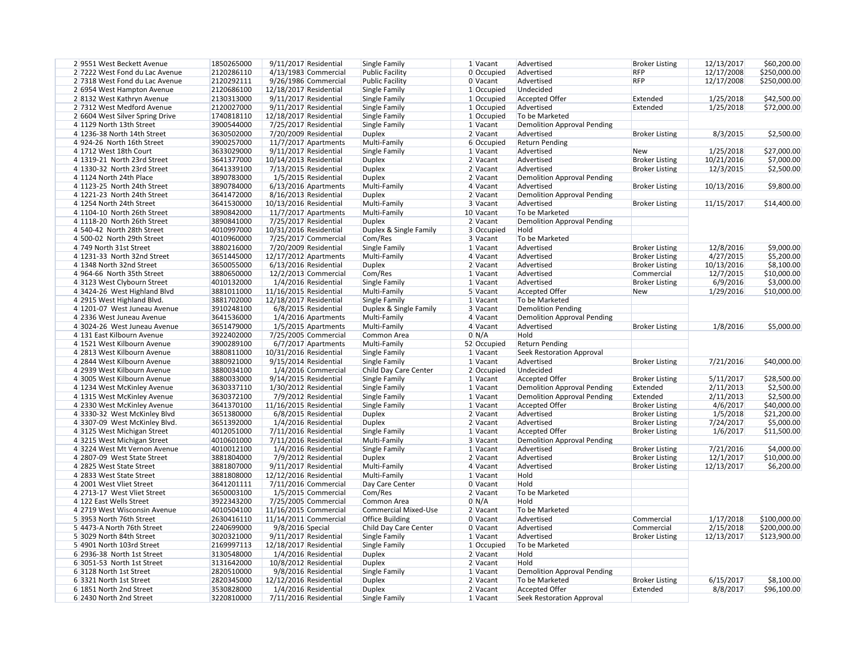| 29551 West Beckett Avenue       | 1850265000 |                  | 9/11/2017 Residential   | Single Family          | 1 Vacant     | Advertised                         | <b>Broker Listing</b> | 12/13/2017 | \$60,200.00  |
|---------------------------------|------------|------------------|-------------------------|------------------------|--------------|------------------------------------|-----------------------|------------|--------------|
| 2 7222 West Fond du Lac Avenue  | 2120286110 |                  | 4/13/1983 Commercial    | <b>Public Facility</b> | 0 Occupied   | Advertised                         | <b>RFP</b>            | 12/17/2008 | \$250,000.00 |
| 2 7318 West Fond du Lac Avenue  | 2120292111 |                  | 9/26/1986 Commercial    | <b>Public Facility</b> | 0 Vacant     | Advertised                         | <b>RFP</b>            | 12/17/2008 | \$250,000.00 |
| 2 6954 West Hampton Avenue      | 2120686100 |                  | 12/18/2017 Residential  | Single Family          | $1$ Occupied | Undecided                          |                       |            |              |
| 28132 West Kathryn Avenue       | 2130313000 |                  | 9/11/2017 Residential   | Single Family          | 1 Occupied   | <b>Accepted Offer</b>              | Extended              | 1/25/2018  | \$42,500.00  |
| 2 7312 West Medford Avenue      | 2120027000 |                  |                         |                        | 1 Occupied   | Advertised                         | Extended              | 1/25/2018  |              |
|                                 |            |                  | $9/11/2017$ Residential | Single Family          |              |                                    |                       |            | \$72,000.00  |
| 2 6604 West Silver Spring Drive | 1740818110 |                  | 12/18/2017 Residential  | Single Family          | 1 Occupied   | To be Marketed                     |                       |            |              |
| 4 1129 North 13th Street        | 3900544000 |                  | 7/25/2017 Residential   | Single Family          | 1 Vacant     | <b>Demolition Approval Pending</b> |                       |            |              |
| 4 1236-38 North 14th Street     | 3630502000 |                  | 7/20/2009 Residential   | <b>Duplex</b>          | 2 Vacant     | Advertised                         | <b>Broker Listing</b> | 8/3/2015   | \$2,500.00   |
| 4924-26 North 16th Street       | 3900257000 |                  | 11/7/2017 Apartments    | Multi-Family           | 6 Occupied   | <b>Return Pending</b>              |                       |            |              |
| 4 1712 West 18th Court          | 3633029000 |                  | 9/11/2017 Residential   | Single Family          | 1 Vacant     | Advertised                         | <b>New</b>            | 1/25/2018  | \$27,000.00  |
| 4 1319-21 North 23rd Street     | 3641377000 |                  | 10/14/2013 Residential  | <b>Duplex</b>          | $2$ Vacant   | Advertised                         | <b>Broker Listing</b> | 10/21/2016 | \$7,000.00   |
| 4 1330-32 North 23rd Street     | 3641339100 |                  | 7/13/2015 Residential   | <b>Duplex</b>          | $2$ Vacant   | Advertised                         | <b>Broker Listing</b> | 12/3/2015  | \$2,500.00   |
| 4 1124 North 24th Place         | 3890783000 |                  | 1/5/2015 Residential    | <b>Duplex</b>          | 2 Vacant     | <b>Demolition Approval Pending</b> |                       |            |              |
| 4 1123-25 North 24th Street     | 3890784000 |                  | 6/13/2016 Apartments    | Multi-Family           | 4 Vacant     | Advertised                         | <b>Broker Listing</b> | 10/13/2016 | \$9,800.00   |
| 4 1221-23 North 24th Street     | 3641472000 |                  | 8/16/2013 Residential   | <b>Duplex</b>          | $2$ Vacant   | <b>Demolition Approval Pending</b> |                       |            |              |
| 4 1254 North 24th Street        | 3641530000 |                  | 10/13/2016 Residential  | Multi-Family           | 3 Vacant     | Advertised                         | <b>Broker Listing</b> | 11/15/2017 | \$14,400.00  |
| 4 1104-10 North 26th Street     | 3890842000 |                  | 11/7/2017 Apartments    | Multi-Family           | 10 Vacant    | To be Marketed                     |                       |            |              |
| 4 1118-20 North 26th Street     | 3890841000 |                  | 7/25/2017 Residential   | <b>Duplex</b>          | 2 Vacant     | <b>Demolition Approval Pending</b> |                       |            |              |
| 4 540-42 North 28th Street      | 4010997000 |                  | 10/31/2016 Residential  | Duplex & Single Family | 3 Occupied   | Hold                               |                       |            |              |
| 4 500-02 North 29th Street      | 4010960000 |                  | 7/25/2017 Commercial    | Com/Res                | 3 Vacant     | To be Marketed                     |                       |            |              |
|                                 |            |                  |                         |                        |              |                                    |                       |            |              |
| 4 749 North 31st Street         | 3880216000 |                  | 7/20/2009 Residential   | Single Family          | 1 Vacant     | Advertised                         | <b>Broker Listing</b> | 12/8/2016  | \$9,000.00   |
| 4 1231-33 North 32nd Street     | 3651445000 |                  | 12/17/2012 Apartments   | Multi-Family           | 4 Vacant     | Advertised                         | <b>Broker Listing</b> | 4/27/2015  | \$5,200.00   |
| 4 1348 North 32nd Street        | 3650055000 |                  | 6/13/2016 Residential   | <b>Duplex</b>          | 2 Vacant     | Advertised                         | <b>Broker Listing</b> | 10/13/2016 | \$8,100.00   |
| 4 964-66 North 35th Street      | 3880650000 |                  | 12/2/2013 Commercial    | Com/Res                | 1 Vacant     | Advertised                         | Commercial            | 12/7/2015  | \$10,000.00  |
| 43123 West Clybourn Street      | 4010132000 |                  | 1/4/2016 Residential    | Single Family          | 1 Vacant     | Advertised                         | <b>Broker Listing</b> | 6/9/2016   | \$3,000.00   |
| 4 3424-26 West Highland Blvd    | 3881011000 |                  | 11/16/2015 Residential  | Multi-Family           | 5 Vacant     | <b>Accepted Offer</b>              | New                   | 1/29/2016  | \$10,000.00  |
| 4 2915 West Highland Blvd.      | 3881702000 |                  | 12/18/2017 Residential  | Single Family          | 1 Vacant     | To be Marketed                     |                       |            |              |
| 4 1201-07 West Juneau Avenue    | 3910248100 |                  | 6/8/2015 Residential    | Duplex & Single Family | 3 Vacant     | <b>Demolition Pending</b>          |                       |            |              |
| 4 2336 West Juneau Avenue       | 3641536000 |                  | 1/4/2016 Apartments     | Multi-Family           | 4 Vacant     | <b>Demolition Approval Pending</b> |                       |            |              |
| 4 3024-26 West Juneau Avenue    | 3651479000 |                  | 1/5/2015 Apartments     | Multi-Family           | 4 Vacant     | Advertised                         | <b>Broker Listing</b> | 1/8/2016   | \$5,000.00   |
| 4 131 East Kilbourn Avenue      | 3922402000 |                  | 7/25/2005 Commercial    | Common Area            | $0 \mid N/A$ | Hold                               |                       |            |              |
| 4 1521 West Kilbourn Avenue     | 3900289100 |                  | $6/7/2017$ Apartments   | Multi-Family           | 52 Occupied  | <b>Return Pending</b>              |                       |            |              |
| 4 2813 West Kilbourn Avenue     | 3880811000 |                  | 10/31/2016 Residential  | Single Family          | 1 Vacant     | <b>Seek Restoration Approval</b>   |                       |            |              |
| 4 2844 West Kilbourn Avenue     | 3880921000 |                  | 9/15/2014 Residential   | Single Family          | 1 Vacant     | Advertised                         | <b>Broker Listing</b> | 7/21/2016  | \$40,000.00  |
| 4 2939 West Kilbourn Avenue     | 3880034100 |                  | 1/4/2016 Commercial     | Child Day Care Center  | 2 Occupied   | Undecided                          |                       |            |              |
| 4 3005 West Kilbourn Avenue     | 3880033000 |                  | 9/14/2015 Residential   | Single Family          | 1 Vacant     | <b>Accepted Offer</b>              | <b>Broker Listing</b> | 5/11/2017  | \$28,500.00  |
| 4 1234 West McKinley Avenue     | 3630337110 |                  | 1/30/2012 Residential   | Single Family          | $1$ Vacant   | <b>Demolition Approval Pending</b> | Extended              | 2/11/2013  | \$2,500.00   |
|                                 |            |                  |                         |                        |              |                                    |                       |            |              |
| 4 1315 West McKinley Avenue     | 3630372100 |                  | 7/9/2012 Residential    | Single Family          | 1 Vacant     | <b>Demolition Approval Pending</b> | Extended              | 2/11/2013  | \$2,500.00   |
| 4 2330 West McKinley Avenue     | 3641370100 |                  | 11/16/2015 Residential  | Single Family          | 1 Vacant     | <b>Accepted Offer</b>              | <b>Broker Listing</b> | 4/6/2017   | \$40,000.00  |
| 4 3330-32 West McKinley Blvd    | 3651380000 |                  | 6/8/2015 Residential    | <b>Duplex</b>          | 2 Vacant     | Advertised                         | <b>Broker Listing</b> | 1/5/2018   | \$21,200.00  |
| 4 3307-09 West McKinley Blvd.   | 3651392000 |                  | 1/4/2016 Residential    | <b>Duplex</b>          | 2 Vacant     | Advertised                         | <b>Broker Listing</b> | 7/24/2017  | \$5,000.00   |
| 43125 West Michigan Street      | 4012051000 |                  | 7/11/2016 Residential   | Single Family          | 1 Vacant     | <b>Accepted Offer</b>              | <b>Broker Listing</b> | 1/6/2017   | \$11,500.00  |
| 43215 West Michigan Street      | 4010601000 |                  | 7/11/2016 Residential   | Multi-Family           | 3 Vacant     | <b>Demolition Approval Pending</b> |                       |            |              |
| 4 3224 West Mt Vernon Avenue    | 4010012100 |                  | 1/4/2016 Residential    | Single Family          | 1 Vacant     | Advertised                         | <b>Broker Listing</b> | 7/21/2016  | \$4,000.00   |
| 4 2807-09 West State Street     | 3881804000 |                  | 7/9/2012 Residential    | <b>Duplex</b>          | 2 Vacant     | Advertised                         | <b>Broker Listing</b> | 12/1/2017  | \$10,000.00  |
| 4 2825 West State Street        | 3881807000 |                  | 9/11/2017 Residential   | Multi-Family           | 4 Vacant     | Advertised                         | <b>Broker Listing</b> | 12/13/2017 | \$6,200.00   |
| 4 2833 West State Street        | 3881808000 |                  | 12/12/2016 Residential  | Multi-Family           | 1 Vacant     | Hold                               |                       |            |              |
| 4 2001 West Vliet Street        | 3641201111 |                  | 7/11/2016 Commercial    | Day Care Center        | 0 Vacant     | Hold                               |                       |            |              |
| 4 2713-17 West Vliet Street     | 3650003100 |                  | 1/5/2015 Commercial     | Com/Res                | 2 Vacant     | To be Marketed                     |                       |            |              |
| 4 122 East Wells Street         | 3922343200 |                  | 7/25/2005 Commercial    | Common Area            | 0 N/A        | Hold                               |                       |            |              |
| 4 2719 West Wisconsin Avenue    | 4010504100 |                  | 11/16/2015 Commercial   | Commercial Mixed-Use   | 2 Vacant     | To be Marketed                     |                       |            |              |
| 5 3953 North 76th Street        | 2630416110 |                  | 11/14/2011 Commercial   | <b>Office Building</b> | 0 Vacant     | Advertised                         | Commercial            | 1/17/2018  | \$100,000.00 |
| 5 4473-A North 76th Street      | 2240699000 |                  |                         |                        |              | Advertised                         | Commercial            |            |              |
|                                 |            | 9/8/2016 Special |                         | Child Day Care Center  | 0 Vacant     |                                    |                       | 2/15/2018  | \$200,000.00 |
| 5 3029 North 84th Street        | 3020321000 |                  | 9/11/2017 Residential   | Single Family          | 1 Vacant     | Advertised                         | <b>Broker Listing</b> | 12/13/2017 | \$123,900.00 |
| 5 4901 North 103rd Street       | 2169997113 |                  | 12/18/2017 Residential  | Single Family          | 1 Occupied   | To be Marketed                     |                       |            |              |
| 6 2936-38 North 1st Street      | 3130548000 |                  | 1/4/2016 Residential    | <b>Duplex</b>          | 2 Vacant     | Hold                               |                       |            |              |
| 6 3051-53 North 1st Street      | 3131642000 |                  | 10/8/2012 Residential   | <b>Duplex</b>          | 2 Vacant     | Hold                               |                       |            |              |
| 6 3128 North 1st Street         | 2820510000 |                  | 9/8/2016 Residential    | Single Family          | 1 Vacant     | <b>Demolition Approval Pending</b> |                       |            |              |
| 6 3321 North 1st Street         | 2820345000 |                  | 12/12/2016 Residential  | <b>Duplex</b>          | 2 Vacant     | To be Marketed                     | <b>Broker Listing</b> | 6/15/2017  | \$8,100.00   |
| 6 1851 North 2nd Street         | 3530828000 |                  | 1/4/2016 Residential    | <b>Duplex</b>          | 2 Vacant     | <b>Accepted Offer</b>              | Extended              | 8/8/2017   | \$96,100.00  |
| 6 2430 North 2nd Street         | 3220810000 |                  | 7/11/2016 Residential   | Single Family          | 1 Vacant     | <b>Seek Restoration Approval</b>   |                       |            |              |
|                                 |            |                  |                         |                        |              |                                    |                       |            |              |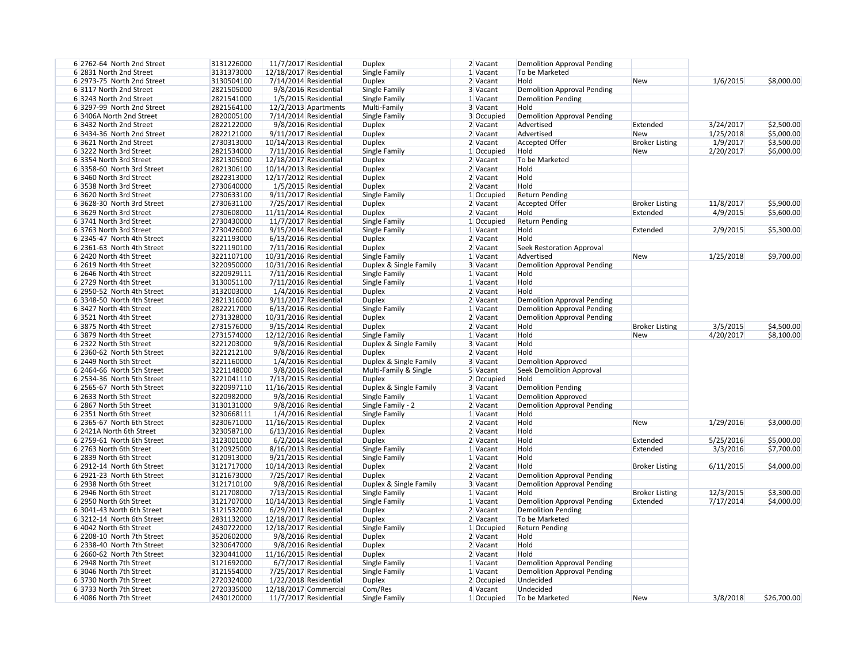| 6 2762-64 North 2nd Street | 3131226000 |                        | 11/7/2017 Residential   | <b>Duplex</b>          | 2 Vacant   | <b>Demolition Approval Pending</b> |                       |           |             |
|----------------------------|------------|------------------------|-------------------------|------------------------|------------|------------------------------------|-----------------------|-----------|-------------|
| 6 2831 North 2nd Street    | 3131373000 | 12/18/2017 Residential |                         | Single Family          | $1$ Vacant | To be Marketed                     |                       |           |             |
| 6 2973-75 North 2nd Street | 3130504100 |                        | 7/14/2014 Residential   | <b>Duplex</b>          | 2 Vacant   | Hold                               | New                   | 1/6/2015  | \$8,000.00  |
| 6 3117 North 2nd Street    | 2821505000 |                        | 9/8/2016 Residential    | Single Family          | 3 Vacant   | <b>Demolition Approval Pending</b> |                       |           |             |
| 6 3243 North 2nd Street    | 2821541000 |                        | 1/5/2015 Residential    | Single Family          | $1$ Vacant | <b>Demolition Pending</b>          |                       |           |             |
| 6 3297-99 North 2nd Street | 2821564100 |                        | $12/2/2013$ Apartments  | Multi-Family           | 3 Vacant   | Hold                               |                       |           |             |
| 6 3406A North 2nd Street   | 2820005100 |                        | 7/14/2014 Residential   | Single Family          | 3 Occupied | <b>Demolition Approval Pending</b> |                       |           |             |
| 6 3432 North 2nd Street    | 2822122000 |                        | 9/8/2016 Residential    | <b>Duplex</b>          | 2 Vacant   | Advertised                         | Extended              | 3/24/2017 | \$2,500.00  |
| 6 3434-36 North 2nd Street | 2822121000 |                        | 9/11/2017 Residential   | <b>Duplex</b>          | $2$ Vacant | Advertised                         | <b>New</b>            | 1/25/2018 | \$5,000.00  |
| 6 3621 North 2nd Street    | 2730313000 | 10/14/2013 Residential |                         | <b>Duplex</b>          | 2 Vacant   | <b>Accepted Offer</b>              | <b>Broker Listing</b> | 1/9/2017  | \$3,500.00  |
| 63222 North 3rd Street     | 2821534000 |                        | 7/11/2016 Residential   | Single Family          | 1 Occupied | Hold                               | <b>New</b>            | 2/20/2017 | \$6,000.00  |
| 6 3354 North 3rd Street    | 2821305000 | 12/18/2017 Residential |                         | <b>Duplex</b>          | 2 Vacant   | To be Marketed                     |                       |           |             |
| 6 3358-60 North 3rd Street | 2821306100 | 10/14/2013 Residential |                         | <b>Duplex</b>          | 2 Vacant   | Hold                               |                       |           |             |
| 6 3460 North 3rd Street    | 2822313000 | 12/17/2012 Residential |                         | <b>Duplex</b>          | 2 Vacant   | Hold                               |                       |           |             |
|                            |            |                        |                         |                        |            |                                    |                       |           |             |
| 6 3538 North 3rd Street    | 2730640000 |                        | 1/5/2015 Residential    | <b>Duplex</b>          | 2 Vacant   | Hold                               |                       |           |             |
| 6 3620 North 3rd Street    | 2730633100 |                        | $9/11/2017$ Residential | Single Family          | 1 Occupied | <b>Return Pending</b>              |                       |           |             |
| 6 3628-30 North 3rd Street | 2730631100 |                        | 7/25/2017 Residential   | <b>Duplex</b>          | 2 Vacant   | <b>Accepted Offer</b>              | <b>Broker Listing</b> | 11/8/2017 | \$5,900.00  |
| 6 3629 North 3rd Street    | 2730608000 | 11/11/2014 Residential |                         | <b>Duplex</b>          | 2 Vacant   | Hold                               | Extended              | 4/9/2015  | \$5,600.00  |
| 6 3741 North 3rd Street    | 2730430000 |                        | 11/7/2017 Residential   | Single Family          | 1 Occupied | <b>Return Pending</b>              |                       |           |             |
| 6 3763 North 3rd Street    | 2730426000 |                        | 9/15/2014 Residential   | Single Family          | $1$ Vacant | Hold                               | Extended              | 2/9/2015  | \$5,300.00  |
| 6 2345-47 North 4th Street | 3221193000 |                        | 6/13/2016 Residential   | Duplex                 | 2 Vacant   | Hold                               |                       |           |             |
| 6 2361-63 North 4th Street | 3221190100 |                        | 7/11/2016 Residential   | <b>Duplex</b>          | $2$ Vacant | <b>Seek Restoration Approval</b>   |                       |           |             |
| 6 2420 North 4th Street    | 3221107100 | 10/31/2016 Residential |                         | Single Family          | 1 Vacant   | Advertised                         | New                   | 1/25/2018 | \$9,700.00  |
| 6 2619 North 4th Street    | 3220950000 | 10/31/2016 Residential |                         | Duplex & Single Family | 3 Vacant   | <b>Demolition Approval Pending</b> |                       |           |             |
| 6 2646 North 4th Street    | 3220929111 |                        | 7/11/2016 Residential   | Single Family          | $1$ Vacant | Hold                               |                       |           |             |
| 6 2729 North 4th Street    | 3130051100 |                        | 7/11/2016 Residential   | Single Family          | $1$ Vacant | Hold                               |                       |           |             |
| 6 2950-52 North 4th Street | 3132003000 |                        | 1/4/2016 Residential    | <b>Duplex</b>          | $2$ Vacant | Hold                               |                       |           |             |
| 6 3348-50 North 4th Street | 2821316000 |                        | 9/11/2017 Residential   | <b>Duplex</b>          | $2$ Vacant | <b>Demolition Approval Pending</b> |                       |           |             |
| 6 3427 North 4th Street    | 2822217000 |                        | 6/13/2016 Residential   | Single Family          | $1$ Vacant | <b>Demolition Approval Pending</b> |                       |           |             |
| 6 3521 North 4th Street    | 2731328000 | 10/31/2016 Residential |                         | <b>Duplex</b>          | 2 Vacant   | <b>Demolition Approval Pending</b> |                       |           |             |
| 6 3875 North 4th Street    | 2731576000 |                        | 9/15/2014 Residential   | <b>Duplex</b>          | 2 Vacant   | Hold                               | <b>Broker Listing</b> | 3/5/2015  | \$4,500.00  |
| 6 3879 North 4th Street    | 2731574000 | 12/12/2016 Residential |                         | Single Family          | $1$ Vacant | Hold                               | <b>New</b>            | 4/20/2017 | \$8,100.00  |
| 6 2322 North 5th Street    | 3221203000 |                        | 9/8/2016 Residential    | Duplex & Single Family | 3 Vacant   | Hold                               |                       |           |             |
| 6 2360-62 North 5th Street | 3221212100 |                        | 9/8/2016 Residential    | <b>Duplex</b>          | 2 Vacant   | Hold                               |                       |           |             |
| 6 2449 North 5th Street    | 3221160000 |                        | 1/4/2016 Residential    | Duplex & Single Family | 3 Vacant   | Demolition Approved                |                       |           |             |
| 6 2464-66 North 5th Street | 3221148000 |                        | 9/8/2016 Residential    | Multi-Family & Single  | 5 Vacant   | Seek Demolition Approval           |                       |           |             |
| 6 2534-36 North 5th Street | 3221041110 |                        | 7/13/2015 Residential   | <b>Duplex</b>          | 2 Occupied | Hold                               |                       |           |             |
| 6 2565-67 North 5th Street | 3220997110 | 11/16/2015 Residential |                         | Duplex & Single Family | 3 Vacant   | <b>Demolition Pending</b>          |                       |           |             |
| 6 2633 North 5th Street    | 3220982000 |                        | 9/8/2016 Residential    | Single Family          | $1$ Vacant | Demolition Approved                |                       |           |             |
| 6 2867 North 5th Street    | 3130131000 |                        | 9/8/2016 Residential    | Single Family - 2      | 2 Vacant   | <b>Demolition Approval Pending</b> |                       |           |             |
| 6 2351 North 6th Street    | 3230668111 |                        | 1/4/2016 Residential    |                        |            | Hold                               |                       |           |             |
|                            |            |                        |                         | Single Family          | $1$ Vacant |                                    |                       |           |             |
| 6 2365-67 North 6th Street | 3230671000 |                        | 11/16/2015 Residential  | <b>Duplex</b>          | 2 Vacant   | Hold                               | New                   | 1/29/2016 | \$3,000.00  |
| 6 2421A North 6th Street   | 3230587100 |                        | 6/13/2016 Residential   | <b>Duplex</b>          | 2 Vacant   | Hold                               |                       |           |             |
| 6 2759-61 North 6th Street | 3123001000 |                        | 6/2/2014 Residential    | <b>Duplex</b>          | 2 Vacant   | Hold                               | Extended              | 5/25/2016 | \$5,000.00  |
| 6 2763 North 6th Street    | 3120925000 |                        | 8/16/2013 Residential   | Single Family          | 1 Vacant   | Hold                               | Extended              | 3/3/2016  | \$7,700.00  |
| 6 2839 North 6th Street    | 3120913000 |                        | $9/21/2015$ Residential | Single Family          | $1$ Vacant | Hold                               |                       |           |             |
| 6 2912-14 North 6th Street | 3121717000 |                        | 10/14/2013 Residential  | <b>Duplex</b>          | 2 Vacant   | Hold                               | <b>Broker Listing</b> | 6/11/2015 | \$4,000.00  |
| 6 2921-23 North 6th Street | 3121673000 |                        | 7/25/2017 Residential   | <b>Duplex</b>          | 2 Vacant   | <b>Demolition Approval Pending</b> |                       |           |             |
| 6 2938 North 6th Street    | 3121710100 |                        | 9/8/2016 Residential    | Duplex & Single Family | 3 Vacant   | <b>Demolition Approval Pending</b> |                       |           |             |
| 6 2946 North 6th Street    | 3121708000 |                        | 7/13/2015 Residential   | Single Family          | $1$ Vacant | Hold                               | <b>Broker Listing</b> | 12/3/2015 | \$3,300.00  |
| 6 2950 North 6th Street    | 3121707000 | 10/14/2013 Residential |                         | Single Family          | $1$ Vacant | <b>Demolition Approval Pending</b> | Extended              | 7/17/2014 | \$4,000.00  |
| 6 3041-43 North 6th Street | 3121532000 |                        | 6/29/2011 Residential   | <b>Duplex</b>          | 2 Vacant   | <b>Demolition Pending</b>          |                       |           |             |
| 6 3212-14 North 6th Street | 2831132000 | 12/18/2017 Residential |                         | <b>Duplex</b>          | 2 Vacant   | To be Marketed                     |                       |           |             |
| 6 4042 North 6th Street    | 2430722000 | 12/18/2017 Residential |                         | Single Family          | 1 Occupied | <b>Return Pending</b>              |                       |           |             |
| 6 2208-10 North 7th Street | 3520602000 |                        | 9/8/2016 Residential    | <b>Duplex</b>          | $2$ Vacant | Hold                               |                       |           |             |
| 6 2338-40 North 7th Street | 3230647000 |                        | 9/8/2016 Residential    | <b>Duplex</b>          | 2 Vacant   | Hold                               |                       |           |             |
| 6 2660-62 North 7th Street | 3230441000 | 11/16/2015 Residential |                         | <b>Duplex</b>          | 2 Vacant   | Hold                               |                       |           |             |
| 6 2948 North 7th Street    | 3121692000 |                        | 6/7/2017 Residential    | Single Family          | 1 Vacant   | <b>Demolition Approval Pending</b> |                       |           |             |
| 6 3046 North 7th Street    | 3121554000 |                        | 7/25/2017 Residential   | Single Family          | $1$ Vacant | <b>Demolition Approval Pending</b> |                       |           |             |
| 6 3730 North 7th Street    | 2720324000 |                        | 1/22/2018 Residential   | <b>Duplex</b>          | 2 Occupied | Undecided                          |                       |           |             |
| 6 3733 North 7th Street    | 2720335000 |                        | 12/18/2017 Commercial   | Com/Res                | 4 Vacant   | Undecided                          |                       |           |             |
| 6 4086 North 7th Street    | 2430120000 |                        | 11/7/2017 Residential   | Single Family          | 1 Occupied | To be Marketed                     | New                   | 3/8/2018  | \$26,700.00 |
|                            |            |                        |                         |                        |            |                                    |                       |           |             |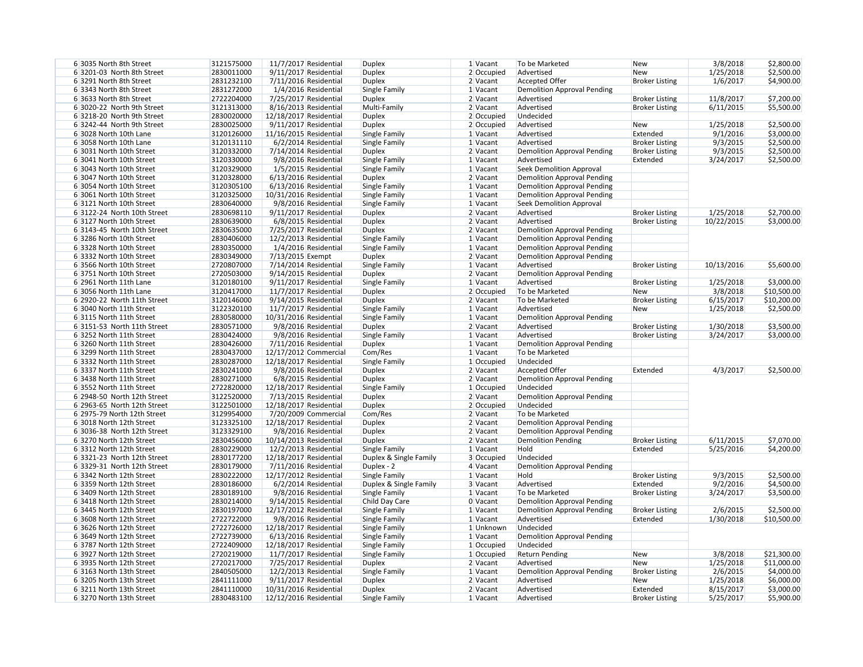| 6 3035 North 8th Street     | 3121575000 |                        | 11/7/2017 Residential   | <b>Duplex</b>          | $1$ Vacant | To be Marketed                     | <b>New</b>            | 3/8/2018   | \$2,800.00  |
|-----------------------------|------------|------------------------|-------------------------|------------------------|------------|------------------------------------|-----------------------|------------|-------------|
| 6 3201-03 North 8th Street  | 2830011000 |                        | 9/11/2017 Residential   | <b>Duplex</b>          | 2 Occupied | Advertised                         | <b>New</b>            | 1/25/2018  | \$2,500.00  |
| 6 3291 North 8th Street     | 2831232100 |                        | 7/11/2016 Residential   | <b>Duplex</b>          | 2 Vacant   | <b>Accepted Offer</b>              | <b>Broker Listing</b> | 1/6/2017   | \$4,900.00  |
| 6 3343 North 8th Street     | 2831272000 |                        | 1/4/2016 Residential    | Single Family          | $1$ Vacant | <b>Demolition Approval Pending</b> |                       |            |             |
| 6 3633 North 8th Street     | 2722204000 |                        | 7/25/2017 Residential   | <b>Duplex</b>          | 2 Vacant   | Advertised                         | <b>Broker Listing</b> | 11/8/2017  | \$7,200.00  |
| 6 3020-22 North 9th Street  | 3121313000 |                        | 8/16/2013 Residential   | Multi-Family           | 2 Vacant   | Advertised                         | <b>Broker Listing</b> | 6/11/2015  | \$5,500.00  |
| 6 3218-20 North 9th Street  | 2830020000 | 12/18/2017 Residential |                         | <b>Duplex</b>          | 2 Occupied | Undecided                          |                       |            |             |
| 6 3242-44 North 9th Street  | 2830025000 |                        | 9/11/2017 Residential   | <b>Duplex</b>          | 2 Occupied | Advertised                         | <b>New</b>            | 1/25/2018  | \$2,500.00  |
| 6 3028 North 10th Lane      | 3120126000 | 11/16/2015 Residential |                         | Single Family          | $1$ Vacant | Advertised                         | Extended              | 9/1/2016   | \$3,000.00  |
| 6 3058 North 10th Lane      | 3120131110 |                        | 6/2/2014 Residential    | Single Family          | 1 Vacant   | Advertised                         | <b>Broker Listing</b> | 9/3/2015   | \$2,500.00  |
| 6 3031 North 10th Street    | 3120332000 |                        | 7/14/2014 Residential   | <b>Duplex</b>          | 2 Vacant   | <b>Demolition Approval Pending</b> | <b>Broker Listing</b> | 9/3/2015   | \$2,500.00  |
| 6 3041 North 10th Street    | 3120330000 |                        | 9/8/2016 Residential    | Single Family          | $1$ Vacant | Advertised                         | Extended              | 3/24/2017  | \$2,500.00  |
| 6 3043 North 10th Street    | 3120329000 |                        | 1/5/2015 Residential    | Single Family          | $1$ Vacant | <b>Seek Demolition Approval</b>    |                       |            |             |
| 6 3047 North 10th Street    | 3120328000 |                        | 6/13/2016 Residential   | <b>Duplex</b>          | 2 Vacant   | <b>Demolition Approval Pending</b> |                       |            |             |
| 6 3054 North 10th Street    | 3120305100 |                        | 6/13/2016 Residential   | Single Family          | 1 Vacant   | <b>Demolition Approval Pending</b> |                       |            |             |
| 6 3061 North 10th Street    | 3120325000 | 10/31/2016 Residential |                         | Single Family          | 1 Vacant   | <b>Demolition Approval Pending</b> |                       |            |             |
| 6 3121 North 10th Street    | 2830640000 |                        | 9/8/2016 Residential    | Single Family          | 1 Vacant   | <b>Seek Demolition Approval</b>    |                       |            |             |
| 6 3122-24 North 10th Street | 2830698110 |                        | 9/11/2017 Residential   | <b>Duplex</b>          | $2$ Vacant | Advertised                         | <b>Broker Listing</b> | 1/25/2018  | \$2,700.00  |
| 6 3127 North 10th Street    | 2830639000 |                        | 6/8/2015 Residential    | <b>Duplex</b>          | $2$ Vacant | Advertised                         | <b>Broker Listing</b> | 10/22/2015 | \$3,000.00  |
| 6 3143-45 North 10th Street | 2830635000 |                        | 7/25/2017 Residential   | <b>Duplex</b>          | $2$ Vacant | <b>Demolition Approval Pending</b> |                       |            |             |
| 6 3286 North 10th Street    | 2830406000 |                        | 12/2/2013 Residential   | Single Family          | 1 Vacant   | <b>Demolition Approval Pending</b> |                       |            |             |
| 6 3328 North 10th Street    | 2830350000 |                        | 1/4/2016 Residential    | Single Family          | 1 Vacant   | <b>Demolition Approval Pending</b> |                       |            |             |
|                             |            |                        |                         |                        |            |                                    |                       |            |             |
| 6 3332 North 10th Street    | 2830349000 | 7/13/2015 Exempt       |                         | <b>Duplex</b>          | 2 Vacant   | <b>Demolition Approval Pending</b> |                       |            |             |
| 6 3566 North 10th Street    | 2720807000 |                        | 7/14/2014 Residential   | Single Family          | 1 Vacant   | Advertised                         | <b>Broker Listing</b> | 10/13/2016 | \$5,600.00  |
| 6 3751 North 10th Street    | 2720503000 |                        | $9/14/2015$ Residential | <b>Duplex</b>          | $2$ Vacant | <b>Demolition Approval Pending</b> |                       |            |             |
| 6 2961 North 11th Lane      | 3120180100 |                        | 9/11/2017 Residential   | Single Family          | 1 Vacant   | Advertised                         | <b>Broker Listing</b> | 1/25/2018  | \$3,000.00  |
| 6 3056 North 11th Lane      | 3120417000 |                        | 11/7/2017 Residential   | <b>Duplex</b>          | 2 Occupied | To be Marketed                     | <b>New</b>            | 3/8/2018   | \$10,500.00 |
| 6 2920-22 North 11th Street | 3120146000 |                        | 9/14/2015 Residential   | <b>Duplex</b>          | 2 Vacant   | To be Marketed                     | <b>Broker Listing</b> | 6/15/2017  | \$10,200.00 |
| 6 3040 North 11th Street    | 3122320100 |                        | 11/7/2017 Residential   | Single Family          | 1 Vacant   | Advertised                         | <b>New</b>            | 1/25/2018  | \$2,500.00  |
| 6 3115 North 11th Street    | 2830580000 | 10/31/2016 Residential |                         | Single Family          | 1 Vacant   | <b>Demolition Approval Pending</b> |                       |            |             |
| 6 3151-53 North 11th Street | 2830571000 |                        | 9/8/2016 Residential    | <b>Duplex</b>          | 2 Vacant   | Advertised                         | <b>Broker Listing</b> | 1/30/2018  | \$3,500.00  |
| 6 3252 North 11th Street    | 2830424000 |                        | 9/8/2016 Residential    | Single Family          | $1$ Vacant | Advertised                         | <b>Broker Listing</b> | 3/24/2017  | \$3,000.00  |
| 6 3260 North 11th Street    | 2830426000 |                        | 7/11/2016 Residential   | <b>Duplex</b>          | 1 Vacant   | <b>Demolition Approval Pending</b> |                       |            |             |
| 6 3299 North 11th Street    | 2830437000 |                        | 12/17/2012 Commercial   | Com/Res                | 1 Vacant   | To be Marketed                     |                       |            |             |
| 6 3332 North 11th Street    | 2830287000 | 12/18/2017 Residential |                         | Single Family          | 1 Occupied | Undecided                          |                       |            |             |
| 6 3337 North 11th Street    | 2830241000 |                        | 9/8/2016 Residential    | <b>Duplex</b>          | 2 Vacant   | <b>Accepted Offer</b>              | Extended              | 4/3/2017   | \$2,500.00  |
| 6 3438 North 11th Street    | 2830271000 |                        | 6/8/2015 Residential    | <b>Duplex</b>          | 2 Vacant   | <b>Demolition Approval Pending</b> |                       |            |             |
| 6 3552 North 11th Street    | 2722820000 | 12/18/2017 Residential |                         | Single Family          | 1 Occupied | Undecided                          |                       |            |             |
| 6 2948-50 North 12th Street | 3122520000 |                        | 7/13/2015 Residential   | <b>Duplex</b>          | 2 Vacant   | <b>Demolition Approval Pending</b> |                       |            |             |
| 6 2963-65 North 12th Street | 3122501000 | 12/18/2017 Residential |                         | <b>Duplex</b>          | 2 Occupied | Undecided                          |                       |            |             |
| 6 2975-79 North 12th Street | 3129954000 |                        | 7/20/2009 Commercial    | Com/Res                | 2 Vacant   | To be Marketed                     |                       |            |             |
| 6 3018 North 12th Street    | 3123325100 | 12/18/2017 Residential |                         | <b>Duplex</b>          | 2 Vacant   | <b>Demolition Approval Pending</b> |                       |            |             |
| 6 3036-38 North 12th Street | 3123329100 |                        | 9/8/2016 Residential    | <b>Duplex</b>          | 2 Vacant   | <b>Demolition Approval Pending</b> |                       |            |             |
| 6 3270 North 12th Street    | 2830456000 | 10/14/2013 Residential |                         | <b>Duplex</b>          | 2 Vacant   | <b>Demolition Pending</b>          | <b>Broker Listing</b> | 6/11/2015  | \$7,070.00  |
| 6 3312 North 12th Street    | 2830229000 |                        | $12/2/2013$ Residential | Single Family          | $1$ Vacant | Hold                               | Extended              | 5/25/2016  | \$4,200.00  |
| 6 3321-23 North 12th Street | 2830177200 | 12/18/2017 Residential |                         | Duplex & Single Family | 3 Occupied | Undecided                          |                       |            |             |
| 6 3329-31 North 12th Street | 2830179000 |                        | 7/11/2016 Residential   | Duplex - 2             | 4 Vacant   | <b>Demolition Approval Pending</b> |                       |            |             |
| 6 3342 North 12th Street    | 2830222000 | 12/17/2012 Residential |                         | Single Family          | 1 Vacant   | Hold                               | <b>Broker Listing</b> | 9/3/2015   | \$2,500.00  |
| 6 3359 North 12th Street    | 2830186000 |                        | 6/2/2014 Residential    | Duplex & Single Family | 3 Vacant   | Advertised                         | Extended              | 9/2/2016   | \$4,500.00  |
| 6 3409 North 12th Street    | 2830189100 |                        | 9/8/2016 Residential    | Single Family          | 1 Vacant   | To be Marketed                     | <b>Broker Listing</b> | 3/24/2017  | \$3,500.00  |
| 6 3418 North 12th Street    | 2830214000 |                        | 9/14/2015 Residential   | Child Day Care         | 0 Vacant   | <b>Demolition Approval Pending</b> |                       |            |             |
| 6 3445 North 12th Street    | 2830197000 | 12/17/2012 Residential |                         | Single Family          | 1 Vacant   | <b>Demolition Approval Pending</b> | <b>Broker Listing</b> | 2/6/2015   | \$2,500.00  |
| 6 3608 North 12th Street    | 2722722000 |                        | 9/8/2016 Residential    | Single Family          | 1 Vacant   | Advertised                         | Extended              | 1/30/2018  | \$10,500.00 |
| 6 3626 North 12th Street    | 2722726000 | 12/18/2017 Residential |                         | Single Family          | 1 Unknown  | Undecided                          |                       |            |             |
| 6 3649 North 12th Street    | 2722739000 |                        | 6/13/2016 Residential   | Single Family          | 1 Vacant   | <b>Demolition Approval Pending</b> |                       |            |             |
| 6 3787 North 12th Street    | 2722409000 | 12/18/2017 Residential |                         | Single Family          | 1 Occupied | Undecided                          |                       |            |             |
| 6 3927 North 12th Street    | 2720219000 |                        | 11/7/2017 Residential   | Single Family          | 1 Occupied | <b>Return Pending</b>              | <b>New</b>            | 3/8/2018   | \$21,300.00 |
| 6 3935 North 12th Street    | 2720217000 |                        |                         | <b>Duplex</b>          | 2 Vacant   | Advertised                         | <b>New</b>            |            |             |
|                             |            |                        | 7/25/2017 Residential   |                        |            |                                    |                       | 1/25/2018  | \$11,000.00 |
| 6 3163 North 13th Street    | 2840505000 |                        | 12/2/2013 Residential   | Single Family          | $1$ Vacant | <b>Demolition Approval Pending</b> | <b>Broker Listing</b> | 2/6/2015   | \$4,000.00  |
| 6 3205 North 13th Street    | 2841111000 |                        | 9/11/2017 Residential   | <b>Duplex</b>          | $2$ Vacant | Advertised                         | <b>New</b>            | 1/25/2018  | \$6,000.00  |
| 6 3211 North 13th Street    | 2841110000 | 10/31/2016 Residential |                         | <b>Duplex</b>          | 2 Vacant   | Advertised                         | Extended              | 8/15/2017  | \$3,000.00  |
| 6 3270 North 13th Street    | 2830483100 | 12/12/2016 Residential |                         | Single Family          | $1$ Vacant | Advertised                         | <b>Broker Listing</b> | 5/25/2017  | \$5,900.00  |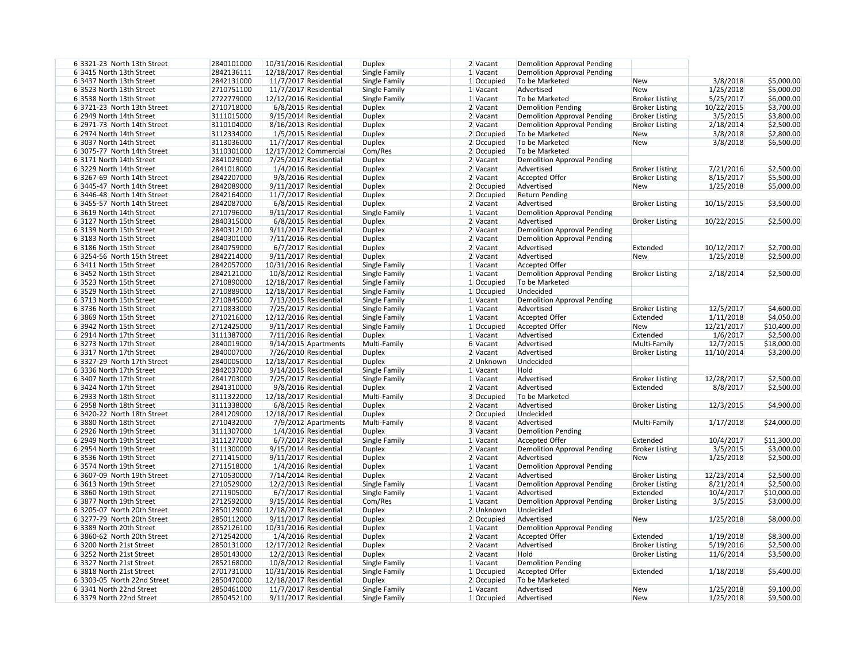| 6 3321-23 North 13th Street                          | 2840101000 | 10/31/2016 Residential | <b>Duplex</b> | 2 Vacant   | <b>Demolition Approval Pending</b> |                       |            |             |
|------------------------------------------------------|------------|------------------------|---------------|------------|------------------------------------|-----------------------|------------|-------------|
| 6 3415 North 13th Street                             | 2842136111 | 12/18/2017 Residential | Single Family | $1$ Vacant | <b>Demolition Approval Pending</b> |                       |            |             |
| 6 3437 North 13th Street                             | 2842131000 | 11/7/2017 Residential  | Single Family | 1 Occupied | To be Marketed                     | <b>New</b>            | 3/8/2018   | \$5,000.00  |
| 6 3523 North 13th Street                             | 2710751100 | 11/7/2017 Residential  | Single Family | $1$ Vacant | Advertised                         | <b>New</b>            | 1/25/2018  | \$5,000.00  |
| 6 3538 North 13th Street                             | 2722779000 | 12/12/2016 Residential | Single Family | 1 Vacant   | To be Marketed                     | <b>Broker Listing</b> | 5/25/2017  | \$6,000.00  |
| 6 3721-23 North 13th Street                          | 2710718000 | 6/8/2015 Residential   | <b>Duplex</b> | 2 Vacant   | <b>Demolition Pending</b>          | <b>Broker Listing</b> | 10/22/2015 | \$3,700.00  |
| 6 2949 North 14th Street                             | 3111015000 | 9/15/2014 Residential  | <b>Duplex</b> | $2$ Vacant | <b>Demolition Approval Pending</b> | <b>Broker Listing</b> | 3/5/2015   | \$3,800.00  |
| 6 2971-73 North 14th Street                          | 3110104000 | 8/16/2013 Residential  | <b>Duplex</b> | $2$ Vacant | <b>Demolition Approval Pending</b> | <b>Broker Listing</b> | 2/18/2014  | \$2,500.00  |
| 6 2974 North 14th Street                             | 3112334000 | 1/5/2015 Residential   | <b>Duplex</b> | 2 Occupied | To be Marketed                     | <b>New</b>            | 3/8/2018   | \$2,800.00  |
| 6 3037 North 14th Street                             | 3113036000 | 11/7/2017 Residential  | <b>Duplex</b> | 2 Occupied | To be Marketed                     | <b>New</b>            | 3/8/2018   | \$6,500.00  |
| 6 3075-77 North 14th Street                          | 3110301000 | 12/17/2012 Commercial  | Com/Res       | 2 Occupied | To be Marketed                     |                       |            |             |
| 6 3171 North 14th Street                             | 2841029000 | 7/25/2017 Residential  | <b>Duplex</b> | $2$ Vacant | <b>Demolition Approval Pending</b> |                       |            |             |
| 6 3229 North 14th Street                             | 2841018000 | 1/4/2016 Residential   | <b>Duplex</b> | $2$ Vacant | Advertised                         | <b>Broker Listing</b> | 7/21/2016  | \$2,500.00  |
| 6 3267-69 North 14th Street                          | 2842207000 | 9/8/2016 Residential   | <b>Duplex</b> | $2$ Vacant | Accepted Offer                     | <b>Broker Listing</b> | 8/15/2017  | \$5,500.00  |
| 6 3445-47 North 14th Street                          | 2842089000 | 9/11/2017 Residential  | <b>Duplex</b> | 2 Occupied | Advertised                         | <b>New</b>            | 1/25/2018  | \$5,000.00  |
|                                                      | 2842164000 |                        |               |            | <b>Return Pending</b>              |                       |            |             |
| 6 3446-48 North 14th Street                          |            | 11/7/2017 Residential  | <b>Duplex</b> | 2 Occupied |                                    |                       |            |             |
| 6 3455-57 North 14th Street                          | 2842087000 | 6/8/2015 Residential   | <b>Duplex</b> | 2 Vacant   | Advertised                         | <b>Broker Listing</b> | 10/15/2015 | \$3,500.00  |
| 6 3619 North 14th Street                             | 2710796000 | 9/11/2017 Residential  | Single Family | 1 Vacant   | <b>Demolition Approval Pending</b> |                       |            |             |
| 63127 North 15th Street                              | 2840315000 | 6/8/2015 Residential   | <b>Duplex</b> | 2 Vacant   | Advertised                         | <b>Broker Listing</b> | 10/22/2015 | \$2,500.00  |
| 6 3139 North 15th Street                             | 2840312100 | 9/11/2017 Residential  | <b>Duplex</b> | 2 Vacant   | <b>Demolition Approval Pending</b> |                       |            |             |
| 6 3183 North 15th Street                             | 2840301000 | 7/11/2016 Residential  | <b>Duplex</b> | 2 Vacant   | <b>Demolition Approval Pending</b> |                       |            |             |
| 6 3186 North 15th Street                             | 2840759000 | 6/7/2017 Residential   | <b>Duplex</b> | 2 Vacant   | Advertised                         | Extended              | 10/12/2017 | \$2,700.00  |
| 6 3254-56 North 15th Street                          | 2842214000 | 9/11/2017 Residential  | <b>Duplex</b> | 2 Vacant   | Advertised                         | <b>New</b>            | 1/25/2018  | \$2,500.00  |
| 6 3411 North 15th Street                             | 2842057000 | 10/31/2016 Residential | Single Family | 1 Vacant   | <b>Accepted Offer</b>              |                       |            |             |
| 6 3452 North 15th Street                             | 2842121000 | 10/8/2012 Residential  | Single Family | $1$ Vacant | <b>Demolition Approval Pending</b> | <b>Broker Listing</b> | 2/18/2014  | \$2,500.00  |
| 6 3523 North 15th Street                             | 2710890000 | 12/18/2017 Residential | Single Family | 1 Occupied | To be Marketed                     |                       |            |             |
| 6 3529 North 15th Street                             | 2710889000 | 12/18/2017 Residential | Single Family | 1 Occupied | Undecided                          |                       |            |             |
| 6 3713 North 15th Street                             | 2710845000 | 7/13/2015 Residential  | Single Family | $1$ Vacant | <b>Demolition Approval Pending</b> |                       |            |             |
| 6 3736 North 15th Street                             | 2710833000 | 7/25/2017 Residential  | Single Family | 1 Vacant   | Advertised                         | <b>Broker Listing</b> | 12/5/2017  | \$4,600.00  |
| 6 3869 North 15th Street                             | 2710216000 | 12/12/2016 Residential | Single Family | 1 Vacant   | <b>Accepted Offer</b>              | Extended              | 1/11/2018  | \$4,050.00  |
| 6 3942 North 15th Street                             | 2712425000 | 9/11/2017 Residential  | Single Family | 1 Occupied | Accepted Offer                     | <b>New</b>            | 12/21/2017 | \$10,400.00 |
| 6 2914 North 17th Street                             | 3111387000 | 7/11/2016 Residential  | <b>Duplex</b> | 1 Vacant   | Advertised                         | Extended              | 1/6/2017   | \$2,500.00  |
| 6 3273 North 17th Street                             | 2840019000 | 9/14/2015 Apartments   | Multi-Family  | 6 Vacant   | Advertised                         | Multi-Family          | 12/7/2015  | \$18,000.00 |
| 6 3317 North 17th Street                             | 2840007000 | 7/26/2010 Residential  | <b>Duplex</b> | 2 Vacant   | Advertised                         | <b>Broker Listing</b> | 11/10/2014 | \$3,200.00  |
| 6 3327-29 North 17th Street                          | 2840005000 | 12/18/2017 Residential | <b>Duplex</b> | 2 Unknown  | Undecided                          |                       |            |             |
| 6 3336 North 17th Street                             | 2842037000 | 9/14/2015 Residential  | Single Family | $1$ Vacant | Hold                               |                       |            |             |
| 6 3407 North 17th Street                             | 2841703000 | 7/25/2017 Residential  | Single Family |            | Advertised                         | <b>Broker Listing</b> | 12/28/2017 |             |
|                                                      |            | 9/8/2016 Residential   |               | 1 Vacant   | Advertised                         |                       |            | \$2,500.00  |
| 6 3424 North 17th Street                             | 2841310000 |                        | <b>Duplex</b> | 2 Vacant   |                                    | Extended              | 8/8/2017   | \$2,500.00  |
| 6 2933 North 18th Street<br>6 2958 North 18th Street | 3111322000 | 12/18/2017 Residential | Multi-Family  | 3 Occupied | To be Marketed                     |                       |            |             |
|                                                      | 3111338000 | 6/8/2015 Residential   | <b>Duplex</b> | $2$ Vacant | Advertised                         | <b>Broker Listing</b> | 12/3/2015  | \$4,900.00  |
| 6 3420-22 North 18th Street                          | 2841209000 | 12/18/2017 Residential | <b>Duplex</b> | 2 Occupied | Undecided                          |                       |            |             |
| 6 3880 North 18th Street                             | 2710432000 | 7/9/2012 Apartments    | Multi-Family  | 8 Vacant   | Advertised                         | Multi-Family          | 1/17/2018  | \$24,000.00 |
| 6 2926 North 19th Street                             | 3111307000 | 1/4/2016 Residential   | <b>Duplex</b> | 3 Vacant   | <b>Demolition Pending</b>          |                       |            |             |
| 6 2949 North 19th Street                             | 3111277000 | 6/7/2017 Residential   | Single Family | $1$ Vacant | <b>Accepted Offer</b>              | Extended              | 10/4/2017  | \$11,300.00 |
| 6 2954 North 19th Street                             | 3111300000 | 9/15/2014 Residential  | <b>Duplex</b> | 2 Vacant   | <b>Demolition Approval Pending</b> | <b>Broker Listing</b> | 3/5/2015   | \$3,000.00  |
| 6 3536 North 19th Street                             | 2711415000 | 9/11/2017 Residential  | <b>Duplex</b> | 2 Vacant   | Advertised                         | <b>New</b>            | 1/25/2018  | \$2,500.00  |
| 6 3574 North 19th Street                             | 2711518000 | 1/4/2016 Residential   | <b>Duplex</b> | 1 Vacant   | <b>Demolition Approval Pending</b> |                       |            |             |
| 6 3607-09 North 19th Street                          | 2710530000 | 7/14/2014 Residential  | <b>Duplex</b> | 2 Vacant   | Advertised                         | <b>Broker Listing</b> | 12/23/2014 | \$2,500.00  |
| 6 3613 North 19th Street                             | 2710529000 | 12/2/2013 Residential  | Single Family | 1 Vacant   | <b>Demolition Approval Pending</b> | <b>Broker Listing</b> | 8/21/2014  | \$2,500.00  |
| 6 3860 North 19th Street                             | 2711905000 | 6/7/2017 Residential   | Single Family | 1 Vacant   | Advertised                         | Extended              | 10/4/2017  | \$10,000.00 |
| 6 3877 North 19th Street                             | 2712592000 | 9/15/2014 Residential  | Com/Res       | 1 Vacant   | <b>Demolition Approval Pending</b> | <b>Broker Listing</b> | 3/5/2015   | \$3,000.00  |
| 6 3205-07 North 20th Street                          | 2850129000 | 12/18/2017 Residential | <b>Duplex</b> | 2 Unknown  | Undecided                          |                       |            |             |
| 6 3277-79 North 20th Street                          | 2850112000 | 9/11/2017 Residential  | <b>Duplex</b> | 2 Occupied | Advertised                         | <b>New</b>            | 1/25/2018  | \$8,000.00  |
| 6 3389 North 20th Street                             | 2852126100 | 10/31/2016 Residential | <b>Duplex</b> | 1 Vacant   | <b>Demolition Approval Pending</b> |                       |            |             |
| 6 3860-62 North 20th Street                          | 2712542000 | 1/4/2016 Residential   | <b>Duplex</b> | 2 Vacant   | <b>Accepted Offer</b>              | Extended              | 1/19/2018  | \$8,300.00  |
| 6 3200 North 21st Street                             | 2850131000 | 12/17/2012 Residential | <b>Duplex</b> | $2$ Vacant | Advertised                         | <b>Broker Listing</b> | 5/19/2016  | \$2,500.00  |
| 6 3252 North 21st Street                             | 2850143000 | 12/2/2013 Residential  | <b>Duplex</b> | 2 Vacant   | Hold                               | <b>Broker Listing</b> | 11/6/2014  | \$3,500.00  |
| 6 3327 North 21st Street                             | 2852168000 | 10/8/2012 Residential  | Single Family | $1$ Vacant | <b>Demolition Pending</b>          |                       |            |             |
| 6 3818 North 21st Street                             | 2701731000 | 10/31/2016 Residential | Single Family | 1 Occupied | Accepted Offer                     | Extended              | 1/18/2018  | \$5,400.00  |
| 6 3303-05 North 22nd Street                          | 2850470000 | 12/18/2017 Residential | <b>Duplex</b> | 2 Occupied | To be Marketed                     |                       |            |             |
| 6 3341 North 22nd Street                             | 2850461000 | 11/7/2017 Residential  | Single Family | $1$ Vacant | Advertised                         | <b>New</b>            | 1/25/2018  | \$9,100.00  |
| 6 3379 North 22nd Street                             | 2850452100 | 9/11/2017 Residential  | Single Family | 1 Occupied | Advertised                         | <b>New</b>            | 1/25/2018  | \$9,500.00  |
|                                                      |            |                        |               |            |                                    |                       |            |             |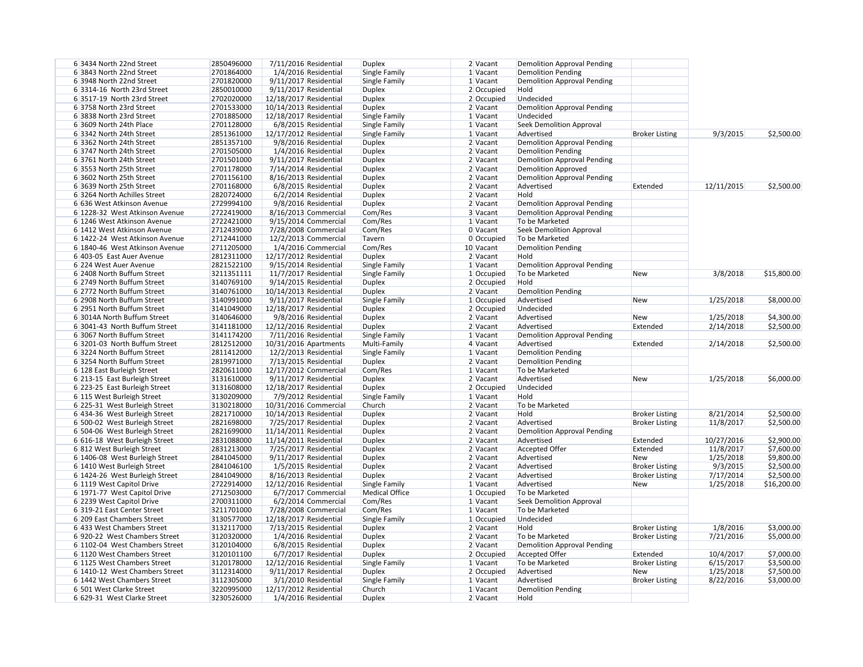| 6 3434 North 22nd Street       | 2850496000 |                          | 7/11/2016 Residential   | <b>Duplex</b>         | 2 Vacant     | <b>Demolition Approval Pending</b> |                       |            |             |
|--------------------------------|------------|--------------------------|-------------------------|-----------------------|--------------|------------------------------------|-----------------------|------------|-------------|
| 6 3843 North 22nd Street       | 2701864000 |                          | 1/4/2016 Residential    | Single Family         | 1 Vacant     | <b>Demolition Pending</b>          |                       |            |             |
| 6 3948 North 22nd Street       | 2701820000 |                          | 9/11/2017 Residential   | Single Family         | $1$ Vacant   | <b>Demolition Approval Pending</b> |                       |            |             |
| 6 3314-16 North 23rd Street    | 2850010000 |                          | 9/11/2017 Residential   | Duplex                | $2$ Occupied | Hold                               |                       |            |             |
| 6 3517-19 North 23rd Street    | 2702020000 | 12/18/2017 Residential   |                         | Duplex                | $2$ Occupied | Undecided                          |                       |            |             |
| 6 3758 North 23rd Street       | 2701533000 | 10/14/2013 Residential   |                         | Duplex                | 2 Vacant     | <b>Demolition Approval Pending</b> |                       |            |             |
| 6 3838 North 23rd Street       | 2701885000 | 12/18/2017 Residential   |                         | Single Family         | $1$ Vacant   | Undecided                          |                       |            |             |
| 6 3609 North 24th Place        | 2701128000 |                          | 6/8/2015 Residential    | Single Family         | 1 Vacant     | <b>Seek Demolition Approval</b>    |                       |            |             |
| 6 3342 North 24th Street       | 2851361000 | 12/17/2012 Residential   |                         | Single Family         | 1 Vacant     | Advertised                         | <b>Broker Listing</b> | 9/3/2015   | \$2,500.00  |
| 6 3362 North 24th Street       | 2851357100 |                          | 9/8/2016 Residential    | Duplex                | 2 Vacant     | <b>Demolition Approval Pending</b> |                       |            |             |
| 6 3747 North 24th Street       | 2701505000 |                          | 1/4/2016 Residential    | Duplex                | 2 Vacant     | <b>Demolition Pending</b>          |                       |            |             |
| 6 3761 North 24th Street       | 2701501000 |                          | 9/11/2017 Residential   | Duplex                | 2 Vacant     | <b>Demolition Approval Pending</b> |                       |            |             |
| 6 3553 North 25th Street       | 2701178000 |                          | 7/14/2014 Residential   | <b>Duplex</b>         | 2 Vacant     |                                    |                       |            |             |
|                                |            |                          |                         |                       |              | <b>Demolition Approved</b>         |                       |            |             |
| 6 3602 North 25th Street       | 2701156100 |                          | 8/16/2013 Residential   | <b>Duplex</b>         | 2 Vacant     | <b>Demolition Approval Pending</b> |                       |            |             |
| 6 3639 North 25th Street       | 2701168000 |                          | 6/8/2015 Residential    | <b>Duplex</b>         | 2 Vacant     | Advertised                         | Extended              | 12/11/2015 | \$2,500.00  |
| 6 3264 North Achilles Street   | 2820724000 |                          | 6/2/2014 Residential    | <b>Duplex</b>         | 2 Vacant     | Hold                               |                       |            |             |
| 6 636 West Atkinson Avenue     | 2729994100 |                          | 9/8/2016 Residential    | <b>Duplex</b>         | 2 Vacant     | <b>Demolition Approval Pending</b> |                       |            |             |
| 6 1228-32 West Atkinson Avenue | 2722419000 |                          | 8/16/2013 Commercial    | Com/Res               | 3 Vacant     | <b>Demolition Approval Pending</b> |                       |            |             |
| 6 1246 West Atkinson Avenue    | 2722421000 |                          | 9/15/2014 Commercial    | Com/Res               | 1 Vacant     | To be Marketed                     |                       |            |             |
| 6 1412 West Atkinson Avenue    | 2712439000 |                          | 7/28/2008 Commercial    | Com/Res               | 0 Vacant     | <b>Seek Demolition Approval</b>    |                       |            |             |
| 6 1422-24 West Atkinson Avenue | 2712441000 |                          | 12/2/2013 Commercial    | Tavern                | 0 Occupied   | To be Marketed                     |                       |            |             |
| 6 1840-46 West Atkinson Avenue | 2711205000 |                          | 1/4/2016 Commercial     | Com/Res               | 10 Vacant    | <b>Demolition Pending</b>          |                       |            |             |
| 6 403-05 East Auer Avenue      | 2812311000 | 12/17/2012 Residential   |                         | Duplex                | 2 Vacant     | Hold                               |                       |            |             |
| 6 224 West Auer Avenue         | 2821522100 |                          | $9/15/2014$ Residential | Single Family         | $1$ Vacant   | <b>Demolition Approval Pending</b> |                       |            |             |
| 6 2408 North Buffum Street     | 3211351111 |                          | 11/7/2017 Residential   | Single Family         | 1 Occupied   | To be Marketed                     | New                   | 3/8/2018   | \$15,800.00 |
| 6 2749 North Buffum Street     | 3140769100 |                          | 9/14/2015 Residential   | Duplex                | $2$ Occupied | Hold                               |                       |            |             |
| 6 2772 North Buffum Street     | 3140761000 | 10/14/2013 Residential   |                         | Duplex                | 2 Vacant     | <b>Demolition Pending</b>          |                       |            |             |
| 6 2908 North Buffum Street     | 3140991000 |                          | 9/11/2017 Residential   | Single Family         | $1$ Occupied | Advertised                         | <b>New</b>            | 1/25/2018  | \$8,000.00  |
| 6 2951 North Buffum Street     | 3141049000 | 12/18/2017 Residential   |                         | Duplex                | 2 Occupied   | Undecided                          |                       |            |             |
| 6 3014A North Buffum Street    | 3140646000 |                          | 9/8/2016 Residential    | Duplex                | 2 Vacant     | Advertised                         | New                   | 1/25/2018  | \$4,300.00  |
| 6 3041-43 North Buffum Street  | 3141181000 | 12/12/2016 Residential   |                         | Duplex                | 2 Vacant     | Advertised                         | Extended              | 2/14/2018  | \$2,500.00  |
|                                |            |                          |                         |                       |              |                                    |                       |            |             |
| 6 3067 North Buffum Street     | 3141174200 |                          | 7/11/2016 Residential   | Single Family         | $1$ Vacant   | <b>Demolition Approval Pending</b> |                       |            |             |
| 6 3201-03 North Buffum Street  | 2812512000 |                          | 10/31/2016 Apartments   | Multi-Family          | 4 Vacant     | Advertised                         | Extended              | 2/14/2018  | \$2,500.00  |
| 6 3224 North Buffum Street     | 2811412000 |                          | 12/2/2013 Residential   | Single Family         | $1$ Vacant   | <b>Demolition Pending</b>          |                       |            |             |
| 6 3254 North Buffum Street     | 2819971000 |                          | 7/13/2015 Residential   | Duplex                | 2 Vacant     | <b>Demolition Pending</b>          |                       |            |             |
| 6 128 East Burleigh Street     | 2820611000 |                          | 12/17/2012 Commercial   | Com/Res               | $1$ Vacant   | To be Marketed                     |                       |            |             |
| 6 213-15 East Burleigh Street  | 3131610000 |                          | $9/11/2017$ Residential | <b>Duplex</b>         | 2 Vacant     | Advertised                         | New                   | 1/25/2018  | \$6,000.00  |
| 6 223-25 East Burleigh Street  | 3131608000 | 12/18/2017 Residential   |                         | <b>Duplex</b>         | 2 Occupied   | Undecided                          |                       |            |             |
| 6 115 West Burleigh Street     | 3130209000 |                          | 7/9/2012 Residential    | Single Family         | $1$ Vacant   | Hold                               |                       |            |             |
| 6 225-31 West Burleigh Street  | 3130218000 |                          | 10/31/2016 Commercial   | Church                | 2 Vacant     | To be Marketed                     |                       |            |             |
| 6 434-36 West Burleigh Street  | 2821710000 | 10/14/2013 Residential   |                         | Duplex                | 2 Vacant     | Hold                               | <b>Broker Listing</b> | 8/21/2014  | \$2,500.00  |
| 6 500-02 West Burleigh Street  | 2821698000 |                          | 7/25/2017 Residential   | Duplex                | 2 Vacant     | Advertised                         | <b>Broker Listing</b> | 11/8/2017  | \$2,500.00  |
| 6 504-06 West Burleigh Street  | 2821699000 | 11/14/2011 Residential   |                         | Duplex                | 2 Vacant     | <b>Demolition Approval Pending</b> |                       |            |             |
| 6 616-18 West Burleigh Street  | 2831088000 | $11/14/2011$ Residential |                         | Duplex                | 2 Vacant     | Advertised                         | Extended              | 10/27/2016 | \$2,900.00  |
| 6 812 West Burleigh Street     | 2831213000 |                          | 7/25/2017 Residential   | Duplex                | 2 Vacant     | <b>Accepted Offer</b>              | Extended              | 11/8/2017  | \$7,600.00  |
| 6 1406-08 West Burleigh Street | 2841045000 |                          | 9/11/2017 Residential   | <b>Duplex</b>         | 2 Vacant     | Advertised                         | New                   | 1/25/2018  | \$9,800.00  |
| 6 1410 West Burleigh Street    | 2841046100 |                          | 1/5/2015 Residential    | <b>Duplex</b>         | 2 Vacant     | Advertised                         | <b>Broker Listing</b> | 9/3/2015   | \$2,500.00  |
| 6 1424-26 West Burleigh Street | 2841049000 |                          | 8/16/2013 Residential   | <b>Duplex</b>         | 2 Vacant     | Advertised                         | <b>Broker Listing</b> | 7/17/2014  | \$2,500.00  |
| 6 1119 West Capitol Drive      | 2722914000 | 12/12/2016 Residential   |                         | Single Family         | $1$ Vacant   | Advertised                         | <b>New</b>            | 1/25/2018  | \$16,200.00 |
| 6 1971-77 West Capitol Drive   | 2712503000 |                          | 6/7/2017 Commercial     | <b>Medical Office</b> | $1$ Occupied | To be Marketed                     |                       |            |             |
| 6 2239 West Capitol Drive      | 2700311000 |                          | 6/2/2014 Commercial     | Com/Res               | 1 Vacant     | <b>Seek Demolition Approval</b>    |                       |            |             |
|                                |            |                          |                         |                       |              |                                    |                       |            |             |
| 6 319-21 East Center Street    | 3211701000 |                          | 7/28/2008 Commercial    | Com/Res               | $1$ Vacant   | To be Marketed                     |                       |            |             |
| 6 209 East Chambers Street     | 3130577000 | 12/18/2017 Residential   |                         | Single Family         | 1 Occupied   | Undecided                          |                       |            |             |
| 6 433 West Chambers Street     | 3132117000 |                          | 7/13/2015 Residential   | Duplex                | 2 Vacant     | Hold                               | <b>Broker Listing</b> | 1/8/2016   | \$3,000.00  |
| 6 920-22 West Chambers Street  | 3120320000 |                          | 1/4/2016 Residential    | Duplex                | 2 Vacant     | To be Marketed                     | <b>Broker Listing</b> | 7/21/2016  | \$5,000.00  |
| 6 1102-04 West Chambers Street | 3120104000 |                          | 6/8/2015 Residential    | Duplex                | 2 Vacant     | <b>Demolition Approval Pending</b> |                       |            |             |
| 6 1120 West Chambers Street    | 3120101100 |                          | 6/7/2017 Residential    | Duplex                | $2$ Occupied | <b>Accepted Offer</b>              | Extended              | 10/4/2017  | \$7,000.00  |
| 6 1125 West Chambers Street    | 3120178000 | 12/12/2016 Residential   |                         | Single Family         | $1$ Vacant   | To be Marketed                     | <b>Broker Listing</b> | 6/15/2017  | \$3,500.00  |
| 6 1410-12 West Chambers Street | 3112314000 |                          | 9/11/2017 Residential   | Duplex                | $2$ Occupied | Advertised                         | <b>New</b>            | 1/25/2018  | \$7,500.00  |
| 6 1442 West Chambers Street    | 3112305000 |                          | 3/1/2010 Residential    | Single Family         | $1$ Vacant   | Advertised                         | <b>Broker Listing</b> | 8/22/2016  | \$3,000.00  |
| 6 501 West Clarke Street       | 3220995000 | 12/17/2012 Residential   |                         | <b>Church</b>         | 1 Vacant     | <b>Demolition Pending</b>          |                       |            |             |
| 6 629-31 West Clarke Street    | 3230526000 |                          | 1/4/2016 Residential    | Duplex                | 2 Vacant     | Hold                               |                       |            |             |
|                                |            |                          |                         |                       |              |                                    |                       |            |             |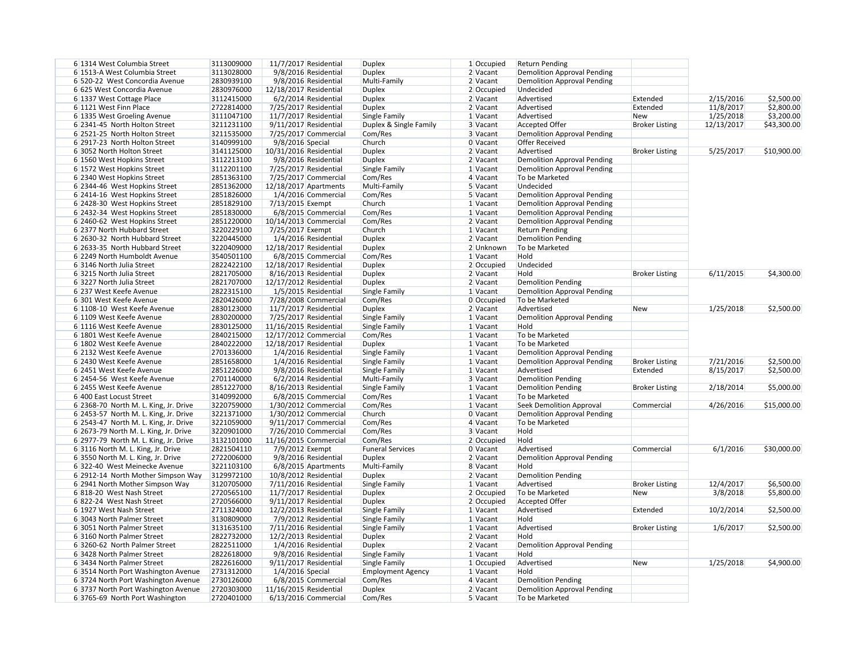| 6 1314 West Columbia Street           | 3113009000 | 11/7/2017 Residential   |                        | <b>Duplex</b>            | 1 Occupied   | <b>Return Pending</b>              |                       |            |             |
|---------------------------------------|------------|-------------------------|------------------------|--------------------------|--------------|------------------------------------|-----------------------|------------|-------------|
| 6 1513-A West Columbia Street         | 3113028000 |                         | 9/8/2016 Residential   | <b>Duplex</b>            | 2 Vacant     | <b>Demolition Approval Pending</b> |                       |            |             |
| 6 520-22 West Concordia Avenue        | 2830939100 |                         | 9/8/2016 Residential   | Multi-Family             | 2 Vacant     | <b>Demolition Approval Pending</b> |                       |            |             |
| 6 625 West Concordia Avenue           | 2830976000 | 12/18/2017 Residential  |                        | <b>Duplex</b>            | $2$ Occupied | Undecided                          |                       |            |             |
| 6 1337 West Cottage Place             | 3112415000 |                         | $6/2/2014$ Residential | <b>Duplex</b>            | $2$ Vacant   | Advertised                         | Extended              | 2/15/2016  | \$2,500.00  |
| 6 1121 West Finn Place                | 2722814000 | 7/25/2017 Residential   |                        | <b>Duplex</b>            | $2$ Vacant   | Advertised                         | Extended              | 11/8/2017  | \$2,800.00  |
| 6 1335 West Groeling Avenue           | 3111047100 | 11/7/2017 Residential   |                        | Single Family            | 1 Vacant     | Advertised                         | <b>New</b>            | 1/25/2018  | \$3,200.00  |
| 6 2341-45 North Holton Street         | 3211231100 | $9/11/2017$ Residential |                        | Duplex & Single Family   | 3 Vacant     | <b>Accepted Offer</b>              | <b>Broker Listing</b> | 12/13/2017 | \$43,300.00 |
| 6 2521-25 North Holton Street         | 3211535000 |                         | 7/25/2017 Commercial   | Com/Res                  | 3 Vacant     | <b>Demolition Approval Pending</b> |                       |            |             |
| 6 2917-23 North Holton Street         | 3140999100 | 9/8/2016 Special        |                        | Church                   | 0 Vacant     | <b>Offer Received</b>              |                       |            |             |
| 6 3052 North Holton Street            | 3141125000 | 10/31/2016 Residential  |                        | <b>Duplex</b>            | $2$ Vacant   | Advertised                         | <b>Broker Listing</b> | 5/25/2017  | \$10,900.00 |
| 6 1560 West Hopkins Street            | 3112213100 |                         | 9/8/2016 Residential   | <b>Duplex</b>            | $2$ Vacant   | <b>Demolition Approval Pending</b> |                       |            |             |
| 6 1572 West Hopkins Street            | 3112201100 | 7/25/2017 Residential   |                        | Single Family            | 1 Vacant     | <b>Demolition Approval Pending</b> |                       |            |             |
| 6 2340 West Hopkins Street            | 2851363100 |                         | 7/25/2017 Commercial   | Com/Res                  | $4$ Vacant   | To be Marketed                     |                       |            |             |
| 6 2344-46 West Hopkins Street         | 2851362000 | 12/18/2017 Apartments   |                        | Multi-Family             | 5 Vacant     | Undecided                          |                       |            |             |
| 6 2414-16 West Hopkins Street         | 2851826000 |                         | 1/4/2016 Commercial    | Com/Res                  | 5 Vacant     | <b>Demolition Approval Pending</b> |                       |            |             |
| 6 2428-30 West Hopkins Street         | 2851829100 | 7/13/2015 Exempt        |                        | Church                   | 1 Vacant     | <b>Demolition Approval Pending</b> |                       |            |             |
| 6 2432-34 West Hopkins Street         | 2851830000 |                         | 6/8/2015 Commercial    | Com/Res                  | 1 Vacant     | <b>Demolition Approval Pending</b> |                       |            |             |
| 6 2460-62 West Hopkins Street         | 2851220000 | 10/14/2013 Commercial   |                        | Com/Res                  | $2$ Vacant   | <b>Demolition Approval Pending</b> |                       |            |             |
| 6 2377 North Hubbard Street           | 3220229100 | 7/25/2017 Exempt        |                        | Church                   | 1 Vacant     | <b>Return Pending</b>              |                       |            |             |
| 6 2630-32 North Hubbard Street        | 3220445000 | 1/4/2016 Residential    |                        | <b>Duplex</b>            | 2 Vacant     | <b>Demolition Pending</b>          |                       |            |             |
| 6 2633-35 North Hubbard Street        | 3220409000 | 12/18/2017 Residential  |                        | <b>Duplex</b>            | 2 Unknown    | To be Marketed                     |                       |            |             |
| 6 2249 North Humboldt Avenue          | 3540501100 |                         |                        | Com/Res                  | 1 Vacant     | Hold                               |                       |            |             |
|                                       | 2822422100 |                         | 6/8/2015 Commercial    |                          |              |                                    |                       |            |             |
| 6 3146 North Julia Street             |            | 12/18/2017 Residential  |                        | <b>Duplex</b>            | $2$ Occupied | Undecided                          |                       |            |             |
| 6 3215 North Julia Street             | 2821705000 | 8/16/2013 Residential   |                        | <b>Duplex</b>            | 2 Vacant     | Hold                               | <b>Broker Listing</b> | 6/11/2015  | \$4,300.00  |
| 6 3227 North Julia Street             | 2821707000 | 12/17/2012 Residential  |                        | <b>Duplex</b>            | $2$ Vacant   | <b>Demolition Pending</b>          |                       |            |             |
| 6 237 West Keefe Avenue               | 2822315100 | 1/5/2015 Residential    |                        | Single Family            | 1 Vacant     | <b>Demolition Approval Pending</b> |                       |            |             |
| 6 301 West Keefe Avenue               | 2820426000 | 7/28/2008 Commercial    |                        | Com/Res                  | 0 Occupied   | To be Marketed                     |                       |            |             |
| 6 1108-10 West Keefe Avenue           | 2830123000 | 11/7/2017 Residential   |                        | <b>Duplex</b>            | 2 Vacant     | Advertised                         | <b>New</b>            | 1/25/2018  | \$2,500.00  |
| 6 1109 West Keefe Avenue              | 2830200000 | 7/25/2017 Residential   |                        | Single Family            | 1 Vacant     | <b>Demolition Approval Pending</b> |                       |            |             |
| 6 1116 West Keefe Avenue              | 2830125000 | 11/16/2015 Residential  |                        | Single Family            | $1$ Vacant   | Hold                               |                       |            |             |
| 6 1801 West Keefe Avenue              | 2840215000 | 12/17/2012 Commercial   |                        | Com/Res                  | $1$ Vacant   | To be Marketed                     |                       |            |             |
| 6 1802 West Keefe Avenue              | 2840222000 | 12/18/2017 Residential  |                        | <b>Duplex</b>            | 1 Vacant     | To be Marketed                     |                       |            |             |
| 6 2132 West Keefe Avenue              | 2701336000 |                         | 1/4/2016 Residential   | Single Family            | 1 Vacant     | <b>Demolition Approval Pending</b> |                       |            |             |
| 6 2430 West Keefe Avenue              | 2851658000 |                         | 1/4/2016 Residential   | Single Family            | 1 Vacant     | <b>Demolition Approval Pending</b> | <b>Broker Listing</b> | 7/21/2016  | \$2,500.00  |
| 6 2451 West Keefe Avenue              | 2851226000 |                         | 9/8/2016 Residential   | Single Family            | 1 Vacant     | Advertised                         | Extended              | 8/15/2017  | \$2,500.00  |
| 6 2454-56 West Keefe Avenue           | 2701140000 |                         | 6/2/2014 Residential   | Multi-Family             | 3 Vacant     | Demolition Pending                 |                       |            |             |
| 6 2455 West Keefe Avenue              | 2851227000 | 8/16/2013 Residential   |                        | Single Family            | 1 Vacant     | <b>Demolition Pending</b>          | <b>Broker Listing</b> | 2/18/2014  | \$5,000.00  |
| 6 400 East Locust Street              | 3140992000 |                         | 6/8/2015 Commercial    | Com/Res                  | 1 Vacant     | To be Marketed                     |                       |            |             |
| 6 2368-70 North M. L. King, Jr. Drive | 3220759000 |                         | $1/30/2012$ Commercial | Com/Res                  | 1 Vacant     | <b>Seek Demolition Approval</b>    | Commercial            | 4/26/2016  | \$15,000.00 |
| 6 2453-57 North M. L. King, Jr. Drive | 3221371000 |                         | $1/30/2012$ Commercial | Church                   | 0 Vacant     | <b>Demolition Approval Pending</b> |                       |            |             |
| 6 2543-47 North M. L. King, Jr. Drive | 3221059000 |                         | 9/11/2017 Commercial   | Com/Res                  | $4$ Vacant   | To be Marketed                     |                       |            |             |
| 6 2673-79 North M. L. King, Jr. Drive | 3220901000 |                         | 7/26/2010 Commercial   | Com/Res                  | 3 Vacant     | Hold                               |                       |            |             |
| 6 2977-79 North M. L. King, Jr. Drive | 3132101000 | 11/16/2015 Commercial   |                        | Com/Res                  | 2 Occupied   | Hold                               |                       |            |             |
| 6 3116 North M. L. King, Jr. Drive    | 2821504110 | 7/9/2012 Exempt         |                        | <b>Funeral Services</b>  | 0 Vacant     | Advertised                         | Commercial            | 6/1/2016   | \$30,000.00 |
| 6 3550 North M. L. King, Jr. Drive    | 2722006000 |                         | 9/8/2016 Residential   | <b>Duplex</b>            | $2$ Vacant   | <b>Demolition Approval Pending</b> |                       |            |             |
| 6 322-40 West Meinecke Avenue         | 3221103100 |                         | 6/8/2015 Apartments    | Multi-Family             | 8 Vacant     | Hold                               |                       |            |             |
| 6 2912-14 North Mother Simpson Way    | 3129972100 | 10/8/2012 Residential   |                        | <b>Duplex</b>            | 2 Vacant     | <b>Demolition Pending</b>          |                       |            |             |
| 6 2941 North Mother Simpson Way       | 3120705000 | 7/11/2016 Residential   |                        | Single Family            | 1 Vacant     | Advertised                         | <b>Broker Listing</b> | 12/4/2017  | \$6,500.00  |
| 6818-20 West Nash Street              | 2720565100 | 11/7/2017 Residential   |                        | <b>Duplex</b>            | 2 Occupied   | To be Marketed                     | <b>New</b>            | 3/8/2018   | \$5,800.00  |
| 6822-24 West Nash Street              | 2720566000 | $9/11/2017$ Residential |                        | <b>Duplex</b>            | 2 Occupied   | Accepted Offer                     |                       |            |             |
| 6 1927 West Nash Street               | 2711324000 | 12/2/2013 Residential   |                        | Single Family            | 1 Vacant     | Advertised                         | Extended              | 10/2/2014  | \$2,500.00  |
| 6 3043 North Palmer Street            | 3130809000 |                         | 7/9/2012 Residential   | Single Family            | 1 Vacant     | Hold                               |                       |            |             |
| 6 3051 North Palmer Street            | 3131635100 | 7/11/2016 Residential   |                        | Single Family            | 1 Vacant     | Advertised                         | <b>Broker Listing</b> | 1/6/2017   | \$2,500.00  |
| 6 3160 North Palmer Street            | 2822732000 | 12/2/2013 Residential   |                        | <b>Duplex</b>            | 2 Vacant     | Hold                               |                       |            |             |
| 6 3260-62 North Palmer Street         | 2822511000 | 1/4/2016 Residential    |                        | <b>Duplex</b>            | 2 Vacant     | <b>Demolition Approval Pending</b> |                       |            |             |
| 6 3428 North Palmer Street            | 2822618000 |                         | 9/8/2016 Residential   | Single Family            | 1 Vacant     | Hold                               |                       |            |             |
| 6 3434 North Palmer Street            | 2822616000 | 9/11/2017 Residential   |                        | Single Family            | 1 Occupied   | Advertised                         | New                   | 1/25/2018  | \$4,900.00  |
| 6 3514 North Port Washington Avenue   | 2731312000 | $1/4/2016$ Special      |                        | <b>Employment Agency</b> | $1$ Vacant   | Hold                               |                       |            |             |
| 6 3724 North Port Washington Avenue   | 2730126000 |                         | 6/8/2015 Commercial    | Com/Res                  | $4$ Vacant   | <b>Demolition Pending</b>          |                       |            |             |
|                                       |            |                         |                        |                          |              |                                    |                       |            |             |
| 63737 North Port Washington Avenue    | 2720303000 | 11/16/2015 Residential  |                        | <b>Duplex</b>            | $2$ Vacant   | <b>Demolition Approval Pending</b> |                       |            |             |
| 6 3765-69 North Port Washington       | 2720401000 |                         | 6/13/2016 Commercial   | Com/Res                  | 5 Vacant     | To be Marketed                     |                       |            |             |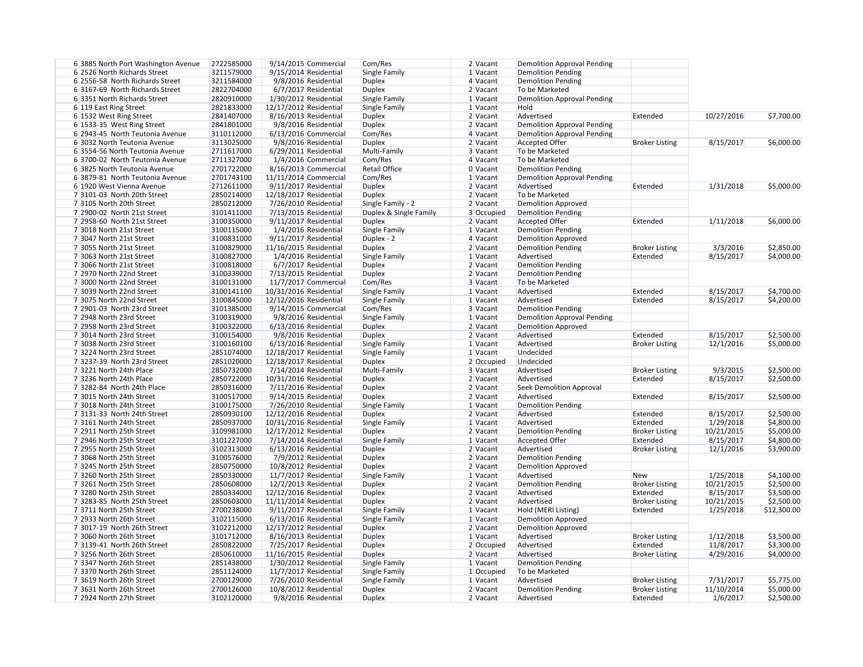| 6 3885 North Port Washington Avenue | 2722585000 | 9/14/2015 Commercial    | Com/Res                | $2$ Vacant | <b>Demolition Approval Pending</b> |                       |            |             |
|-------------------------------------|------------|-------------------------|------------------------|------------|------------------------------------|-----------------------|------------|-------------|
| 6 2526 North Richards Street        | 3211579000 | $9/15/2014$ Residential | Single Family          | 1 Vacant   | <b>Demolition Pending</b>          |                       |            |             |
| 6 2556-58 North Richards Street     | 3211584000 | 9/8/2016 Residential    | <b>Duplex</b>          | 4 Vacant   | <b>Demolition Pending</b>          |                       |            |             |
| 6 3167-69 North Richards Street     | 2822704000 | 6/7/2017 Residential    | <b>Duplex</b>          | 2 Vacant   | To be Marketed                     |                       |            |             |
| 6 3351 North Richards Street        | 2820910000 | 1/30/2012 Residential   | Single Family          | 1 Vacant   | <b>Demolition Approval Pending</b> |                       |            |             |
| 6 119 East Ring Street              | 2821833000 | 12/17/2012 Residential  | Single Family          | 1 Vacant   | Hold                               |                       |            |             |
| 6 1532 West Ring Street             | 2841407000 | 8/16/2013 Residential   | <b>Duplex</b>          | 2 Vacant   | Advertised                         | Extended              | 10/27/2016 | \$7,700.00  |
| 6 1533-35 West Ring Street          | 2841801000 | 9/8/2016 Residential    | <b>Duplex</b>          | 2 Vacant   | <b>Demolition Approval Pending</b> |                       |            |             |
| 6 2943-45 North Teutonia Avenue     | 3110112000 | 6/13/2016 Commercial    | Com/Res                | $4$ Vacant | <b>Demolition Approval Pending</b> |                       |            |             |
| 6 3032 North Teutonia Avenue        | 3113025000 | 9/8/2016 Residential    | <b>Duplex</b>          | 2 Vacant   | <b>Accepted Offer</b>              | <b>Broker Listing</b> | 8/15/2017  | \$6,000.00  |
| 6 3554-56 North Teutonia Avenue     | 2711617000 | 6/29/2011 Residential   | Multi-Family           | 3 Vacant   | To be Marketed                     |                       |            |             |
| 6 3700-02 North Teutonia Avenue     | 2711327000 | 1/4/2016 Commercial     | Com/Res                | 4 Vacant   | To be Marketed                     |                       |            |             |
| 6 3825 North Teutonia Avenue        | 2701722000 | 8/16/2013 Commercial    | <b>Retail Office</b>   | $0$ Vacant | <b>Demolition Pending</b>          |                       |            |             |
| 6 3879-81 North Teutonia Avenue     | 2701743100 | 11/11/2014 Commercial   | Com/Res                | 1 Vacant   | <b>Demolition Approval Pending</b> |                       |            |             |
| 6 1920 West Vienna Avenue           | 2712611000 | 9/11/2017 Residential   | <b>Duplex</b>          | 2 Vacant   | Advertised                         | Extended              | 1/31/2018  | \$5,000.00  |
| 7 3101-03 North 20th Street         | 2850214000 | 12/18/2017 Residential  | <b>Duplex</b>          | $2$ Vacant | To be Marketed                     |                       |            |             |
| 7 3105 North 20th Street            | 2850212000 |                         | Single Family - 2      | $2$ Vacant | <b>Demolition Approved</b>         |                       |            |             |
|                                     |            | 7/26/2010 Residential   |                        |            |                                    |                       |            |             |
| 7 2900-02 North 21st Street         | 3101411000 | 7/13/2015 Residential   | Duplex & Single Family | 3 Occupied | <b>Demolition Pending</b>          |                       |            |             |
| 7 2958-60 North 21st Street         | 3100350000 | 9/11/2017 Residential   | <b>Duplex</b>          | 2 Vacant   | <b>Accepted Offer</b>              | Extended              | 1/11/2018  | \$6,000.00  |
| 7 3018 North 21st Street            | 3100115000 | 1/4/2016 Residential    | Single Family          | $1$ Vacant | <b>Demolition Pending</b>          |                       |            |             |
| 7 3047 North 21st Street            | 3100831000 | 9/11/2017 Residential   | Duplex - 2             | 4 Vacant   | <b>Demolition Approved</b>         |                       |            |             |
| 7 3055 North 21st Street            | 3100829000 | 11/16/2015 Residential  | <b>Duplex</b>          | 2 Vacant   | <b>Demolition Pending</b>          | <b>Broker Listing</b> | 3/3/2016   | \$2,850.00  |
| 7 3063 North 21st Street            | 3100827000 | 1/4/2016 Residential    | Single Family          | 1 Vacant   | Advertised                         | Extended              | 8/15/2017  | \$4,000.00  |
| 7 3066 North 21st Street            | 3100818000 | 6/7/2017 Residential    | <b>Duplex</b>          | 2 Vacant   | <b>Demolition Pending</b>          |                       |            |             |
| 7 2970 North 22nd Street            | 3100339000 | 7/13/2015 Residential   | <b>Duplex</b>          | 2 Vacant   | <b>Demolition Pending</b>          |                       |            |             |
| 7 3000 North 22nd Street            | 3100131000 | 11/7/2017 Commercial    | Com/Res                | 3 Vacant   | To be Marketed                     |                       |            |             |
| 7 3039 North 22nd Street            | 3100141100 | 10/31/2016 Residential  | Single Family          | 1 Vacant   | Advertised                         | Extended              | 8/15/2017  | \$4,700.00  |
| 7 3075 North 22nd Street            | 3100845000 | 12/12/2016 Residential  | Single Family          | 1 Vacant   | Advertised                         | Extended              | 8/15/2017  | \$4,200.00  |
| 7 2901-03 North 23rd Street         | 3101385000 | 9/14/2015 Commercial    | Com/Res                | 3 Vacant   | <b>Demolition Pending</b>          |                       |            |             |
| 7 2948 North 23rd Street            | 3100319000 | 9/8/2016 Residential    | Single Family          | 1 Vacant   | <b>Demolition Approval Pending</b> |                       |            |             |
| 7 2958 North 23rd Street            | 3100322000 | 6/13/2016 Residential   | <b>Duplex</b>          | $2$ Vacant | <b>Demolition Approved</b>         |                       |            |             |
| 7 3014 North 23rd Street            | 3100154000 | 9/8/2016 Residential    | <b>Duplex</b>          | $2$ Vacant | Advertised                         | Extended              | 8/15/2017  | \$2,500.00  |
| 7 3038 North 23rd Street            | 3100160100 | 6/13/2016 Residential   | <b>Single Family</b>   | 1 Vacant   | Advertised                         | <b>Broker Listing</b> | 12/1/2016  | \$5,000.00  |
| 73224 North 23rd Street             | 2851074000 | 12/18/2017 Residential  | Single Family          | 1 Vacant   | Undecided                          |                       |            |             |
| 7 3237-39 North 23rd Street         | 2851020000 | 12/18/2017 Residential  | <b>Duplex</b>          | 2 Occupied | Undecided                          |                       |            |             |
| 73221 North 24th Place              | 2850732000 | $7/14/2014$ Residential | Multi-Family           | 3 Vacant   | Advertised                         | <b>Broker Listing</b> | 9/3/2015   | \$2,500.00  |
| 7 3236 North 24th Place             | 2850722000 | 10/31/2016 Residential  | <b>Duplex</b>          | 2 Vacant   | Advertised                         | Extended              | 8/15/2017  | \$2,500.00  |
| 7 3282-84 North 24th Place          | 2850316000 | 7/11/2016 Residential   | <b>Duplex</b>          | 2 Vacant   | <b>Seek Demolition Approval</b>    |                       |            |             |
| 7 3015 North 24th Street            | 3100517000 | 9/14/2015 Residential   | <b>Duplex</b>          | 2 Vacant   | Advertised                         | Extended              | 8/15/2017  | \$2,500.00  |
| 7 3018 North 24th Street            | 3100175000 | 7/26/2010 Residential   | Single Family          | 1 Vacant   | <b>Demolition Pending</b>          |                       |            |             |
| 7 3131-33 North 24th Street         | 2850930100 | 12/12/2016 Residential  | <b>Duplex</b>          | 2 Vacant   | Advertised                         | Extended              | 8/15/2017  | \$2,500.00  |
| 7 3161 North 24th Street            | 2850937000 | 10/31/2016 Residential  | Single Family          | 1 Vacant   | Advertised                         | Extended              | 1/29/2018  | \$4,800.00  |
| 7 2911 North 25th Street            | 3109981000 | 12/17/2012 Residential  | <b>Duplex</b>          | 2 Vacant   | <b>Demolition Pending</b>          | <b>Broker Listing</b> | 10/21/2015 | \$5,000.00  |
| 7 2946 North 25th Street            | 3101227000 | 7/14/2014 Residential   | Single Family          | 1 Vacant   | <b>Accepted Offer</b>              | Extended              | 8/15/2017  | \$4,800.00  |
| 7 2955 North 25th Street            | 3102313000 | 6/13/2016 Residential   | <b>Duplex</b>          | 2 Vacant   | Advertised                         | <b>Broker Listing</b> | 12/1/2016  | \$3,900.00  |
| 7 3068 North 25th Street            | 3100576000 | 7/9/2012 Residential    | <b>Duplex</b>          | 2 Vacant   | <b>Demolition Pending</b>          |                       |            |             |
| 7 3245 North 25th Street            | 2850750000 | 10/8/2012 Residential   | <b>Duplex</b>          | 2 Vacant   | <b>Demolition Approved</b>         |                       |            |             |
| 7 3260 North 25th Street            | 2850330000 | 11/7/2017 Residential   | Single Family          | 1 Vacant   | Advertised                         | <b>New</b>            | 1/25/2018  | \$4,100.00  |
| 7 3261 North 25th Street            | 2850608000 | 12/2/2013 Residential   | <b>Duplex</b>          | 2 Vacant   | <b>Demolition Pending</b>          | <b>Broker Listing</b> | 10/21/2015 | \$2,500.00  |
| 7 3280 North 25th Street            | 2850334000 | 12/12/2016 Residential  | <b>Duplex</b>          | 2 Vacant   | Advertised                         | Extended              | 8/15/2017  | \$3,500.00  |
| 7 3283-85 North 25th Street         | 2850603000 | 11/11/2014 Residential  | <b>Duplex</b>          | 2 Vacant   | Advertised                         | <b>Broker Listing</b> | 10/21/2015 | \$2,500.00  |
| 7 3711 North 25th Street            | 2700238000 | 9/11/2017 Residential   | Single Family          | 1 Vacant   | Hold (MERI Listing)                | Extended              | 1/25/2018  | \$12,300.00 |
| 7 2933 North 26th Street            | 3102115000 | 6/13/2016 Residential   | Single Family          | 1 Vacant   | <b>Demolition Approved</b>         |                       |            |             |
| 7 3017-19 North 26th Street         | 3102212000 | 12/17/2012 Residential  | <b>Duplex</b>          | 2 Vacant   | <b>Demolition Approved</b>         |                       |            |             |
| 7 3060 North 26th Street            | 3101712000 | 8/16/2013 Residential   | <b>Duplex</b>          | $1$ Vacant | Advertised                         | <b>Broker Listing</b> | 1/12/2018  | \$3,500.00  |
|                                     | 2850822000 |                         |                        |            | Advertised                         | Extended              | 11/8/2017  |             |
| 7 3139-41 North 26th Street         |            | 7/25/2017 Residential   | <b>Duplex</b>          | 2 Occupied |                                    |                       |            | \$3,300.00  |
| 7 3256 North 26th Street            | 2850610000 | 11/16/2015 Residential  | <b>Duplex</b>          | 2 Vacant   | Advertised                         | <b>Broker Listing</b> | 4/29/2016  | \$4,000.00  |
| 7 3347 North 26th Street            | 2851438000 | $1/30/2012$ Residential | Single Family          | 1 Vacant   | <b>Demolition Pending</b>          |                       |            |             |
| 73370 North 26th Street             | 2851124000 | $11/7/2017$ Residential | Single Family          | 1 Occupied | To be Marketed                     |                       |            |             |
| 7 3619 North 26th Street            | 2700129000 | 7/26/2010 Residential   | Single Family          | 1 Vacant   | Advertised                         | <b>Broker Listing</b> | 7/31/2017  | \$5,775.00  |
| 7 3631 North 26th Street            | 2700126000 | 10/8/2012 Residential   | <b>Duplex</b>          | 2 Vacant   | <b>Demolition Pending</b>          | <b>Broker Listing</b> | 11/10/2014 | \$5,000.00  |
| 7 2924 North 27th Street            | 3102120000 | 9/8/2016 Residential    | <b>Duplex</b>          | $2$ Vacant | Advertised                         | Extended              | 1/6/2017   | \$2,500.00  |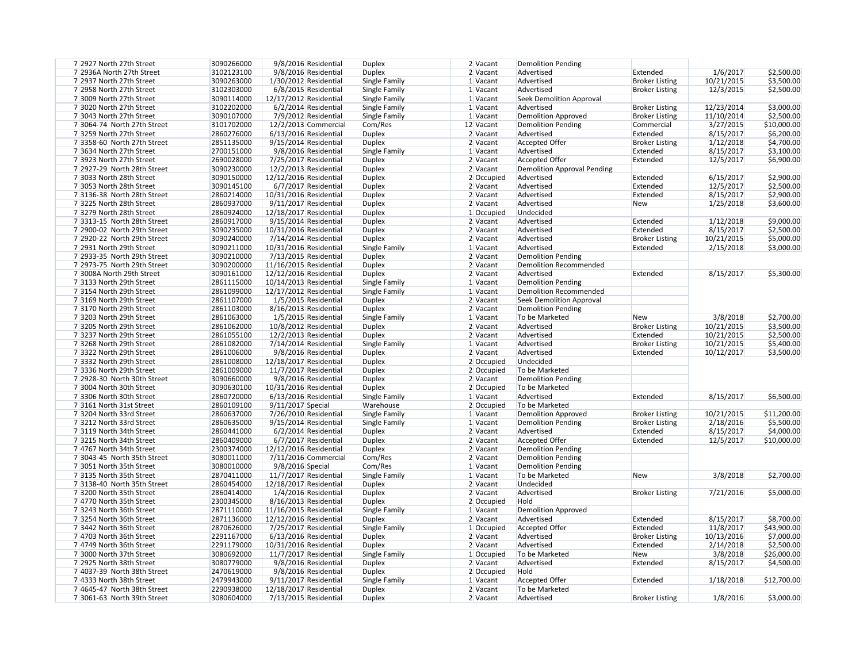| 7 2927 North 27th Street    | 3090266000 | 9/8/2016 Residential    | <b>Duplex</b> | $2$ Vacant | <b>Demolition Pending</b>          |                       |            |             |
|-----------------------------|------------|-------------------------|---------------|------------|------------------------------------|-----------------------|------------|-------------|
| 7 2936A North 27th Street   | 3102123100 | 9/8/2016 Residential    | <b>Duplex</b> | 2 Vacant   | Advertised                         | Extended              | 1/6/2017   | \$2,500.00  |
| 7 2937 North 27th Street    | 3090263000 | 1/30/2012 Residential   | Single Family | 1 Vacant   | Advertised                         | <b>Broker Listing</b> | 10/21/2015 | \$3,500.00  |
| 7 2958 North 27th Street    | 3102303000 | 6/8/2015 Residential    | Single Family | 1 Vacant   | Advertised                         | <b>Broker Listing</b> | 12/3/2015  | \$2,500.00  |
| 7 3009 North 27th Street    | 3090114000 | 12/17/2012 Residential  | Single Family | 1 Vacant   | Seek Demolition Approval           |                       |            |             |
| 7 3020 North 27th Street    | 3102202000 | 6/2/2014 Residential    | Single Family | 1 Vacant   | Advertised                         | <b>Broker Listing</b> | 12/23/2014 | \$3,000.00  |
| 7 3043 North 27th Street    | 3090107000 | 7/9/2012 Residential    | Single Family | 1 Vacant   | <b>Demolition Approved</b>         | <b>Broker Listing</b> | 11/10/2014 | \$2,500.00  |
| 7 3064-74 North 27th Street | 3101702000 | 12/2/2013 Commercial    | Com/Res       | 12 Vacant  | <b>Demolition Pending</b>          | Commercial            | 3/27/2015  | \$10,000.00 |
| 7 3259 North 27th Street    | 2860276000 | 6/13/2016 Residential   | <b>Duplex</b> | $2$ Vacant | Advertised                         | Extended              | 8/15/2017  | \$6,200.00  |
| 7 3358-60 North 27th Street | 2851135000 | 9/15/2014 Residential   | <b>Duplex</b> | $2$ Vacant | <b>Accepted Offer</b>              | <b>Broker Listing</b> | 1/12/2018  | \$4,700.00  |
| 7 3634 North 27th Street    | 2700151000 | 9/8/2016 Residential    | Single Family | $1$ Vacant | Advertised                         | Extended              | 8/15/2017  | \$3,100.00  |
| 7 3923 North 27th Street    | 2690028000 | 7/25/2017 Residential   | <b>Duplex</b> | 2 Vacant   | <b>Accepted Offer</b>              | Extended              | 12/5/2017  | \$6,900.00  |
| 7 2927-29 North 28th Street | 3090230000 | $12/2/2013$ Residential | <b>Duplex</b> | 2 Vacant   | <b>Demolition Approval Pending</b> |                       |            |             |
| 7 3033 North 28th Street    | 3090150000 | 12/12/2016 Residential  | <b>Duplex</b> | 2 Occupied | Advertised                         | Extended              | 6/15/2017  | \$2,900.00  |
| 7 3053 North 28th Street    | 3090145100 | 6/7/2017 Residential    | <b>Duplex</b> | 2 Vacant   | Advertised                         | Extended              | 12/5/2017  | \$2,500.00  |
| 7 3136-38 North 28th Street | 2860214000 | 10/31/2016 Residential  | <b>Duplex</b> | 2 Vacant   | Advertised                         | Extended              | 8/15/2017  | \$2,900.00  |
| 7 3225 North 28th Street    | 2860937000 | 9/11/2017 Residential   | <b>Duplex</b> | $2$ Vacant | Advertised                         | <b>New</b>            | 1/25/2018  | \$3,600.00  |
| 7 3279 North 28th Street    | 2860924000 | 12/18/2017 Residential  | <b>Duplex</b> | 1 Occupied | Undecided                          |                       |            |             |
| 7 3313-15 North 28th Street | 2860917000 | 9/15/2014 Residential   | <b>Duplex</b> | $2$ Vacant | Advertised                         | Extended              | 1/12/2018  | \$9,000.00  |
|                             | 3090235000 |                         |               |            | Advertised                         | Extended              | 8/15/2017  | \$2,500.00  |
| 7 2900-02 North 29th Street |            | 10/31/2016 Residential  | <b>Duplex</b> | $2$ Vacant |                                    |                       |            |             |
| 7 2920-22 North 29th Street | 3090240000 | 7/14/2014 Residential   | <b>Duplex</b> | 2 Vacant   | Advertised                         | <b>Broker Listing</b> | 10/21/2015 | \$5,000.00  |
| 7 2931 North 29th Street    | 3090211000 | 10/31/2016 Residential  | Single Family | 1 Vacant   | Advertised                         | Extended              | 2/15/2018  | \$3,000.00  |
| 7 2933-35 North 29th Street | 3090210000 | 7/13/2015 Residential   | <b>Duplex</b> | $2$ Vacant | <b>Demolition Pending</b>          |                       |            |             |
| 7 2973-75 North 29th Street | 3090200000 | 11/16/2015 Residential  | <b>Duplex</b> | $2$ Vacant | <b>Demolition Recommended</b>      |                       |            |             |
| 73008A North 29th Street    | 3090161000 | 12/12/2016 Residential  | <b>Duplex</b> | 2 Vacant   | Advertised                         | Extended              | 8/15/2017  | \$5,300.00  |
| 73133 North 29th Street     | 2861115000 | 10/14/2013 Residential  | Single Family | 1 Vacant   | <b>Demolition Pending</b>          |                       |            |             |
| 73154 North 29th Street     | 2861099000 | 12/17/2012 Residential  | Single Family | 1 Vacant   | <b>Demolition Recommended</b>      |                       |            |             |
| 7 3169 North 29th Street    | 2861107000 | 1/5/2015 Residential    | <b>Duplex</b> | 2 Vacant   | Seek Demolition Approval           |                       |            |             |
| 73170 North 29th Street     | 2861103000 | 8/16/2013 Residential   | <b>Duplex</b> | $2$ Vacant | <b>Demolition Pending</b>          |                       |            |             |
| 7 3203 North 29th Street    | 2861063000 | 1/5/2015 Residential    | Single Family | 1 Vacant   | To be Marketed                     | <b>New</b>            | 3/8/2018   | \$2,700.00  |
| 7 3205 North 29th Street    | 2861062000 | 10/8/2012 Residential   | <b>Duplex</b> | $2$ Vacant | Advertised                         | <b>Broker Listing</b> | 10/21/2015 | \$3,500.00  |
| 73237 North 29th Street     | 2861055100 | 12/2/2013 Residential   | <b>Duplex</b> | $2$ Vacant | Advertised                         | Extended              | 10/21/2015 | \$2,500.00  |
| 7 3268 North 29th Street    | 2861082000 | 7/14/2014 Residential   | Single Family | 1 Vacant   | Advertised                         | <b>Broker Listing</b> | 10/21/2015 | \$5,400.00  |
| 73322 North 29th Street     | 2861006000 | 9/8/2016 Residential    | <b>Duplex</b> | $2$ Vacant | Advertised                         | Extended              | 10/12/2017 | \$3,500.00  |
| 73332 North 29th Street     | 2861008000 | 12/18/2017 Residential  | <b>Duplex</b> | 2 Occupied | Undecided                          |                       |            |             |
| 7 3336 North 29th Street    | 2861009000 | $11/7/2017$ Residential | <b>Duplex</b> | 2 Occupied | To be Marketed                     |                       |            |             |
| 7 2928-30 North 30th Street | 3090660000 | 9/8/2016 Residential    | <b>Duplex</b> | 2 Vacant   | Demolition Pending                 |                       |            |             |
| 7 3004 North 30th Street    | 3090630100 | 10/31/2016 Residential  | <b>Duplex</b> | 2 Occupied | To be Marketed                     |                       |            |             |
| 7 3306 North 30th Street    | 2860720000 | 6/13/2016 Residential   | Single Family | 1 Vacant   | Advertised                         | Extended              | 8/15/2017  | \$6,500.00  |
| 7 3161 North 31st Street    | 2860109100 | 9/11/2017 Special       | Warehouse     | 2 Occupied | To be Marketed                     |                       |            |             |
| 7 3204 North 33rd Street    | 2860637000 | 7/26/2010 Residential   | Single Family | 1 Vacant   | <b>Demolition Approved</b>         | <b>Broker Listing</b> | 10/21/2015 | \$11,200.00 |
| 7 3212 North 33rd Street    | 2860635000 | $9/15/2014$ Residential | Single Family | $1$ Vacant | <b>Demolition Pending</b>          | <b>Broker Listing</b> | 2/18/2016  | \$5,500.00  |
| 7 3119 North 34th Street    | 2860441000 | 6/2/2014 Residential    | <b>Duplex</b> | 2 Vacant   | Advertised                         | Extended              | 8/15/2017  | \$4,000.00  |
| 7 3215 North 34th Street    | 2860409000 | 6/7/2017 Residential    | <b>Duplex</b> | $2$ Vacant | <b>Accepted Offer</b>              | Extended              | 12/5/2017  | \$10,000.00 |
| 7 4767 North 34th Street    | 2300374000 | 12/12/2016 Residential  | <b>Duplex</b> | 2 Vacant   | <b>Demolition Pending</b>          |                       |            |             |
| 7 3043-45 North 35th Street | 3080011000 | 7/11/2016 Commercial    | Com/Res       | $2$ Vacant | <b>Demolition Pending</b>          |                       |            |             |
| 7 3051 North 35th Street    | 3080010000 | 9/8/2016 Special        | Com/Res       | $1$ Vacant | <b>Demolition Pending</b>          |                       |            |             |
| 7 3135 North 35th Street    | 2870411000 | 11/7/2017 Residential   | Single Family | 1 Vacant   | To be Marketed                     | New                   | 3/8/2018   | \$2,700.00  |
| 7 3138-40 North 35th Street | 2860454000 | 12/18/2017 Residential  | <b>Duplex</b> | $2$ Vacant | Undecided                          |                       |            |             |
| 7 3200 North 35th Street    | 2860414000 | 1/4/2016 Residential    | <b>Duplex</b> | $2$ Vacant | Advertised                         | <b>Broker Listing</b> | 7/21/2016  | \$5,000.00  |
| 7 4770 North 35th Street    | 2300345000 | 8/16/2013 Residential   | <b>Duplex</b> | 2 Occupied | Hold                               |                       |            |             |
| 7 3243 North 36th Street    | 2871110000 | 11/16/2015 Residential  | Single Family | 1 Vacant   | <b>Demolition Approved</b>         |                       |            |             |
| 7 3254 North 36th Street    | 2871136000 | 12/12/2016 Residential  | <b>Duplex</b> | 2 Vacant   | Advertised                         | Extended              | 8/15/2017  | \$8,700.00  |
| 7 3442 North 36th Street    | 2870626000 | 7/25/2017 Residential   | Single Family | 1 Occupied | Accepted Offer                     | Extended              | 11/8/2017  | \$43,900.00 |
| 7 4703 North 36th Street    | 2291167000 | 6/13/2016 Residential   | <b>Duplex</b> | 2 Vacant   | Advertised                         | <b>Broker Listing</b> | 10/13/2016 | \$7,000.00  |
| 7 4749 North 36th Street    | 2291179000 | 10/31/2016 Residential  | <b>Duplex</b> | 2 Vacant   | Advertised                         | Extended              | 2/14/2018  | \$2,500.00  |
| 7 3000 North 37th Street    | 3080692000 | 11/7/2017 Residential   | Single Family | 1 Occupied | To be Marketed                     | <b>New</b>            | 3/8/2018   | \$26,000.00 |
| 7 2925 North 38th Street    | 3080779000 | 9/8/2016 Residential    | <b>Duplex</b> | 2 Vacant   | Advertised                         | Extended              | 8/15/2017  | \$4,500.00  |
| 7 4037-39 North 38th Street | 2470619000 | 9/8/2016 Residential    | <b>Duplex</b> | 2 Occupied | Hold                               |                       |            |             |
| 7 4333 North 38th Street    | 2479943000 | 9/11/2017 Residential   | Single Family | 1 Vacant   | <b>Accepted Offer</b>              | Extended              | 1/18/2018  | \$12,700.00 |
| 7 4645-47 North 38th Street | 2290938000 | 12/18/2017 Residential  | <b>Duplex</b> | 2 Vacant   | To be Marketed                     |                       |            |             |
| 7 3061-63 North 39th Street | 3080604000 | 7/13/2015 Residential   | <b>Duplex</b> | 2 Vacant   | Advertised                         | <b>Broker Listing</b> | 1/8/2016   | \$3,000.00  |
|                             |            |                         |               |            |                                    |                       |            |             |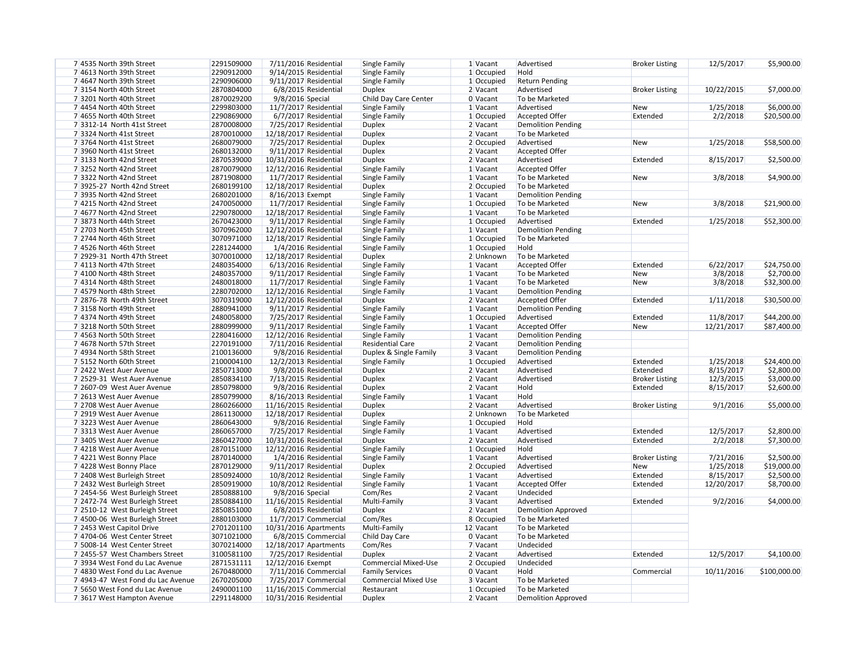| 7 4535 North 39th Street          | 2291509000 | 7/11/2016 Residential  | Single Family               | 1 Vacant   | Advertised                | <b>Broker Listing</b> | 12/5/2017  | \$5,900.00   |
|-----------------------------------|------------|------------------------|-----------------------------|------------|---------------------------|-----------------------|------------|--------------|
| 7 4613 North 39th Street          | 2290912000 | 9/14/2015 Residential  | Single Family               | 1 Occupied | Hold                      |                       |            |              |
| 74647 North 39th Street           | 2290906000 | 9/11/2017 Residential  | Single Family               | 1 Occupied | <b>Return Pending</b>     |                       |            |              |
| 73154 North 40th Street           | 2870804000 | 6/8/2015 Residential   | <b>Duplex</b>               | 2 Vacant   | Advertised                | <b>Broker Listing</b> | 10/22/2015 | \$7,000.00   |
| 73201 North 40th Street           | 2870029200 | 9/8/2016 Special       | Child Day Care Center       | 0 Vacant   | To be Marketed            |                       |            |              |
| 7 4454 North 40th Street          | 2299803000 | 11/7/2017 Residential  | Single Family               | 1 Vacant   | Advertised                | <b>New</b>            | 1/25/2018  | \$6,000.00   |
| 7 4655 North 40th Street          | 2290869000 | 6/7/2017 Residential   | Single Family               | 1 Occupied | Accepted Offer            | Extended              | 2/2/2018   | \$20,500.00  |
| 7 3312-14 North 41st Street       | 2870008000 | 7/25/2017 Residential  | <b>Duplex</b>               | 2 Vacant   | <b>Demolition Pending</b> |                       |            |              |
| 7 3324 North 41st Street          | 2870010000 | 12/18/2017 Residential | <b>Duplex</b>               | 2 Vacant   | To be Marketed            |                       |            |              |
| 7 3764 North 41st Street          | 2680079000 | 7/25/2017 Residential  | <b>Duplex</b>               | 2 Occupied | Advertised                | <b>New</b>            | 1/25/2018  | \$58,500.00  |
| 7 3960 North 41st Street          | 2680132000 | 9/11/2017 Residential  | <b>Duplex</b>               | 2 Vacant   | <b>Accepted Offer</b>     |                       |            |              |
| 73133 North 42nd Street           | 2870539000 | 10/31/2016 Residential | <b>Duplex</b>               | 2 Vacant   | Advertised                | Extended              | 8/15/2017  | \$2,500.00   |
| 73252 North 42nd Street           | 2870079000 | 12/12/2016 Residential | Single Family               | 1 Vacant   | <b>Accepted Offer</b>     |                       |            |              |
| 73322 North 42nd Street           | 2871908000 | 11/7/2017 Residential  | Single Family               | 1 Vacant   | To be Marketed            | New                   | 3/8/2018   | \$4,900.00   |
| 7 3925-27 North 42nd Street       | 2680199100 | 12/18/2017 Residential | <b>Duplex</b>               | 2 Occupied | To be Marketed            |                       |            |              |
| 7 3935 North 42nd Street          | 2680201000 | 8/16/2013 Exempt       | Single Family               | 1 Vacant   | <b>Demolition Pending</b> |                       |            |              |
| 74215 North 42nd Street           | 2470050000 | 11/7/2017 Residential  | Single Family               | 1 Occupied | To be Marketed            | <b>New</b>            | 3/8/2018   | \$21,900.00  |
| 7 4677 North 42nd Street          | 2290780000 | 12/18/2017 Residential | Single Family               | 1 Vacant   | To be Marketed            |                       |            |              |
| 7 3873 North 44th Street          | 2670423000 | 9/11/2017 Residential  | Single Family               | 1 Occupied | Advertised                | Extended              | 1/25/2018  | \$52,300.00  |
| 7 2703 North 45th Street          | 3070962000 | 12/12/2016 Residential | Single Family               | 1 Vacant   | <b>Demolition Pending</b> |                       |            |              |
| 7 2744 North 46th Street          | 3070971000 | 12/18/2017 Residential | Single Family               | 1 Occupied | To be Marketed            |                       |            |              |
| 7 4526 North 46th Street          | 2281244000 | 1/4/2016 Residential   | Single Family               | 1 Occupied | Hold                      |                       |            |              |
| 7 2929-31 North 47th Street       | 3070010000 | 12/18/2017 Residential | <b>Duplex</b>               | 2 Unknown  | To be Marketed            |                       |            |              |
| 7 4113 North 47th Street          | 2480354000 | 6/13/2016 Residential  | Single Family               | 1 Vacant   | <b>Accepted Offer</b>     | Extended              | 6/22/2017  | \$24,750.00  |
| 74100 North 48th Street           | 2480357000 |                        |                             |            | To be Marketed            |                       |            |              |
|                                   |            | 9/11/2017 Residential  | Single Family               | 1 Vacant   | To be Marketed            | <b>New</b>            | 3/8/2018   | \$2,700.00   |
| 7 4314 North 48th Street          | 2480018000 | 11/7/2017 Residential  | Single Family               | 1 Vacant   |                           | <b>New</b>            | 3/8/2018   | \$32,300.00  |
| 7 4579 North 48th Street          | 2280702000 | 12/12/2016 Residential | Single Family               | 1 Vacant   | <b>Demolition Pending</b> |                       |            |              |
| 7 2876-78 North 49th Street       | 3070319000 | 12/12/2016 Residential | <b>Duplex</b>               | 2 Vacant   | <b>Accepted Offer</b>     | Extended              | 1/11/2018  | \$30,500.00  |
| 73158 North 49th Street           | 2880941000 | 9/11/2017 Residential  | Single Family               | 1 Vacant   | <b>Demolition Pending</b> |                       |            |              |
| 7 4374 North 49th Street          | 2480058000 | 7/25/2017 Residential  | Single Family               | 1 Occupied | Advertised                | Extended              | 11/8/2017  | \$44,200.00  |
| 73218 North 50th Street           | 2880999000 | 9/11/2017 Residential  | Single Family               | 1 Vacant   | <b>Accepted Offer</b>     | New                   | 12/21/2017 | \$87,400.00  |
| 7 4563 North 50th Street          | 2280416000 | 12/12/2016 Residential | Single Family               | 1 Vacant   | <b>Demolition Pending</b> |                       |            |              |
| 7 4678 North 57th Street          | 2270191000 | 7/11/2016 Residential  | <b>Residential Care</b>     | 2 Vacant   | <b>Demolition Pending</b> |                       |            |              |
| 7 4934 North 58th Street          | 2100136000 | 9/8/2016 Residential   | Duplex & Single Family      | 3 Vacant   | <b>Demolition Pending</b> |                       |            |              |
| 7 5152 North 60th Street          | 2100004100 | 12/2/2013 Residential  | Single Family               | 1 Occupied | Advertised                | Extended              | 1/25/2018  | \$24,400.00  |
| 7 2422 West Auer Avenue           | 2850713000 | 9/8/2016 Residential   | <b>Duplex</b>               | 2 Vacant   | Advertised                | Extended              | 8/15/2017  | \$2,800.00   |
| 7 2529-31 West Auer Avenue        | 2850834100 | 7/13/2015 Residential  | <b>Duplex</b>               | 2 Vacant   | Advertised                | <b>Broker Listing</b> | 12/3/2015  | \$3,000.00   |
| 7 2607-09 West Auer Avenue        | 2850798000 | 9/8/2016 Residential   | <b>Duplex</b>               | 2 Vacant   | Hold                      | Extended              | 8/15/2017  | \$2,600.00   |
| 7 2613 West Auer Avenue           | 2850799000 | 8/16/2013 Residential  | Single Family               | 1 Vacant   | Hold                      |                       |            |              |
| 7 2708 West Auer Avenue           | 2860266000 | 11/16/2015 Residential | <b>Duplex</b>               | 2 Vacant   | Advertised                | <b>Broker Listing</b> | 9/1/2016   | \$5,000.00   |
| 7 2919 West Auer Avenue           | 2861130000 | 12/18/2017 Residential | <b>Duplex</b>               | 2 Unknown  | To be Marketed            |                       |            |              |
| 73223 West Auer Avenue            | 2860643000 | 9/8/2016 Residential   | Single Family               | 1 Occupied | Hold                      |                       |            |              |
| 73313 West Auer Avenue            | 2860657000 | 7/25/2017 Residential  | Single Family               | 1 Vacant   | Advertised                | Extended              | 12/5/2017  | \$2,800.00   |
| 73405 West Auer Avenue            | 2860427000 | 10/31/2016 Residential | <b>Duplex</b>               | 2 Vacant   | Advertised                | Extended              | 2/2/2018   | \$7,300.00   |
| 7 4218 West Auer Avenue           | 2870151000 | 12/12/2016 Residential | Single Family               | 1 Occupied | Hold                      |                       |            |              |
| 7 4221 West Bonny Place           | 2870140000 | 1/4/2016 Residential   | Single Family               | 1 Vacant   | Advertised                | <b>Broker Listing</b> | 7/21/2016  | \$2,500.00   |
| 7 4228 West Bonny Place           | 2870129000 | 9/11/2017 Residential  | <b>Duplex</b>               | 2 Occupied | Advertised                | New                   | 1/25/2018  | \$19,000.00  |
| 7 2408 West Burleigh Street       | 2850924000 | 10/8/2012 Residential  | Single Family               | 1 Vacant   | Advertised                | Extended              | 8/15/2017  | \$2,500.00   |
| 7 2432 West Burleigh Street       | 2850919000 | 10/8/2012 Residential  | Single Family               | 1 Vacant   | <b>Accepted Offer</b>     | Extended              | 12/20/2017 | \$8,700.00   |
| 7 2454-56 West Burleigh Street    | 2850888100 | $9/8/2016$ Special     | Com/Res                     | 2 Vacant   | Undecided                 |                       |            |              |
| 7 2472-74 West Burleigh Street    | 2850884100 | 11/16/2015 Residential | Multi-Family                | 3 Vacant   | Advertised                | Extended              | 9/2/2016   | \$4,000.00   |
| 7 2510-12 West Burleigh Street    | 2850851000 | 6/8/2015 Residential   | <b>Duplex</b>               | $2$ Vacant | Demolition Approved       |                       |            |              |
| 7 4500-06 West Burleigh Street    | 2880103000 | 11/7/2017 Commercial   | Com/Res                     | 8 Occupied | To be Marketed            |                       |            |              |
| 7 2453 West Capitol Drive         | 2701201100 | 10/31/2016 Apartments  | Multi-Family                | 12 Vacant  | To be Marketed            |                       |            |              |
| 7 4704-06 West Center Street      | 3071021000 | 6/8/2015 Commercial    | Child Day Care              | 0 Vacant   | To be Marketed            |                       |            |              |
| 7 5008-14 West Center Street      | 3070214000 | 12/18/2017 Apartments  | Com/Res                     | 7 Vacant   | Undecided                 |                       |            |              |
| 7 2455-57 West Chambers Street    | 3100581100 | 7/25/2017 Residential  | <b>Duplex</b>               | $2$ Vacant | Advertised                | Extended              | 12/5/2017  | \$4,100.00   |
| 7 3934 West Fond du Lac Avenue    | 2871531111 | 12/12/2016 Exempt      | <b>Commercial Mixed-Use</b> | 2 Occupied | Undecided                 |                       |            |              |
| 7 4830 West Fond du Lac Avenue    | 2670480000 | 7/11/2016 Commercial   | <b>Family Services</b>      | 0 Vacant   | Hold                      | Commercial            | 10/11/2016 | \$100,000.00 |
| 7 4943-47 West Fond du Lac Avenue | 2670205000 | 7/25/2017 Commercial   | <b>Commercial Mixed Use</b> | 3 Vacant   | To be Marketed            |                       |            |              |
| 7 5650 West Fond du Lac Avenue    | 2490001100 | 11/16/2015 Commercial  | Restaurant                  | 1 Occupied | To be Marketed            |                       |            |              |
|                                   | 2291148000 |                        |                             | $2$ Vacant |                           |                       |            |              |
| 7 3617 West Hampton Avenue        |            | 10/31/2016 Residential | <b>Duplex</b>               |            | Demolition Approved       |                       |            |              |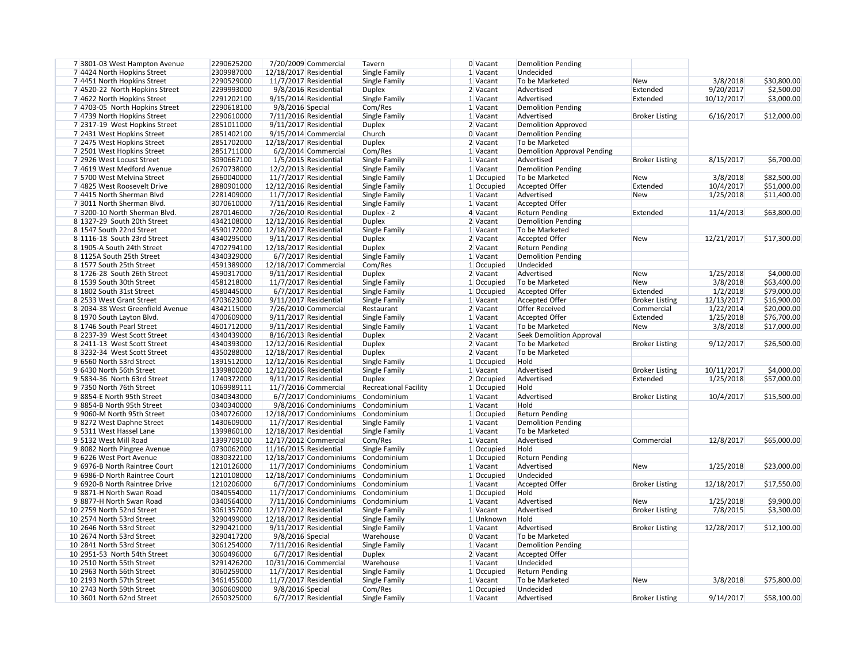| 7 3801-03 West Hampton Avenue    | 2290625200 |                        | 7/20/2009 Commercial    | Tavern                       | 0 Vacant     | <b>Demolition Pending</b>          |                       |            |             |
|----------------------------------|------------|------------------------|-------------------------|------------------------------|--------------|------------------------------------|-----------------------|------------|-------------|
| 7 4424 North Hopkins Street      | 2309987000 | 12/18/2017 Residential |                         | Single Family                | 1 Vacant     | Undecided                          |                       |            |             |
| 7 4451 North Hopkins Street      | 2290529000 |                        | 11/7/2017 Residential   | Single Family                | 1 Vacant     | To be Marketed                     | <b>New</b>            | 3/8/2018   | \$30,800.00 |
| 7 4520-22 North Hopkins Street   | 2299993000 |                        | 9/8/2016 Residential    | <b>Duplex</b>                | 2 Vacant     | Advertised                         | Extended              | 9/20/2017  | \$2,500.00  |
| 7 4622 North Hopkins Street      | 2291202100 |                        | 9/15/2014 Residential   | Single Family                | 1 Vacant     | Advertised                         | Extended              | 10/12/2017 | \$3,000.00  |
| 7 4703-05 North Hopkins Street   | 2290618100 | 9/8/2016 Special       |                         | Com/Res                      | 1 Vacant     | <b>Demolition Pending</b>          |                       |            |             |
| 7 4739 North Hopkins Street      | 2290610000 |                        | 7/11/2016 Residential   | Single Family                | 1 Vacant     | Advertised                         | <b>Broker Listing</b> | 6/16/2017  | \$12,000.00 |
| 7 2317-19 West Hopkins Street    | 2851011000 |                        | 9/11/2017 Residential   | <b>Duplex</b>                | 2 Vacant     | <b>Demolition Approved</b>         |                       |            |             |
| 7 2431 West Hopkins Street       | 2851402100 |                        | 9/15/2014 Commercial    | Church                       | 0 Vacant     | <b>Demolition Pending</b>          |                       |            |             |
| 7 2475 West Hopkins Street       | 2851702000 | 12/18/2017 Residential |                         | <b>Duplex</b>                | $2$ Vacant   | To be Marketed                     |                       |            |             |
| 7 2501 West Hopkins Street       | 2851711000 |                        | 6/2/2014 Commercial     | Com/Res                      | 1 Vacant     | <b>Demolition Approval Pending</b> |                       |            |             |
| 7 2926 West Locust Street        | 3090667100 |                        | 1/5/2015 Residential    | Single Family                | 1 Vacant     | Advertised                         | <b>Broker Listing</b> | 8/15/2017  | \$6,700.00  |
| 7 4619 West Medford Avenue       | 2670738000 |                        | 12/2/2013 Residential   | Single Family                | 1 Vacant     | <b>Demolition Pending</b>          |                       |            |             |
| 7 5700 West Melvina Street       | 2660040000 |                        | 11/7/2017 Residential   | Single Family                | 1 Occupied   | To be Marketed                     | <b>New</b>            | 3/8/2018   | \$82,500.00 |
| 7 4825 West Roosevelt Drive      | 2880901000 | 12/12/2016 Residential |                         | Single Family                | 1 Occupied   | Accepted Offer                     | Extended              | 10/4/2017  | \$51,000.00 |
| 7 4415 North Sherman Blvd        | 2281409000 |                        | 11/7/2017 Residential   | Single Family                | 1 Vacant     | Advertised                         | <b>New</b>            | 1/25/2018  | \$11,400.00 |
| 7 3011 North Sherman Blvd.       | 3070610000 |                        | 7/11/2016 Residential   | Single Family                | 1 Vacant     | <b>Accepted Offer</b>              |                       |            |             |
| 7 3200-10 North Sherman Blvd.    |            |                        |                         |                              |              |                                    | Extended              |            |             |
|                                  | 2870146000 |                        | 7/26/2010 Residential   | Duplex - 2                   | 4 Vacant     | <b>Return Pending</b>              |                       | 11/4/2013  | \$63,800.00 |
| 8 1327-29 South 20th Street      | 4342108000 | 12/12/2016 Residential |                         | <b>Duplex</b>                | 2 Vacant     | <b>Demolition Pending</b>          |                       |            |             |
| 8 1547 South 22nd Street         | 4590172000 | 12/18/2017 Residential |                         | Single Family                | 1 Vacant     | To be Marketed                     |                       |            |             |
| 8 1116-18 South 23rd Street      | 4340295000 |                        | 9/11/2017 Residential   | <b>Duplex</b>                | 2 Vacant     | <b>Accepted Offer</b>              | <b>New</b>            | 12/21/2017 | \$17,300.00 |
| 8 1905-A South 24th Street       | 4702794100 | 12/18/2017 Residential |                         | <b>Duplex</b>                | 2 Vacant     | <b>Return Pending</b>              |                       |            |             |
| 8 1125A South 25th Street        | 4340329000 |                        | 6/7/2017 Residential    | Single Family                | 1 Vacant     | <b>Demolition Pending</b>          |                       |            |             |
| 8 1577 South 25th Street         | 4591389000 |                        | 12/18/2017 Commercial   | Com/Res                      | $1$ Occupied | Undecided                          |                       |            |             |
| 8 1726-28 South 26th Street      | 4590317000 |                        | 9/11/2017 Residential   | <b>Duplex</b>                | 2 Vacant     | Advertised                         | <b>New</b>            | 1/25/2018  | \$4,000.00  |
| 8 1539 South 30th Street         | 4581218000 |                        | 11/7/2017 Residential   | Single Family                | 1 Occupied   | To be Marketed                     | <b>New</b>            | 3/8/2018   | \$63,400.00 |
| 8 1802 South 31st Street         | 4580445000 |                        | 6/7/2017 Residential    | Single Family                | 1 Occupied   | Accepted Offer                     | Extended              | 1/2/2018   | \$79,000.00 |
| 8 2533 West Grant Street         | 4703623000 |                        | 9/11/2017 Residential   | Single Family                | 1 Vacant     | <b>Accepted Offer</b>              | <b>Broker Listing</b> | 12/13/2017 | \$16,900.00 |
| 8 2034-38 West Greenfield Avenue | 4342115000 |                        | 7/26/2010 Commercial    | Restaurant                   | 2 Vacant     | <b>Offer Received</b>              | Commercial            | 1/22/2014  | \$20,000.00 |
| 8 1970 South Layton Blvd.        | 4700609000 |                        | $9/11/2017$ Residential | Single Family                | 1 Vacant     | <b>Accepted Offer</b>              | Extended              | 1/25/2018  | \$76,700.00 |
| 8 1746 South Pearl Street        | 4601712000 |                        | 9/11/2017 Residential   | Single Family                | 1 Vacant     | To be Marketed                     | <b>New</b>            | 3/8/2018   | \$17,000.00 |
| 8 2237-39 West Scott Street      | 4340439000 |                        | 8/16/2013 Residential   | <b>Duplex</b>                | 2 Vacant     | <b>Seek Demolition Approval</b>    |                       |            |             |
| 8 2411-13 West Scott Street      | 4340393000 | 12/12/2016 Residential |                         | <b>Duplex</b>                | 2 Vacant     | To be Marketed                     | <b>Broker Listing</b> | 9/12/2017  | \$26,500.00 |
| 8 3232-34 West Scott Street      | 4350288000 | 12/18/2017 Residential |                         | <b>Duplex</b>                | 2 Vacant     | To be Marketed                     |                       |            |             |
| 9 6560 North 53rd Street         | 1391512000 | 12/12/2016 Residential |                         | Single Family                | 1 Occupied   | Hold                               |                       |            |             |
| 9 6430 North 56th Street         | 1399800200 | 12/12/2016 Residential |                         | Single Family                | $1$ Vacant   | Advertised                         | <b>Broker Listing</b> | 10/11/2017 | \$4,000.00  |
| 9 5834-36 North 63rd Street      | 1740372000 |                        | $9/11/2017$ Residential | <b>Duplex</b>                | 2 Occupied   | Advertised                         | Extended              | 1/25/2018  | \$57,000.00 |
| 9 7350 North 76th Street         | 1069989111 |                        | 11/7/2016 Commercial    | <b>Recreational Facility</b> | 1 Occupied   | Hold                               |                       |            |             |
| 98854-E North 95th Street        | 0340343000 |                        | 6/7/2017 Condominiums   | Condominium                  | 1 Vacant     | Advertised                         | <b>Broker Listing</b> | 10/4/2017  | \$15,500.00 |
| 98854-B North 95th Street        | 0340340000 |                        | 9/8/2016 Condominiums   | Condominium                  | 1 Vacant     | Hold                               |                       |            |             |
| 9 9060-M North 95th Street       | 0340726000 |                        | 12/18/2017 Condominiums | Condominium                  | 1 Occupied   | <b>Return Pending</b>              |                       |            |             |
| 98272 West Daphne Street         | 1430609000 |                        | 11/7/2017 Residential   | Single Family                | 1 Vacant     | <b>Demolition Pending</b>          |                       |            |             |
| 9 5311 West Hassel Lane          | 1399860100 | 12/18/2017 Residential |                         | Single Family                | 1 Vacant     | To be Marketed                     |                       |            |             |
| 9 5132 West Mill Road            | 1399709100 |                        | 12/17/2012 Commercial   | Com/Res                      | 1 Vacant     | Advertised                         | Commercial            | 12/8/2017  | \$65,000.00 |
| 9 8082 North Pingree Avenue      | 0730062000 | 11/16/2015 Residential |                         | Single Family                | 1 Occupied   | Hold                               |                       |            |             |
| 9 6226 West Port Avenue          | 0830322100 |                        | 12/18/2017 Condominiums | Condominium                  | 1 Occupied   | <b>Return Pending</b>              |                       |            |             |
| 9 6976-B North Raintree Court    |            |                        |                         | Condominium                  |              |                                    |                       |            |             |
|                                  | 1210126000 |                        | 11/7/2017 Condominiums  |                              | 1 Vacant     | Advertised                         | <b>New</b>            | 1/25/2018  | \$23,000.00 |
| 9 6986-D North Raintree Court    | 1210108000 |                        | 12/18/2017 Condominiums | Condominium                  | 1 Occupied   | Undecided                          |                       |            |             |
| 9 6920-B North Raintree Drive    | 1210206000 |                        | 6/7/2017 Condominiums   | Condominium                  | $1$ Vacant   | <b>Accepted Offer</b>              | <b>Broker Listing</b> | 12/18/2017 | \$17,550.00 |
| 98871-H North Swan Road          | 0340554000 |                        | 11/7/2017 Condominiums  | Condominium                  | 1 Occupied   | Hold                               |                       |            |             |
| 98877-H North Swan Road          | 0340564000 |                        | 7/11/2016 Condominiums  | Condominium                  | 1 Vacant     | Advertised                         | <b>New</b>            | 1/25/2018  | \$9,900.00  |
| 10 2759 North 52nd Street        | 3061357000 | 12/17/2012 Residential |                         | Single Family                | 1 Vacant     | Advertised                         | <b>Broker Listing</b> | 7/8/2015   | \$3,300.00  |
| 10 2574 North 53rd Street        | 3290499000 | 12/18/2017 Residential |                         | Single Family                | 1 Unknown    | Hold                               |                       |            |             |
| 10 2646 North 53rd Street        | 3290421000 |                        | 9/11/2017 Residential   | Single Family                | 1 Vacant     | Advertised                         | <b>Broker Listing</b> | 12/28/2017 | \$12,100.00 |
| 10 2674 North 53rd Street        | 3290417200 | 9/8/2016 Special       |                         | Warehouse                    | 0 Vacant     | To be Marketed                     |                       |            |             |
| 10 2841 North 53rd Street        | 3061254000 |                        | 7/11/2016 Residential   | Single Family                | 1 Vacant     | <b>Demolition Pending</b>          |                       |            |             |
| 10 2951-53 North 54th Street     | 3060496000 |                        | 6/7/2017 Residential    | <b>Duplex</b>                | 2 Vacant     | <b>Accepted Offer</b>              |                       |            |             |
| 10 2510 North 55th Street        | 3291426200 |                        | 10/31/2016 Commercial   | Warehouse                    | 1 Vacant     | Undecided                          |                       |            |             |
| 10 2963 North 56th Street        | 3060259000 |                        | 11/7/2017 Residential   | Single Family                | 1 Occupied   | <b>Return Pending</b>              |                       |            |             |
| 10 2193 North 57th Street        | 3461455000 |                        | 11/7/2017 Residential   | Single Family                | 1 Vacant     | To be Marketed                     | <b>New</b>            | 3/8/2018   | \$75,800.00 |
| 10 2743 North 59th Street        | 3060609000 | 9/8/2016 Special       |                         | Com/Res                      | 1 Occupied   | Undecided                          |                       |            |             |
| 10 3601 North 62nd Street        | 2650325000 |                        | 6/7/2017 Residential    | Single Family                | 1 Vacant     | Advertised                         | <b>Broker Listing</b> | 9/14/2017  | \$58,100.00 |
|                                  |            |                        |                         |                              |              |                                    |                       |            |             |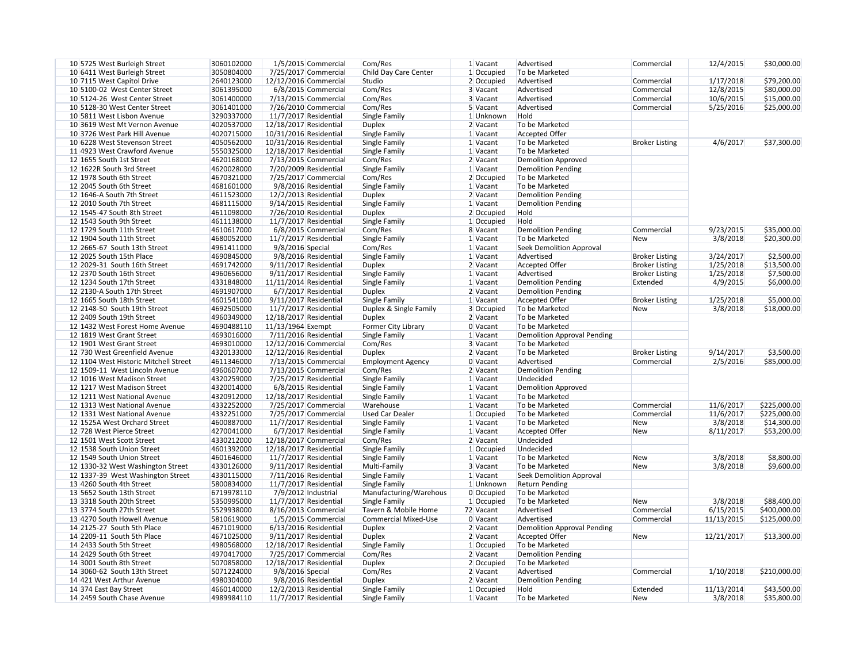| 10 5725 West Burleigh Street                                | 3060102000               | 1/5/2015 Commercial                            | Com/Res                     | 1 Vacant     | Advertised                                   | Commercial            | 12/4/2015             | \$30,000.00                  |
|-------------------------------------------------------------|--------------------------|------------------------------------------------|-----------------------------|--------------|----------------------------------------------|-----------------------|-----------------------|------------------------------|
| 10 6411 West Burleigh Street                                | 3050804000               | 7/25/2017 Commercial                           | Child Day Care Center       | 1 Occupied   | To be Marketed                               |                       |                       |                              |
| 10 7115 West Capitol Drive                                  | 2640123000               | 12/12/2016 Commercial                          | Studio                      | 2 Occupied   | Advertised                                   | Commercial            | 1/17/2018             | \$79,200.00                  |
| 10 5100-02 West Center Street                               | 3061395000               | 6/8/2015 Commercial                            | Com/Res                     | 3 Vacant     | Advertised                                   | Commercial            | 12/8/2015             | \$80,000.00                  |
| 10 5124-26 West Center Street                               | 3061400000               | 7/13/2015 Commercial                           | Com/Res                     | 3 Vacant     | Advertised                                   | Commercial            | 10/6/2015             | \$15,000.00                  |
| 10 5128-30 West Center Street                               | 3061401000               | 7/26/2010 Commercial                           | Com/Res                     | 5 Vacant     | Advertised                                   | Commercial            | 5/25/2016             | \$25,000.00                  |
| 10 5811 West Lisbon Avenue                                  | 3290337000               | 11/7/2017 Residential                          | Single Family               | 1 Unknown    | Hold                                         |                       |                       |                              |
| 10 3619 West Mt Vernon Avenue                               | 4020537000               | 12/18/2017 Residential                         | <b>Duplex</b>               | $2$ Vacant   | To be Marketed                               |                       |                       |                              |
| 10 3726 West Park Hill Avenue                               | 4020715000               | 10/31/2016 Residential                         | Single Family               | 1 Vacant     | <b>Accepted Offer</b>                        |                       |                       |                              |
| 10 6228 West Stevenson Street                               | 4050562000               | 10/31/2016 Residential                         | Single Family               | 1 Vacant     | To be Marketed                               | <b>Broker Listing</b> | 4/6/2017              | \$37,300.00                  |
| 11 4923 West Crawford Avenue                                | 5550325000               | 12/18/2017 Residential                         | Single Family               | 1 Vacant     | To be Marketed                               |                       |                       |                              |
| 12 1655 South 1st Street                                    | 4620168000               | 7/13/2015 Commercial                           | Com/Res                     | 2 Vacant     | <b>Demolition Approved</b>                   |                       |                       |                              |
| 12 1622R South 3rd Street                                   | 4620028000               | 7/20/2009 Residential                          | Single Family               | 1 Vacant     | <b>Demolition Pending</b>                    |                       |                       |                              |
| 12 1978 South 6th Street                                    | 4670321000               | 7/25/2017 Commercial                           | Com/Res                     | $2$ Occupied | To be Marketed                               |                       |                       |                              |
| 12 2045 South 6th Street                                    | 4681601000               | 9/8/2016 Residential                           | Single Family               | 1 Vacant     | To be Marketed                               |                       |                       |                              |
| 12 1646-A South 7th Street                                  | 4611523000               | 12/2/2013 Residential                          | <b>Duplex</b>               | $2$ Vacant   | <b>Demolition Pending</b>                    |                       |                       |                              |
| 12 2010 South 7th Street                                    | 4681115000               | 9/14/2015 Residential                          | <b>Single Family</b>        | $1$ Vacant   | <b>Demolition Pending</b>                    |                       |                       |                              |
| 12 1545-47 South 8th Street                                 | 4611098000               | 7/26/2010 Residential                          | <b>Duplex</b>               | $2$ Occupied | Hold                                         |                       |                       |                              |
| 12 1543 South 9th Street                                    | 4611138000               | 11/7/2017 Residential                          | <b>Single Family</b>        | 1 Occupied   | Hold                                         |                       |                       |                              |
| 12 1729 South 11th Street                                   | 4610617000               | 6/8/2015 Commercial                            | Com/Res                     | 8 Vacant     | <b>Demolition Pending</b>                    | Commercial            | 9/23/2015             | \$35,000.00                  |
| 12 1904 South 11th Street                                   | 4680052000               | 11/7/2017 Residential                          | Single Family               | $1$ Vacant   | To be Marketed                               | <b>New</b>            | 3/8/2018              | \$20,300.00                  |
| 12 2665-67 South 13th Street                                | 4961411000               | 9/8/2016 Special                               | Com/Res                     | 1 Vacant     | <b>Seek Demolition Approval</b>              |                       |                       |                              |
| 12 2025 South 15th Place                                    | 4690845000               | 9/8/2016 Residential                           | <b>Single Family</b>        | $1$ Vacant   | Advertised                                   | <b>Broker Listing</b> | 3/24/2017             | \$2,500.00                   |
| 12 2029-31 South 16th Street                                | 4691742000               | 9/11/2017 Residential                          | <b>Duplex</b>               | 2 Vacant     | <b>Accepted Offer</b>                        | <b>Broker Listing</b> | 1/25/2018             | \$13,500.00                  |
| 12 2370 South 16th Street                                   | 4960656000               | 9/11/2017 Residential                          | <b>Single Family</b>        | $1$ Vacant   | Advertised                                   | <b>Broker Listing</b> | 1/25/2018             | \$7,500.00                   |
| 12 1234 South 17th Street                                   | 4331848000               | 11/11/2014 Residential                         | Single Family               | 1 Vacant     | <b>Demolition Pending</b>                    | Extended              | 4/9/2015              | \$6,000.00                   |
| 12 2130-A South 17th Street                                 | 4691907000               | 6/7/2017 Residential                           | <b>Duplex</b>               | 2 Vacant     | <b>Demolition Pending</b>                    |                       |                       |                              |
| 12 1665 South 18th Street                                   | 4601541000               | 9/11/2017 Residential                          | Single Family               | 1 Vacant     | <b>Accepted Offer</b>                        | <b>Broker Listing</b> | 1/25/2018             | \$5,000.00                   |
| 12 2148-50 South 19th Street                                | 4692505000               | 11/7/2017 Residential                          | Duplex & Single Family      | 3 Occupied   | To be Marketed                               | <b>New</b>            | 3/8/2018              | \$18,000.00                  |
| 12 2409 South 19th Street                                   | 4960349000               | 12/18/2017 Residential                         | <b>Duplex</b>               | 2 Vacant     | To be Marketed                               |                       |                       |                              |
| 12 1432 West Forest Home Avenue                             | 4690488110               | 11/13/1964 Exempt                              | Former City Library         | 0 Vacant     | To be Marketed                               |                       |                       |                              |
| 12 1819 West Grant Street                                   | 4693016000               | 7/11/2016 Residential                          | Single Family               | 1 Vacant     | <b>Demolition Approval Pending</b>           |                       |                       |                              |
| 12 1901 West Grant Street                                   | 4693010000               | 12/12/2016 Commercial                          | Com/Res                     | 3 Vacant     | To be Marketed                               |                       |                       |                              |
| 12 730 West Greenfield Avenue                               | 4320133000               | 12/12/2016 Residential                         | <b>Duplex</b>               | 2 Vacant     | To be Marketed                               | <b>Broker Listing</b> | 9/14/2017             | \$3,500.00                   |
| 12 1104 West Historic Mitchell Street                       | 4611346000               | 7/13/2015 Commercial                           | <b>Employment Agency</b>    | $0$ Vacant   | Advertised                                   | Commercial            | 2/5/2016              | \$85,000.00                  |
| 12 1509-11 West Lincoln Avenue                              | 4960607000               | 7/13/2015 Commercial                           | Com/Res                     | 2 Vacant     | <b>Demolition Pending</b>                    |                       |                       |                              |
| 12 1016 West Madison Street                                 | 4320259000               | 7/25/2017 Residential                          |                             |              | Undecided                                    |                       |                       |                              |
|                                                             | 4320014000               | 6/8/2015 Residential                           | Single Family               | 1 Vacant     |                                              |                       |                       |                              |
| 12 1217 West Madison Street<br>12 1211 West National Avenue |                          |                                                | <b>Single Family</b>        | $1$ Vacant   | <b>Demolition Approved</b><br>To be Marketed |                       |                       |                              |
| 12 1313 West National Avenue                                | 4320912000<br>4332252000 | 12/18/2017 Residential<br>7/25/2017 Commercial | Single Family<br>Warehouse  | 1 Vacant     | To be Marketed                               | Commercial            | 11/6/2017             |                              |
| 12 1331 West National Avenue                                |                          | 7/25/2017 Commercial                           | <b>Used Car Dealer</b>      | 1 Vacant     |                                              |                       |                       | \$225,000.00<br>\$225,000.00 |
| 12 1525A West Orchard Street                                | 4332251000<br>4600887000 |                                                |                             | $1$ Occupied | To be Marketed                               | Commercial            | 11/6/2017<br>3/8/2018 |                              |
|                                                             |                          | 11/7/2017 Residential                          | Single Family               | $1$ Vacant   | To be Marketed                               | <b>New</b>            |                       | \$14,300.00                  |
| 12 728 West Pierce Street                                   | 4270041000               | 6/7/2017 Residential                           | Single Family               | 1 Vacant     | <b>Accepted Offer</b><br>Undecided           | <b>New</b>            | 8/11/2017             | \$53,200.00                  |
| 12 1501 West Scott Street                                   | 4330212000               | 12/18/2017 Commercial                          | Com/Res                     | 2 Vacant     |                                              |                       |                       |                              |
| 12 1538 South Union Street                                  | 4601392000               | 12/18/2017 Residential                         | Single Family               | $1$ Occupied | Undecided                                    |                       |                       |                              |
| 12 1549 South Union Street                                  | 4601646000               | 11/7/2017 Residential                          | Single Family               | 1 Vacant     | To be Marketed                               | <b>New</b>            | 3/8/2018              | \$8,800.00                   |
| 12 1330-32 West Washington Street                           | 4330126000               | 9/11/2017 Residential                          | Multi-Family                | 3 Vacant     | To be Marketed                               | <b>New</b>            | 3/8/2018              | \$9,600.00                   |
| 12 1337-39 West Washington Street                           | 4330115000               | 7/11/2016 Residential                          | Single Family               | $1$ Vacant   | <b>Seek Demolition Approval</b>              |                       |                       |                              |
| 13 4260 South 4th Street                                    | 5800834000               | 11/7/2017 Residential                          | Single Family               | 1 Unknown    | <b>Return Pending</b>                        |                       |                       |                              |
| 13 5652 South 13th Street                                   | 6719978110               | 7/9/2012 Industrial                            | Manufacturing/Warehous      | 0 Occupied   | To be Marketed                               |                       |                       |                              |
| 13 3318 South 20th Street                                   | 5350995000               | 11/7/2017 Residential                          | Single Family               | 1 Occupied   | To be Marketed                               | <b>New</b>            | 3/8/2018              | \$88,400.00                  |
| 13 3774 South 27th Street                                   | 5529938000               | 8/16/2013 Commercial                           | Tavern & Mobile Home        | 72 Vacant    | Advertised                                   | Commercial            | 6/15/2015             | \$400,000.00                 |
| 13 4270 South Howell Avenue                                 | 5810619000               | 1/5/2015 Commercial                            | <b>Commercial Mixed-Use</b> | 0 Vacant     | Advertised                                   | Commercial            | 11/13/2015            | \$125,000.00                 |
| 14 2125-27 South 5th Place                                  | 4671019000               | 6/13/2016 Residential                          | <b>Duplex</b>               | 2 Vacant     | <b>Demolition Approval Pending</b>           |                       |                       |                              |
| 14 2209-11 South 5th Place                                  | 4671025000               | 9/11/2017 Residential                          | <b>Duplex</b>               | 2 Vacant     | <b>Accepted Offer</b>                        | <b>New</b>            | 12/21/2017            | \$13,300.00                  |
| 14 2433 South 5th Street                                    | 4980568000               | 12/18/2017 Residential                         | Single Family               | $1$ Occupied | To be Marketed                               |                       |                       |                              |
| 14 2429 South 6th Street                                    | 4970417000               | 7/25/2017 Commercial                           | Com/Res                     | 2 Vacant     | <b>Demolition Pending</b>                    |                       |                       |                              |
| 14 3001 South 8th Street                                    | 5070858000               | 12/18/2017 Residential                         | <b>Duplex</b>               | 2 Occupied   | To be Marketed                               |                       |                       |                              |
| 14 3060-62 South 13th Street                                | 5071224000               | 9/8/2016 Special                               | Com/Res                     | 2 Vacant     | Advertised                                   | Commercial            | 1/10/2018             | \$210,000.00                 |
| 14 421 West Arthur Avenue                                   | 4980304000               | 9/8/2016 Residential                           | <b>Duplex</b>               | 2 Vacant     | <b>Demolition Pending</b>                    |                       |                       |                              |
| 14 374 East Bay Street                                      | 4660140000               | 12/2/2013 Residential                          | <b>Single Family</b>        | $1$ Occupied | Hold                                         | Extended              | 11/13/2014            | \$43,500.00                  |
| 14 2459 South Chase Avenue                                  | 4989984110               | 11/7/2017 Residential                          | Single Family               | $1$ Vacant   | To be Marketed                               | <b>New</b>            | 3/8/2018              | \$35,800.00                  |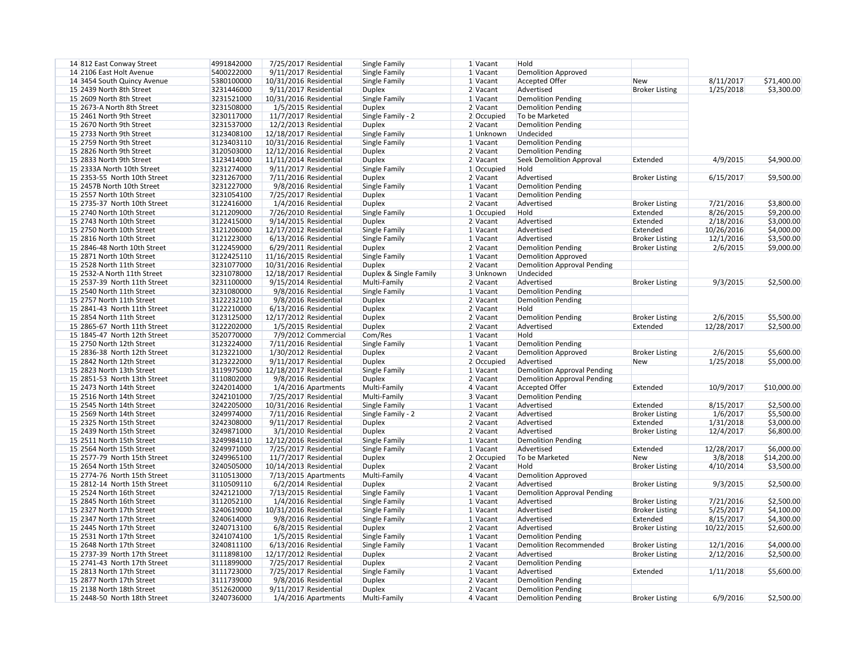| 14 812 East Conway Street    | 4991842000 |                        | 7/25/2017 Residential   | <b>Single Family</b>   | 1 Vacant              | Hold                               |                       |            |             |
|------------------------------|------------|------------------------|-------------------------|------------------------|-----------------------|------------------------------------|-----------------------|------------|-------------|
| 14 2106 East Holt Avenue     | 5400222000 |                        | 9/11/2017 Residential   | Single Family          | 1 Vacant              | <b>Demolition Approved</b>         |                       |            |             |
| 14 3454 South Quincy Avenue  | 5380100000 | 10/31/2016 Residential |                         | Single Family          | 1 Vacant              | <b>Accepted Offer</b>              | New                   | 8/11/2017  | \$71,400.00 |
| 15 2439 North 8th Street     | 3231446000 |                        | 9/11/2017 Residential   | <b>Duplex</b>          | 2 Vacant              | Advertised                         | <b>Broker Listing</b> | 1/25/2018  | \$3,300.00  |
| 15 2609 North 8th Street     | 3231521000 | 10/31/2016 Residential |                         | Single Family          | 1 Vacant              | <b>Demolition Pending</b>          |                       |            |             |
| 15 2673-A North 8th Street   | 3231508000 |                        | 1/5/2015 Residential    | <b>Duplex</b>          | 2 Vacant              | <b>Demolition Pending</b>          |                       |            |             |
| 15 2461 North 9th Street     | 3230117000 |                        | 11/7/2017 Residential   | Single Family - 2      | 2 Occupied            | To be Marketed                     |                       |            |             |
| 15 2670 North 9th Street     | 3231537000 |                        | 12/2/2013 Residential   | <b>Duplex</b>          | 2 Vacant              | <b>Demolition Pending</b>          |                       |            |             |
| 15 2733 North 9th Street     | 3123408100 | 12/18/2017 Residential |                         | Single Family          | 1 Unknown             | Undecided                          |                       |            |             |
| 15 2759 North 9th Street     | 3123403110 | 10/31/2016 Residential |                         | Single Family          | 1 Vacant              | <b>Demolition Pending</b>          |                       |            |             |
| 15 2826 North 9th Street     | 3120503000 | 12/12/2016 Residential |                         | <b>Duplex</b>          | 2 Vacant              | <b>Demolition Pending</b>          |                       |            |             |
| 15 2833 North 9th Street     | 3123414000 | 11/11/2014 Residential |                         | <b>Duplex</b>          | 2 Vacant              | <b>Seek Demolition Approval</b>    | Extended              | 4/9/2015   | \$4,900.00  |
| 15 2333A North 10th Street   | 3231274000 |                        | $9/11/2017$ Residential | Single Family          | $1$ Occupied          | Hold                               |                       |            |             |
| 15 2353-55 North 10th Street | 3231267000 |                        | 7/11/2016 Residential   | <b>Duplex</b>          | $2$ Vacant            | Advertised                         | <b>Broker Listing</b> | 6/15/2017  | \$9,500.00  |
| 15 2457B North 10th Street   | 3231227000 |                        | 9/8/2016 Residential    | Single Family          | 1 Vacant              | <b>Demolition Pending</b>          |                       |            |             |
| 15 2557 North 10th Street    | 3231054100 |                        | 7/25/2017 Residential   | <b>Duplex</b>          | 1 Vacant              | <b>Demolition Pending</b>          |                       |            |             |
| 15 2735-37 North 10th Street | 3122416000 |                        | 1/4/2016 Residential    | Duplex                 | 2 Vacant              | Advertised                         | <b>Broker Listing</b> | 7/21/2016  | \$3,800.00  |
| 15 2740 North 10th Street    | 3121209000 |                        | 7/26/2010 Residential   | Single Family          | 1 Occupied            | Hold                               | Extended              | 8/26/2015  | \$9,200.00  |
| 15 2743 North 10th Street    | 3122415000 |                        | 9/14/2015 Residential   | <b>Duplex</b>          | 2 Vacant              | Advertised                         | Extended              | 2/18/2016  | \$3,000.00  |
| 15 2750 North 10th Street    | 3121206000 | 12/17/2012 Residential |                         | Single Family          | $1$ Vacant            | Advertised                         | Extended              | 10/26/2016 | \$4,000.00  |
| 15 2816 North 10th Street    | 3121223000 |                        | 6/13/2016 Residential   | Single Family          | $1$ Vacant            | Advertised                         | <b>Broker Listing</b> | 12/1/2016  | \$3,500.00  |
| 15 2846-48 North 10th Street | 3122459000 |                        | 6/29/2011 Residential   | <b>Duplex</b>          | 2 Vacant              | <b>Demolition Pending</b>          | <b>Broker Listing</b> | 2/6/2015   | \$9,000.00  |
| 15 2871 North 10th Street    | 3122425110 | 11/16/2015 Residential |                         | Single Family          | 1 Vacant              | <b>Demolition Approved</b>         |                       |            |             |
| 15 2528 North 11th Street    | 3231077000 | 10/31/2016 Residential |                         | <b>Duplex</b>          | 2 Vacant              | <b>Demolition Approval Pending</b> |                       |            |             |
| 15 2532-A North 11th Street  | 3231078000 |                        |                         |                        |                       | Undecided                          |                       |            |             |
|                              |            | 12/18/2017 Residential |                         | Duplex & Single Family | 3 Unknown<br>2 Vacant | Advertised                         |                       |            |             |
| 15 2537-39 North 11th Street | 3231100000 |                        | 9/15/2014 Residential   | Multi-Family           |                       |                                    | <b>Broker Listing</b> | 9/3/2015   | \$2,500.00  |
| 15 2540 North 11th Street    | 3231080000 |                        | 9/8/2016 Residential    | Single Family          | $1$ Vacant            | <b>Demolition Pending</b>          |                       |            |             |
| 15 2757 North 11th Street    | 3122232100 |                        | 9/8/2016 Residential    | <b>Duplex</b>          | 2 Vacant              | <b>Demolition Pending</b>          |                       |            |             |
| 15 2841-43 North 11th Street | 3122210000 |                        | 6/13/2016 Residential   | <b>Duplex</b>          | 2 Vacant              | Hold                               |                       |            |             |
| 15 2854 North 11th Street    | 3123125000 | 12/17/2012 Residential |                         | <b>Duplex</b>          | 2 Vacant              | <b>Demolition Pending</b>          | <b>Broker Listing</b> | 2/6/2015   | \$5,500.00  |
| 15 2865-67 North 11th Street | 3122202000 |                        | 1/5/2015 Residential    | <b>Duplex</b>          | 2 Vacant              | Advertised                         | Extended              | 12/28/2017 | \$2,500.00  |
| 15 1845-47 North 12th Street | 3520770000 |                        | 7/9/2012 Commercial     | Com/Res                | $1$ Vacant            | Hold                               |                       |            |             |
| 15 2750 North 12th Street    | 3123224000 |                        | 7/11/2016 Residential   | Single Family          | 1 Vacant              | <b>Demolition Pending</b>          |                       |            |             |
| 15 2836-38 North 12th Street | 3123221000 |                        | 1/30/2012 Residential   | <b>Duplex</b>          | 2 Vacant              | Demolition Approved                | <b>Broker Listing</b> | 2/6/2015   | \$5,600.00  |
| 15 2842 North 12th Street    | 3123222000 |                        | 9/11/2017 Residential   | <b>Duplex</b>          | 2 Occupied            | Advertised                         | New                   | 1/25/2018  | \$5,000.00  |
| 15 2823 North 13th Street    | 3119975000 | 12/18/2017 Residential |                         | Single Family          | $1$ Vacant            | <b>Demolition Approval Pending</b> |                       |            |             |
| 15 2851-53 North 13th Street | 3110802000 |                        | 9/8/2016 Residential    | <b>Duplex</b>          | 2 Vacant              | <b>Demolition Approval Pending</b> |                       |            |             |
| 15 2473 North 14th Street    | 3242014000 |                        | 1/4/2016 Apartments     | Multi-Family           | 4 Vacant              | <b>Accepted Offer</b>              | Extended              | 10/9/2017  | \$10,000.00 |
| 15 2516 North 14th Street    | 3242101000 |                        | 7/25/2017 Residential   | Multi-Family           | 3 Vacant              | <b>Demolition Pending</b>          |                       |            |             |
| 15 2545 North 14th Street    | 3242205000 | 10/31/2016 Residential |                         | Single Family          | $1$ Vacant            | Advertised                         | Extended              | 8/15/2017  | \$2,500.00  |
| 15 2569 North 14th Street    | 3249974000 |                        | 7/11/2016 Residential   | Single Family - 2      | $2$ Vacant            | Advertised                         | <b>Broker Listing</b> | 1/6/2017   | \$5,500.00  |
| 15 2325 North 15th Street    | 3242308000 |                        | $9/11/2017$ Residential | <b>Duplex</b>          | $2$ Vacant            | Advertised                         | Extended              | 1/31/2018  | \$3,000.00  |
| 15 2439 North 15th Street    | 3249871000 |                        | 3/1/2010 Residential    | <b>Duplex</b>          | $2$ Vacant            | Advertised                         | <b>Broker Listing</b> | 12/4/2017  | \$6,800.00  |
| 15 2511 North 15th Street    | 3249984110 | 12/12/2016 Residential |                         | Single Family          | $1$ Vacant            | <b>Demolition Pending</b>          |                       |            |             |
| 15 2564 North 15th Street    | 3249971000 |                        | 7/25/2017 Residential   | Single Family          | 1 Vacant              | Advertised                         | Extended              | 12/28/2017 | \$6,000.00  |
| 15 2577-79 North 15th Street | 3249965100 |                        | 11/7/2017 Residential   | <b>Duplex</b>          | 2 Occupied            | To be Marketed                     | New                   | 3/8/2018   | \$14,200.00 |
| 15 2654 North 15th Street    | 3240505000 | 10/14/2013 Residential |                         | <b>Duplex</b>          | 2 Vacant              | Hold                               | <b>Broker Listing</b> | 4/10/2014  | \$3,500.00  |
| 15 2774-76 North 15th Street | 3110513000 |                        | 7/13/2015 Apartments    | Multi-Family           | 4 Vacant              | <b>Demolition Approved</b>         |                       |            |             |
| 15 2812-14 North 15th Street | 3110509110 |                        | $6/2/2014$ Residential  | <b>Duplex</b>          | $2$ Vacant            | Advertised                         | <b>Broker Listing</b> | 9/3/2015   | \$2,500.00  |
| 15 2524 North 16th Street    | 3242121000 |                        | 7/13/2015 Residential   | Single Family          | $1$ Vacant            | <b>Demolition Approval Pending</b> |                       |            |             |
| 15 2845 North 16th Street    | 3112052100 |                        | 1/4/2016 Residential    | Single Family          | $1$ Vacant            | Advertised                         | <b>Broker Listing</b> | 7/21/2016  | \$2,500.00  |
| 15 2327 North 17th Street    | 3240619000 | 10/31/2016 Residential |                         | Single Family          | $1$ Vacant            | Advertised                         | <b>Broker Listing</b> | 5/25/2017  | \$4,100.00  |
| 15 2347 North 17th Street    | 3240614000 |                        | 9/8/2016 Residential    | Single Family          | $1$ Vacant            | Advertised                         | Extended              | 8/15/2017  | \$4,300.00  |
| 15 2445 North 17th Street    | 3240713100 |                        | 6/8/2015 Residential    | <b>Duplex</b>          | 2 Vacant              | Advertised                         | <b>Broker Listing</b> | 10/22/2015 | \$2,600.00  |
| 15 2531 North 17th Street    | 3241074100 |                        | 1/5/2015 Residential    | Single Family          | 1 Vacant              | <b>Demolition Pending</b>          |                       |            |             |
| 15 2648 North 17th Street    | 3240811100 |                        | 6/13/2016 Residential   | Single Family          | 1 Vacant              | <b>Demolition Recommended</b>      | <b>Broker Listing</b> | 12/1/2016  | \$4,000.00  |
| 15 2737-39 North 17th Street | 3111898100 | 12/17/2012 Residential |                         | <b>Duplex</b>          | 2 Vacant              | Advertised                         | <b>Broker Listing</b> | 2/12/2016  | \$2,500.00  |
| 15 2741-43 North 17th Street | 3111899000 |                        | 7/25/2017 Residential   | <b>Duplex</b>          | $2$ Vacant            | <b>Demolition Pending</b>          |                       |            |             |
| 15 2813 North 17th Street    | 3111723000 |                        | 7/25/2017 Residential   | Single Family          | 1 Vacant              | Advertised                         | Extended              | 1/11/2018  | \$5,600.00  |
| 15 2877 North 17th Street    | 3111739000 |                        | 9/8/2016 Residential    | <b>Duplex</b>          | 2 Vacant              | <b>Demolition Pending</b>          |                       |            |             |
| 15 2138 North 18th Street    | 3512620000 |                        | 9/11/2017 Residential   | <b>Duplex</b>          | 2 Vacant              | <b>Demolition Pending</b>          |                       |            |             |
| 15 2448-50 North 18th Street | 3240736000 |                        | 1/4/2016 Apartments     | Multi-Family           | 4 Vacant              | <b>Demolition Pending</b>          | <b>Broker Listing</b> | 6/9/2016   | \$2,500.00  |
|                              |            |                        |                         |                        |                       |                                    |                       |            |             |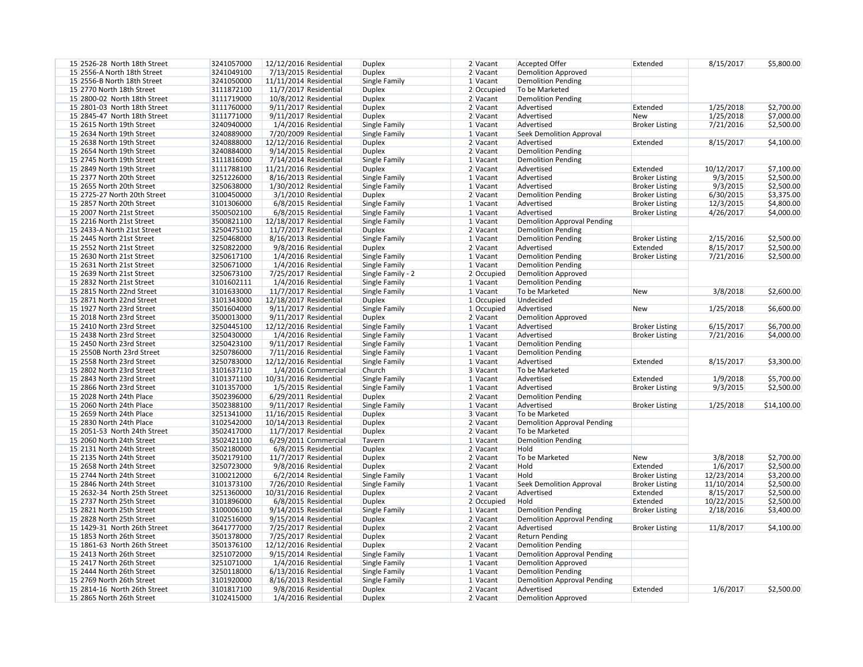| 15 2526-28 North 18th Street | 3241057000 | 12/12/2016 Residential |                         | <b>Duplex</b>     | 2 Vacant     | <b>Accepted Offer</b>                                           | Extended              | 8/15/2017  | \$5,800.00  |
|------------------------------|------------|------------------------|-------------------------|-------------------|--------------|-----------------------------------------------------------------|-----------------------|------------|-------------|
| 15 2556-A North 18th Street  | 3241049100 |                        | 7/13/2015 Residential   | <b>Duplex</b>     | 2 Vacant     | <b>Demolition Approved</b>                                      |                       |            |             |
| 15 2556-B North 18th Street  | 3241050000 | 11/11/2014 Residential |                         | Single Family     | 1 Vacant     | <b>Demolition Pending</b>                                       |                       |            |             |
| 15 2770 North 18th Street    | 3111872100 |                        | 11/7/2017 Residential   | <b>Duplex</b>     | 2 Occupied   | To be Marketed                                                  |                       |            |             |
| 15 2800-02 North 18th Street | 3111719000 |                        | 10/8/2012 Residential   | <b>Duplex</b>     | 2 Vacant     | <b>Demolition Pending</b>                                       |                       |            |             |
| 15 2801-03 North 18th Street | 3111760000 |                        | $9/11/2017$ Residential | <b>Duplex</b>     | $2$ Vacant   | Advertised                                                      | Extended              | 1/25/2018  | \$2,700.00  |
| 15 2845-47 North 18th Street | 3111771000 |                        | 9/11/2017 Residential   | <b>Duplex</b>     | $2$ Vacant   | Advertised                                                      | <b>New</b>            | 1/25/2018  | \$7,000.00  |
| 15 2615 North 19th Street    | 3240940000 |                        | 1/4/2016 Residential    | Single Family     | 1 Vacant     | Advertised                                                      | <b>Broker Listing</b> | 7/21/2016  | \$2,500.00  |
| 15 2634 North 19th Street    | 3240889000 |                        | 7/20/2009 Residential   | Single Family     | 1 Vacant     | <b>Seek Demolition Approval</b>                                 |                       |            |             |
| 15 2638 North 19th Street    | 3240888000 | 12/12/2016 Residential |                         | <b>Duplex</b>     | $2$ Vacant   | Advertised                                                      | Extended              | 8/15/2017  | \$4,100.00  |
| 15 2654 North 19th Street    | 3240884000 |                        | $9/14/2015$ Residential | <b>Duplex</b>     | $2$ Vacant   | <b>Demolition Pending</b>                                       |                       |            |             |
| 15 2745 North 19th Street    | 3111816000 |                        | $7/14/2014$ Residential | Single Family     | 1 Vacant     | <b>Demolition Pending</b>                                       |                       |            |             |
| 15 2849 North 19th Street    | 3111788100 | 11/21/2016 Residential |                         | <b>Duplex</b>     | 2 Vacant     | Advertised                                                      | Extended              | 10/12/2017 | \$7,100.00  |
| 15 2377 North 20th Street    | 3251226000 |                        | 8/16/2013 Residential   | Single Family     | 1 Vacant     | Advertised                                                      | <b>Broker Listing</b> | 9/3/2015   | \$2,500.00  |
| 15 2655 North 20th Street    | 3250638000 |                        | 1/30/2012 Residential   | Single Family     | 1 Vacant     | Advertised                                                      | <b>Broker Listing</b> | 9/3/2015   | \$2,500.00  |
| 15 2725-27 North 20th Street | 3100450000 |                        | 3/1/2010 Residential    | <b>Duplex</b>     | 2 Vacant     | <b>Demolition Pending</b>                                       | <b>Broker Listing</b> | 6/30/2015  | \$3,375.00  |
| 15 2857 North 20th Street    | 3101306000 |                        | 6/8/2015 Residential    | Single Family     | 1 Vacant     | Advertised                                                      | <b>Broker Listing</b> | 12/3/2015  | \$4,800.00  |
| 15 2007 North 21st Street    | 3500502100 |                        | 6/8/2015 Residential    | Single Family     | 1 Vacant     | Advertised                                                      | <b>Broker Listing</b> | 4/26/2017  | \$4,000.00  |
| 15 2216 North 21st Street    | 3500821100 | 12/18/2017 Residential |                         | Single Family     | 1 Vacant     |                                                                 |                       |            |             |
| 15 2433-A North 21st Street  | 3250475100 |                        | 11/7/2017 Residential   |                   |              | <b>Demolition Approval Pending</b><br><b>Demolition Pending</b> |                       |            |             |
|                              |            |                        |                         | <b>Duplex</b>     | 2 Vacant     |                                                                 |                       |            |             |
| 15 2445 North 21st Street    | 3250468000 |                        | 8/16/2013 Residential   | Single Family     | 1 Vacant     | <b>Demolition Pending</b>                                       | <b>Broker Listing</b> | 2/15/2016  | \$2,500.00  |
| 15 2552 North 21st Street    | 3250822000 |                        | 9/8/2016 Residential    | <b>Duplex</b>     | 2 Vacant     | Advertised                                                      | Extended              | 8/15/2017  | \$2,500.00  |
| 15 2630 North 21st Street    | 3250617100 |                        | 1/4/2016 Residential    | Single Family     | 1 Vacant     | <b>Demolition Pending</b>                                       | <b>Broker Listing</b> | 7/21/2016  | \$2,500.00  |
| 15 2631 North 21st Street    | 3250671000 |                        | 1/4/2016 Residential    | Single Family     | 1 Vacant     | <b>Demolition Pending</b>                                       |                       |            |             |
| 15 2639 North 21st Street    | 3250673100 |                        | 7/25/2017 Residential   | Single Family - 2 | 2 Occupied   | Demolition Approved                                             |                       |            |             |
| 15 2832 North 21st Street    | 3101602111 |                        | 1/4/2016 Residential    | Single Family     | 1 Vacant     | <b>Demolition Pending</b>                                       |                       |            |             |
| 15 2815 North 22nd Street    | 3101633000 |                        | 11/7/2017 Residential   | Single Family     | 1 Vacant     | To be Marketed                                                  | New                   | 3/8/2018   | \$2,600.00  |
| 15 2871 North 22nd Street    | 3101343000 | 12/18/2017 Residential |                         | <b>Duplex</b>     | $1$ Occupied | Undecided                                                       |                       |            |             |
| 15 1927 North 23rd Street    | 3501604000 |                        | 9/11/2017 Residential   | Single Family     | $1$ Occupied | Advertised                                                      | New                   | 1/25/2018  | \$6,600.00  |
| 15 2018 North 23rd Street    | 3500013000 |                        | 9/11/2017 Residential   | <b>Duplex</b>     | 2 Vacant     | <b>Demolition Approved</b>                                      |                       |            |             |
| 15 2410 North 23rd Street    | 3250445100 | 12/12/2016 Residential |                         | Single Family     | 1 Vacant     | Advertised                                                      | <b>Broker Listing</b> | 6/15/2017  | \$6,700.00  |
| 15 2438 North 23rd Street    | 3250430000 |                        | 1/4/2016 Residential    | Single Family     | 1 Vacant     | Advertised                                                      | <b>Broker Listing</b> | 7/21/2016  | \$4,000.00  |
| 15 2450 North 23rd Street    | 3250423100 |                        | 9/11/2017 Residential   | Single Family     | 1 Vacant     | Demolition Pending                                              |                       |            |             |
| 15 2550B North 23rd Street   | 3250786000 |                        | 7/11/2016 Residential   | Single Family     | 1 Vacant     | <b>Demolition Pending</b>                                       |                       |            |             |
| 15 2558 North 23rd Street    | 3250783000 | 12/12/2016 Residential |                         | Single Family     | 1 Vacant     | Advertised                                                      | Extended              | 8/15/2017  | \$3,300.00  |
| 15 2802 North 23rd Street    | 3101637110 |                        | 1/4/2016 Commercial     | Church            | 3 Vacant     | To be Marketed                                                  |                       |            |             |
| 15 2843 North 23rd Street    | 3101371100 | 10/31/2016 Residential |                         | Single Family     | $1$ Vacant   | Advertised                                                      | Extended              | 1/9/2018   | \$5,700.00  |
| 15 2866 North 23rd Street    | 3101357000 |                        | 1/5/2015 Residential    | Single Family     | 1 Vacant     | Advertised                                                      | <b>Broker Listing</b> | 9/3/2015   | \$2,500.00  |
| 15 2028 North 24th Place     | 3502396000 |                        | 6/29/2011 Residential   | <b>Duplex</b>     | 2 Vacant     | <b>Demolition Pending</b>                                       |                       |            |             |
| 15 2060 North 24th Place     | 3502388100 |                        | 9/11/2017 Residential   | Single Family     | 1 Vacant     | Advertised                                                      | <b>Broker Listing</b> | 1/25/2018  | \$14,100.00 |
| 15 2659 North 24th Place     | 3251341000 | 11/16/2015 Residential |                         | <b>Duplex</b>     | 3 Vacant     | To be Marketed                                                  |                       |            |             |
| 15 2830 North 24th Place     | 3102542000 | 10/14/2013 Residential |                         | <b>Duplex</b>     | 2 Vacant     | <b>Demolition Approval Pending</b>                              |                       |            |             |
| 15 2051-53 North 24th Street | 3502417000 |                        | 11/7/2017 Residential   | <b>Duplex</b>     | 2 Vacant     | To be Marketed                                                  |                       |            |             |
| 15 2060 North 24th Street    | 3502421100 |                        | $6/29/2011$ Commercial  | Tavern            | 1 Vacant     | <b>Demolition Pending</b>                                       |                       |            |             |
| 15 2131 North 24th Street    | 3502180000 |                        | 6/8/2015 Residential    | <b>Duplex</b>     | 2 Vacant     | Hold                                                            |                       |            |             |
| 15 2135 North 24th Street    | 3502179100 |                        | 11/7/2017 Residential   | <b>Duplex</b>     | 2 Vacant     | To be Marketed                                                  | New                   | 3/8/2018   | \$2,700.00  |
| 15 2658 North 24th Street    | 3250723000 |                        | 9/8/2016 Residential    | <b>Duplex</b>     | 2 Vacant     | Hold                                                            | Extended              | 1/6/2017   | \$2,500.00  |
| 15 2744 North 24th Street    | 3100212000 |                        | 6/2/2014 Residential    | Single Family     | 1 Vacant     | Hold                                                            | <b>Broker Listing</b> | 12/23/2014 | \$3,200.00  |
| 15 2846 North 24th Street    | 3101373100 |                        | 7/26/2010 Residential   | Single Family     | 1 Vacant     | <b>Seek Demolition Approval</b>                                 | <b>Broker Listing</b> | 11/10/2014 | \$2,500.00  |
| 15 2632-34 North 25th Street | 3251360000 | 10/31/2016 Residential |                         | <b>Duplex</b>     | 2 Vacant     | Advertised                                                      | Extended              | 8/15/2017  | \$2,500.00  |
| 15 2737 North 25th Street    | 3101896000 |                        | 6/8/2015 Residential    | <b>Duplex</b>     | 2 Occupied   | Hold                                                            | Extended              | 10/22/2015 | \$2,500.00  |
| 15 2821 North 25th Street    | 3100006100 |                        | 9/14/2015 Residential   | Single Family     | 1 Vacant     | <b>Demolition Pending</b>                                       | <b>Broker Listing</b> | 2/18/2016  | \$3,400.00  |
|                              |            |                        |                         |                   |              |                                                                 |                       |            |             |
| 15 2828 North 25th Street    | 3102516000 |                        | 9/15/2014 Residential   | <b>Duplex</b>     | 2 Vacant     | <b>Demolition Approval Pending</b>                              |                       |            |             |
| 15 1429-31 North 26th Street | 3641777000 |                        | 7/25/2017 Residential   | <b>Duplex</b>     | 2 Vacant     | Advertised                                                      | <b>Broker Listing</b> | 11/8/2017  | \$4,100.00  |
| 15 1853 North 26th Street    | 3501378000 |                        | 7/25/2017 Residential   | <b>Duplex</b>     | 2 Vacant     | <b>Return Pending</b>                                           |                       |            |             |
| 15 1861-63 North 26th Street | 3501376100 | 12/12/2016 Residential |                         | <b>Duplex</b>     | $2$ Vacant   | <b>Demolition Pending</b>                                       |                       |            |             |
| 15 2413 North 26th Street    | 3251072000 |                        | 9/15/2014 Residential   | Single Family     | 1 Vacant     | <b>Demolition Approval Pending</b>                              |                       |            |             |
| 15 2417 North 26th Street    | 3251071000 |                        | 1/4/2016 Residential    | Single Family     | 1 Vacant     | <b>Demolition Approved</b>                                      |                       |            |             |
| 15 2444 North 26th Street    | 3250118000 |                        | 6/13/2016 Residential   | Single Family     | 1 Vacant     | <b>Demolition Pending</b>                                       |                       |            |             |
| 15 2769 North 26th Street    | 3101920000 |                        | 8/16/2013 Residential   | Single Family     | 1 Vacant     | <b>Demolition Approval Pending</b>                              |                       |            |             |
| 15 2814-16 North 26th Street | 3101817100 |                        | 9/8/2016 Residential    | <b>Duplex</b>     | 2 Vacant     | Advertised                                                      | Extended              | 1/6/2017   | \$2,500.00  |
| 15 2865 North 26th Street    | 3102415000 |                        | 1/4/2016 Residential    | <b>Duplex</b>     | 2 Vacant     | <b>Demolition Approved</b>                                      |                       |            |             |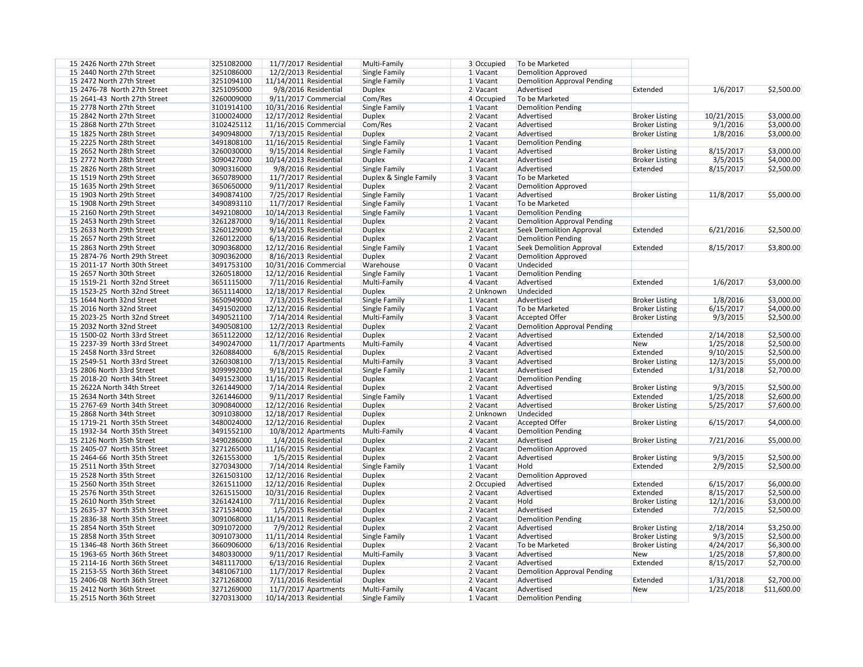| 15 2426 North 27th Street                                    | 3251082000 | 11/7/2017 Residential    |                      | Multi-Family           | 3 Occupied | To be Marketed                     |                       |            |             |
|--------------------------------------------------------------|------------|--------------------------|----------------------|------------------------|------------|------------------------------------|-----------------------|------------|-------------|
| 15 2440 North 27th Street                                    | 3251086000 | 12/2/2013 Residential    |                      | Single Family          | 1 Vacant   | <b>Demolition Approved</b>         |                       |            |             |
| 15 2472 North 27th Street                                    | 3251094100 | $11/14/2011$ Residential |                      | Single Family          | 1 Vacant   | <b>Demolition Approval Pending</b> |                       |            |             |
| 15 2476-78 North 27th Street                                 | 3251095000 |                          | 9/8/2016 Residential | <b>Duplex</b>          | 2 Vacant   | Advertised                         | Extended              | 1/6/2017   | \$2,500.00  |
| 15 2641-43 North 27th Street                                 | 3260009000 |                          | 9/11/2017 Commercial | Com/Res                | 4 Occupied | To be Marketed                     |                       |            |             |
| 15 2778 North 27th Street                                    | 3101914100 | 10/31/2016 Residential   |                      | Single Family          | $1$ Vacant | <b>Demolition Pending</b>          |                       |            |             |
| 15 2842 North 27th Street                                    | 3100024000 | 12/17/2012 Residential   |                      | <b>Duplex</b>          | 2 Vacant   | Advertised                         | <b>Broker Listing</b> | 10/21/2015 | \$3,000.00  |
| 15 2868 North 27th Street                                    | 3102425112 | 11/16/2015 Commercial    |                      | Com/Res                | 2 Vacant   | Advertised                         | <b>Broker Listing</b> | 9/1/2016   | \$3,000.00  |
| 15 1825 North 28th Street                                    | 3490948000 | 7/13/2015 Residential    |                      | <b>Duplex</b>          | 2 Vacant   | Advertised                         | <b>Broker Listing</b> | 1/8/2016   | \$3,000.00  |
| 15 2225 North 28th Street                                    | 3491808100 | 11/16/2015 Residential   |                      | Single Family          | $1$ Vacant | <b>Demolition Pending</b>          |                       |            |             |
| 15 2652 North 28th Street                                    | 3260030000 | 9/15/2014 Residential    |                      | Single Family          | 1 Vacant   | Advertised                         | <b>Broker Listing</b> | 8/15/2017  | \$3,000.00  |
| 15 2772 North 28th Street                                    | 3090427000 | 10/14/2013 Residential   |                      | <b>Duplex</b>          | 2 Vacant   | Advertised                         | <b>Broker Listing</b> | 3/5/2015   | \$4,000.00  |
| 15 2826 North 28th Street                                    | 3090316000 |                          | 9/8/2016 Residential | Single Family          | $1$ Vacant | Advertised                         | Extended              | 8/15/2017  | \$2,500.00  |
| 15 1519 North 29th Street                                    | 3650789000 | 11/7/2017 Residential    |                      | Duplex & Single Family | 3 Vacant   | To be Marketed                     |                       |            |             |
| 15 1635 North 29th Street                                    | 3650650000 | 9/11/2017 Residential    |                      | <b>Duplex</b>          | 2 Vacant   | <b>Demolition Approved</b>         |                       |            |             |
| 15 1903 North 29th Street                                    | 3490874100 | 7/25/2017 Residential    |                      | Single Family          | $1$ Vacant | Advertised                         | <b>Broker Listing</b> | 11/8/2017  | \$5,000.00  |
| 15 1908 North 29th Street                                    | 3490893110 | 11/7/2017 Residential    |                      | Single Family          | 1 Vacant   | To be Marketed                     |                       |            |             |
| 15 2160 North 29th Street                                    | 3492108000 | 10/14/2013 Residential   |                      | Single Family          | 1 Vacant   | <b>Demolition Pending</b>          |                       |            |             |
| 15 2453 North 29th Street                                    | 3261287000 | 9/16/2011 Residential    |                      | <b>Duplex</b>          | 2 Vacant   | <b>Demolition Approval Pending</b> |                       |            |             |
| 15 2633 North 29th Street                                    | 3260129000 | 9/14/2015 Residential    |                      | <b>Duplex</b>          | 2 Vacant   | <b>Seek Demolition Approval</b>    | Extended              | 6/21/2016  | \$2,500.00  |
| 15 2657 North 29th Street                                    | 3260122000 | 6/13/2016 Residential    |                      | <b>Duplex</b>          | $2$ Vacant | <b>Demolition Pending</b>          |                       |            |             |
| 15 2863 North 29th Street                                    | 3090368000 | 12/12/2016 Residential   |                      | Single Family          | 1 Vacant   | <b>Seek Demolition Approval</b>    | Extended              | 8/15/2017  | \$3,800.00  |
|                                                              |            |                          |                      |                        |            |                                    |                       |            |             |
| 15 2874-76 North 29th Street<br>15 2011-17 North 30th Street | 3090362000 | 8/16/2013 Residential    |                      | <b>Duplex</b>          | $2$ Vacant | <b>Demolition Approved</b>         |                       |            |             |
|                                                              | 3491753100 | 10/31/2016 Commercial    |                      | Warehouse              | 0 Vacant   | Undecided                          |                       |            |             |
| 15 2657 North 30th Street                                    | 3260518000 | 12/12/2016 Residential   |                      | Single Family          | 1 Vacant   | <b>Demolition Pending</b>          |                       |            |             |
| 15 1519-21 North 32nd Street                                 | 3651115000 | 7/11/2016 Residential    |                      | Multi-Family           | $4$ Vacant | Advertised                         | Extended              | 1/6/2017   | \$3,000.00  |
| 15 1523-25 North 32nd Street                                 | 3651114000 | 12/18/2017 Residential   |                      | <b>Duplex</b>          | 2 Unknown  | Undecided                          |                       |            |             |
| 15 1644 North 32nd Street                                    | 3650949000 | 7/13/2015 Residential    |                      | Single Family          | 1 Vacant   | Advertised                         | <b>Broker Listing</b> | 1/8/2016   | \$3,000.00  |
| 15 2016 North 32nd Street                                    | 3491502000 | 12/12/2016 Residential   |                      | Single Family          | $1$ Vacant | To be Marketed                     | <b>Broker Listing</b> | 6/15/2017  | \$4,000.00  |
| 15 2023-25 North 32nd Street                                 | 3490521100 | 7/14/2014 Residential    |                      | Multi-Family           | 3 Vacant   | <b>Accepted Offer</b>              | <b>Broker Listing</b> | 9/3/2015   | \$2,500.00  |
| 15 2032 North 32nd Street                                    | 3490508100 | 12/2/2013 Residential    |                      | <b>Duplex</b>          | 2 Vacant   | <b>Demolition Approval Pending</b> |                       |            |             |
| 15 1500-02 North 33rd Street                                 | 3651122000 | 12/12/2016 Residential   |                      | <b>Duplex</b>          | 2 Vacant   | Advertised                         | Extended              | 2/14/2018  | \$2,500.00  |
| 15 2237-39 North 33rd Street                                 | 3490247000 |                          | 11/7/2017 Apartments | Multi-Family           | 4 Vacant   | Advertised                         | New                   | 1/25/2018  | \$2,500.00  |
| 15 2458 North 33rd Street                                    | 3260884000 |                          | 6/8/2015 Residential | <b>Duplex</b>          | 2 Vacant   | Advertised                         | Extended              | 9/10/2015  | \$2,500.00  |
| 15 2549-51 North 33rd Street                                 | 3260308100 | 7/13/2015 Residential    |                      | Multi-Family           | 3 Vacant   | Advertised                         | <b>Broker Listing</b> | 12/3/2015  | \$5,000.00  |
| 15 2806 North 33rd Street                                    | 3099992000 | 9/11/2017 Residential    |                      | Single Family          | $1$ Vacant | Advertised                         | Extended              | 1/31/2018  | \$2,700.00  |
| 15 2018-20 North 34th Street                                 | 3491523000 | 11/16/2015 Residential   |                      | <b>Duplex</b>          | $2$ Vacant | <b>Demolition Pending</b>          |                       |            |             |
| 15 2622A North 34th Street                                   | 3261449000 | 7/14/2014 Residential    |                      | <b>Duplex</b>          | $2$ Vacant | Advertised                         | <b>Broker Listing</b> | 9/3/2015   | \$2,500.00  |
| 15 2634 North 34th Street                                    | 3261446000 | 9/11/2017 Residential    |                      | Single Family          | 1 Vacant   | Advertised                         | Extended              | 1/25/2018  | \$2,600.00  |
| 15 2767-69 North 34th Street                                 | 3090840000 | 12/12/2016 Residential   |                      | <b>Duplex</b>          | 2 Vacant   | Advertised                         | <b>Broker Listing</b> | 5/25/2017  | \$7,600.00  |
| 15 2868 North 34th Street                                    | 3091038000 | 12/18/2017 Residential   |                      | <b>Duplex</b>          | 2 Unknown  | Undecided                          |                       |            |             |
| 15 1719-21 North 35th Street                                 | 3480024000 | 12/12/2016 Residential   |                      | <b>Duplex</b>          | 2 Vacant   | <b>Accepted Offer</b>              | <b>Broker Listing</b> | 6/15/2017  | \$4,000.00  |
| 15 1932-34 North 35th Street                                 | 3491552100 |                          | 10/8/2012 Apartments | Multi-Family           | 4 Vacant   | <b>Demolition Pending</b>          |                       |            |             |
| 15 2126 North 35th Street                                    | 3490286000 |                          | 1/4/2016 Residential | <b>Duplex</b>          | 2 Vacant   | Advertised                         | <b>Broker Listing</b> | 7/21/2016  | \$5,000.00  |
| 15 2405-07 North 35th Street                                 | 3271265000 | 11/16/2015 Residential   |                      | <b>Duplex</b>          | 2 Vacant   | <b>Demolition Approved</b>         |                       |            |             |
| 15 2464-66 North 35th Street                                 | 3261553000 |                          | 1/5/2015 Residential | <b>Duplex</b>          | 2 Vacant   | Advertised                         | <b>Broker Listing</b> | 9/3/2015   | \$2,500.00  |
| 15 2511 North 35th Street                                    | 3270343000 | 7/14/2014 Residential    |                      | Single Family          | $1$ Vacant | Hold                               | Extended              | 2/9/2015   | \$2,500.00  |
| 15 2528 North 35th Street                                    | 3261503100 | 12/12/2016 Residential   |                      | <b>Duplex</b>          | 2 Vacant   | <b>Demolition Approved</b>         |                       |            |             |
| 15 2560 North 35th Street                                    | 3261511000 | 12/12/2016 Residential   |                      | <b>Duplex</b>          | 2 Occupied | Advertised                         | Extended              | 6/15/2017  | \$6,000.00  |
| 15 2576 North 35th Street                                    | 3261515000 | 10/31/2016 Residential   |                      | <b>Duplex</b>          | 2 Vacant   | Advertised                         | Extended              | 8/15/2017  | \$2,500.00  |
| 15 2610 North 35th Street                                    | 3261424100 | 7/11/2016 Residential    |                      | <b>Duplex</b>          | 2 Vacant   | Hold                               | <b>Broker Listing</b> | 12/1/2016  | \$3,000.00  |
| 15 2635-37 North 35th Street                                 | 3271534000 |                          | 1/5/2015 Residential | <b>Duplex</b>          | 2 Vacant   | Advertised                         | Extended              | 7/2/2015   | \$2,500.00  |
| 15 2836-38 North 35th Street                                 | 3091068000 | 11/14/2011 Residential   |                      | <b>Duplex</b>          | 2 Vacant   | <b>Demolition Pending</b>          |                       |            |             |
| 15 2854 North 35th Street                                    | 3091072000 |                          | 7/9/2012 Residential | <b>Duplex</b>          | 2 Vacant   | Advertised                         | <b>Broker Listing</b> | 2/18/2014  | \$3,250.00  |
| 15 2858 North 35th Street                                    | 3091073000 | 11/11/2014 Residential   |                      | Single Family          | 1 Vacant   | Advertised                         | <b>Broker Listing</b> | 9/3/2015   | \$2,500.00  |
| 15 1346-48 North 36th Street                                 | 3660906000 |                          |                      | <b>Duplex</b>          | 2 Vacant   | To be Marketed                     |                       | 4/24/2017  | \$6,300.00  |
|                                                              |            | 6/13/2016 Residential    |                      |                        |            |                                    | <b>Broker Listing</b> |            |             |
| 15 1963-65 North 36th Street                                 | 3480330000 | $9/11/2017$ Residential  |                      | Multi-Family           | 3 Vacant   | Advertised                         | <b>New</b>            | 1/25/2018  | \$7,800.00  |
| 15 2114-16 North 36th Street                                 | 3481117000 | 6/13/2016 Residential    |                      | <b>Duplex</b>          | 2 Vacant   | Advertised                         | Extended              | 8/15/2017  | \$2,700.00  |
| 15 2153-55 North 36th Street                                 | 3481067100 | 11/7/2017 Residential    |                      | <b>Duplex</b>          | 2 Vacant   | <b>Demolition Approval Pending</b> |                       |            |             |
| 15 2406-08 North 36th Street                                 | 3271268000 | 7/11/2016 Residential    |                      | <b>Duplex</b>          | 2 Vacant   | Advertised                         | Extended              | 1/31/2018  | \$2,700.00  |
| 15 2412 North 36th Street                                    | 3271269000 |                          | 11/7/2017 Apartments | Multi-Family           | 4 Vacant   | Advertised                         | New                   | 1/25/2018  | \$11,600.00 |
| 15 2515 North 36th Street                                    | 3270313000 | 10/14/2013 Residential   |                      | Single Family          | $1$ Vacant | <b>Demolition Pending</b>          |                       |            |             |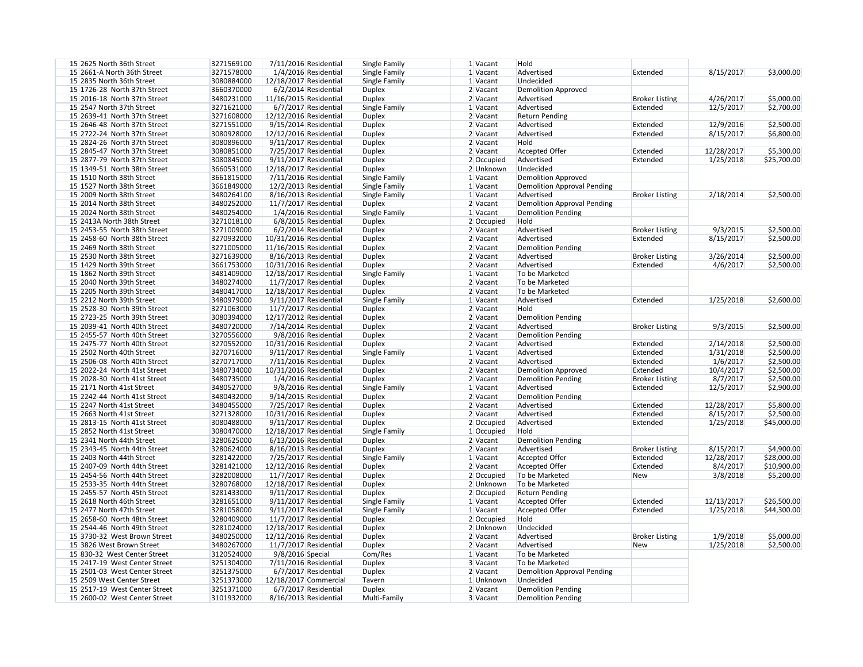| 15 2625 North 36th Street     | 3271569100 |                        | 7/11/2016 Residential   | Single Family | 1 Vacant             | Hold                               |                       |            |             |
|-------------------------------|------------|------------------------|-------------------------|---------------|----------------------|------------------------------------|-----------------------|------------|-------------|
| 15 2661-A North 36th Street   | 3271578000 |                        | 1/4/2016 Residential    | Single Family | 1 Vacant             | Advertised                         | Extended              | 8/15/2017  | \$3,000.00  |
| 15 2835 North 36th Street     | 3080884000 | 12/18/2017 Residential |                         | Single Family | 1 Vacant             | Undecided                          |                       |            |             |
| 15 1726-28 North 37th Street  | 3660370000 |                        | 6/2/2014 Residential    | <b>Duplex</b> | 2 Vacant             | <b>Demolition Approved</b>         |                       |            |             |
| 15 2016-18 North 37th Street  | 3480231000 | 11/16/2015 Residential |                         | <b>Duplex</b> | 2 Vacant             | Advertised                         | <b>Broker Listing</b> | 4/26/2017  | \$5,000.00  |
| 15 2547 North 37th Street     | 3271621000 |                        | 6/7/2017 Residential    | Single Family | 1 Vacant             | Advertised                         | Extended              | 12/5/2017  | \$2,700.00  |
| 15 2639-41 North 37th Street  | 3271608000 | 12/12/2016 Residential |                         | <b>Duplex</b> | 2 Vacant             | <b>Return Pending</b>              |                       |            |             |
| 15 2646-48 North 37th Street  | 3271551000 |                        | 9/15/2014 Residential   | <b>Duplex</b> | 2 Vacant             | Advertised                         | Extended              | 12/9/2016  | \$2,500.00  |
| 15 2722-24 North 37th Street  | 3080928000 | 12/12/2016 Residential |                         | <b>Duplex</b> | 2 Vacant             | Advertised                         | Extended              | 8/15/2017  | \$6,800.00  |
| 15 2824-26 North 37th Street  | 3080896000 |                        | 9/11/2017 Residential   | <b>Duplex</b> | 2 Vacant             | Hold                               |                       |            |             |
| 15 2845-47 North 37th Street  | 3080851000 |                        | 7/25/2017 Residential   | <b>Duplex</b> | 2 Vacant             | <b>Accepted Offer</b>              | Extended              | 12/28/2017 | \$5,300.00  |
| 15 2877-79 North 37th Street  | 3080845000 |                        | 9/11/2017 Residential   | <b>Duplex</b> | 2 Occupied           | Advertised                         | Extended              | 1/25/2018  | \$25,700.00 |
| 15 1349-51 North 38th Street  | 3660531000 |                        |                         |               | 2 Unknown            | Undecided                          |                       |            |             |
|                               |            | 12/18/2017 Residential |                         | <b>Duplex</b> |                      |                                    |                       |            |             |
| 15 1510 North 38th Street     | 3661815000 |                        | 7/11/2016 Residential   | Single Family | 1 Vacant             | <b>Demolition Approved</b>         |                       |            |             |
| 15 1527 North 38th Street     | 3661849000 |                        | 12/2/2013 Residential   | Single Family | 1 Vacant             | <b>Demolition Approval Pending</b> |                       |            |             |
| 15 2009 North 38th Street     | 3480264100 |                        | 8/16/2013 Residential   | Single Family | 1 Vacant             | Advertised                         | <b>Broker Listing</b> | 2/18/2014  | \$2,500.00  |
| 15 2014 North 38th Street     | 3480252000 |                        | $11/7/2017$ Residential | <b>Duplex</b> | 2 Vacant             | <b>Demolition Approval Pending</b> |                       |            |             |
| 15 2024 North 38th Street     | 3480254000 |                        | 1/4/2016 Residential    | Single Family | 1 Vacant             | <b>Demolition Pending</b>          |                       |            |             |
| 15 2413A North 38th Street    | 3271018100 |                        | 6/8/2015 Residential    | <b>Duplex</b> | 2 Occupied           | Hold                               |                       |            |             |
| 15 2453-55 North 38th Street  | 3271009000 |                        | 6/2/2014 Residential    | <b>Duplex</b> | 2 Vacant             | Advertised                         | <b>Broker Listing</b> | 9/3/2015   | \$2,500.00  |
| 15 2458-60 North 38th Street  | 3270932000 | 10/31/2016 Residential |                         | <b>Duplex</b> | $2$ Vacant           | Advertised                         | Extended              | 8/15/2017  | \$2,500.00  |
| 15 2469 North 38th Street     | 3271005000 | 11/16/2015 Residential |                         | <b>Duplex</b> | 2 Vacant             | <b>Demolition Pending</b>          |                       |            |             |
| 15 2530 North 38th Street     | 3271639000 |                        | 8/16/2013 Residential   | <b>Duplex</b> | 2 Vacant             | Advertised                         | <b>Broker Listing</b> | 3/26/2014  | \$2,500.00  |
| 15 1429 North 39th Street     | 3661753000 | 10/31/2016 Residential |                         | <b>Duplex</b> | 2 Vacant             | Advertised                         | Extended              | 4/6/2017   | \$2,500.00  |
| 15 1862 North 39th Street     | 3481409000 | 12/18/2017 Residential |                         | Single Family | 1 Vacant             | To be Marketed                     |                       |            |             |
| 15 2040 North 39th Street     | 3480274000 |                        | 11/7/2017 Residential   | <b>Duplex</b> | 2 Vacant             | To be Marketed                     |                       |            |             |
| 15 2205 North 39th Street     | 3480417000 | 12/18/2017 Residential |                         | <b>Duplex</b> | 2 Vacant             | To be Marketed                     |                       |            |             |
| 15 2212 North 39th Street     | 3480979000 |                        | $9/11/2017$ Residential | Single Family | 1 Vacant             | Advertised                         | Extended              | 1/25/2018  | \$2,600.00  |
| 15 2528-30 North 39th Street  | 3271063000 |                        | 11/7/2017 Residential   | <b>Duplex</b> | 2 Vacant             | Hold                               |                       |            |             |
| 15 2723-25 North 39th Street  | 3080394000 | 12/17/2012 Residential |                         | <b>Duplex</b> | 2 Vacant             | <b>Demolition Pending</b>          |                       |            |             |
| 15 2039-41 North 40th Street  | 3480720000 |                        | $7/14/2014$ Residential | <b>Duplex</b> | 2 Vacant             | Advertised                         | <b>Broker Listing</b> | 9/3/2015   | \$2,500.00  |
| 15 2455-57 North 40th Street  | 3270556000 |                        | 9/8/2016 Residential    | <b>Duplex</b> | 2 Vacant             | <b>Demolition Pending</b>          |                       |            |             |
| 15 2475-77 North 40th Street  | 3270552000 | 10/31/2016 Residential |                         | <b>Duplex</b> | 2 Vacant             | Advertised                         | Extended              | 2/14/2018  | \$2,500.00  |
| 15 2502 North 40th Street     | 3270716000 |                        | 9/11/2017 Residential   | Single Family | 1 Vacant             | Advertised                         | Extended              | 1/31/2018  | \$2,500.00  |
| 15 2506-08 North 40th Street  | 3270717000 |                        | 7/11/2016 Residential   | <b>Duplex</b> | 2 Vacant             | Advertised                         | Extended              | 1/6/2017   | \$2,500.00  |
| 15 2022-24 North 41st Street  | 3480734000 | 10/31/2016 Residential |                         | <b>Duplex</b> | 2 Vacant             | <b>Demolition Approved</b>         | Extended              | 10/4/2017  | \$2,500.00  |
| 15 2028-30 North 41st Street  | 3480735000 |                        | 1/4/2016 Residential    | <b>Duplex</b> | 2 Vacant             | <b>Demolition Pending</b>          | <b>Broker Listing</b> | 8/7/2017   | \$2,500.00  |
| 15 2171 North 41st Street     | 3480527000 |                        | 9/8/2016 Residential    | Single Family |                      | Advertised                         | Extended              | 12/5/2017  | \$2,900.00  |
| 15 2242-44 North 41st Street  | 3480432000 |                        | 9/14/2015 Residential   | <b>Duplex</b> | 1 Vacant<br>2 Vacant | <b>Demolition Pending</b>          |                       |            |             |
| 15 2247 North 41st Street     |            |                        |                         |               |                      |                                    |                       |            |             |
|                               | 3480455000 |                        | 7/25/2017 Residential   | <b>Duplex</b> | 2 Vacant             | Advertised                         | Extended              | 12/28/2017 | \$5,800.00  |
| 15 2663 North 41st Street     | 3271328000 | 10/31/2016 Residential |                         | <b>Duplex</b> | 2 Vacant             | Advertised                         | Extended              | 8/15/2017  | \$2,500.00  |
| 15 2813-15 North 41st Street  | 3080488000 |                        | 9/11/2017 Residential   | <b>Duplex</b> | 2 Occupied           | Advertised                         | Extended              | 1/25/2018  | \$45,000.00 |
| 15 2852 North 41st Street     | 3080470000 | 12/18/2017 Residential |                         | Single Family | $1$ Occupied         | Hold                               |                       |            |             |
| 15 2341 North 44th Street     | 3280625000 |                        | 6/13/2016 Residential   | <b>Duplex</b> | 2 Vacant             | <b>Demolition Pending</b>          |                       |            |             |
| 15 2343-45 North 44th Street  | 3280624000 |                        | 8/16/2013 Residential   | <b>Duplex</b> | 2 Vacant             | Advertised                         | <b>Broker Listing</b> | 8/15/2017  | \$4,900.00  |
| 15 2403 North 44th Street     | 3281422000 |                        | 7/25/2017 Residential   | Single Family | 1 Vacant             | Accepted Offer                     | Extended              | 12/28/2017 | \$28,000.00 |
| 15 2407-09 North 44th Street  | 3281421000 | 12/12/2016 Residential |                         | <b>Duplex</b> | 2 Vacant             | Accepted Offer                     | Extended              | 8/4/2017   | \$10,900.00 |
| 15 2454-56 North 44th Street  | 3282008000 |                        | 11/7/2017 Residential   | <b>Duplex</b> | 2 Occupied           | To be Marketed                     | New                   | 3/8/2018   | \$5,200.00  |
| 15 2533-35 North 44th Street  | 3280768000 | 12/18/2017 Residential |                         | <b>Duplex</b> | 2 Unknown            | To be Marketed                     |                       |            |             |
| 15 2455-57 North 45th Street  | 3281433000 |                        | 9/11/2017 Residential   | <b>Duplex</b> | 2 Occupied           | <b>Return Pending</b>              |                       |            |             |
| 15 2618 North 46th Street     | 3281651000 |                        | $9/11/2017$ Residential | Single Family | 1 Vacant             | <b>Accepted Offer</b>              | Extended              | 12/13/2017 | \$26,500.00 |
| 15 2477 North 47th Street     | 3281058000 |                        | 9/11/2017 Residential   | Single Family | 1 Vacant             | <b>Accepted Offer</b>              | Extended              | 1/25/2018  | \$44,300.00 |
| 15 2658-60 North 48th Street  | 3280409000 |                        | 11/7/2017 Residential   | <b>Duplex</b> | 2 Occupied           | Hold                               |                       |            |             |
| 15 2544-46 North 49th Street  | 3281024000 | 12/18/2017 Residential |                         | <b>Duplex</b> | 2 Unknown            | Undecided                          |                       |            |             |
| 15 3730-32 West Brown Street  | 3480250000 | 12/12/2016 Residential |                         | <b>Duplex</b> | 2 Vacant             | Advertised                         | <b>Broker Listing</b> | 1/9/2018   | \$5,000.00  |
| 15 3826 West Brown Street     | 3480267000 |                        | 11/7/2017 Residential   | <b>Duplex</b> | 2 Vacant             | Advertised                         | <b>New</b>            | 1/25/2018  | \$2,500.00  |
| 15 830-32 West Center Street  | 3120524000 | 9/8/2016 Special       |                         | Com/Res       | 1 Vacant             | To be Marketed                     |                       |            |             |
| 15 2417-19 West Center Street | 3251304000 |                        | 7/11/2016 Residential   | <b>Duplex</b> | 3 Vacant             | To be Marketed                     |                       |            |             |
| 15 2501-03 West Center Street | 3251375000 |                        | 6/7/2017 Residential    | <b>Duplex</b> | 2 Vacant             | <b>Demolition Approval Pending</b> |                       |            |             |
| 15 2509 West Center Street    | 3251373000 | 12/18/2017 Commercial  |                         | Tavern        | 1 Unknown            | Undecided                          |                       |            |             |
| 15 2517-19 West Center Street | 3251371000 |                        | 6/7/2017 Residential    | <b>Duplex</b> | 2 Vacant             | <b>Demolition Pending</b>          |                       |            |             |
| 15 2600-02 West Center Street | 3101932000 |                        | 8/16/2013 Residential   | Multi-Family  | 3 Vacant             | <b>Demolition Pending</b>          |                       |            |             |
|                               |            |                        |                         |               |                      |                                    |                       |            |             |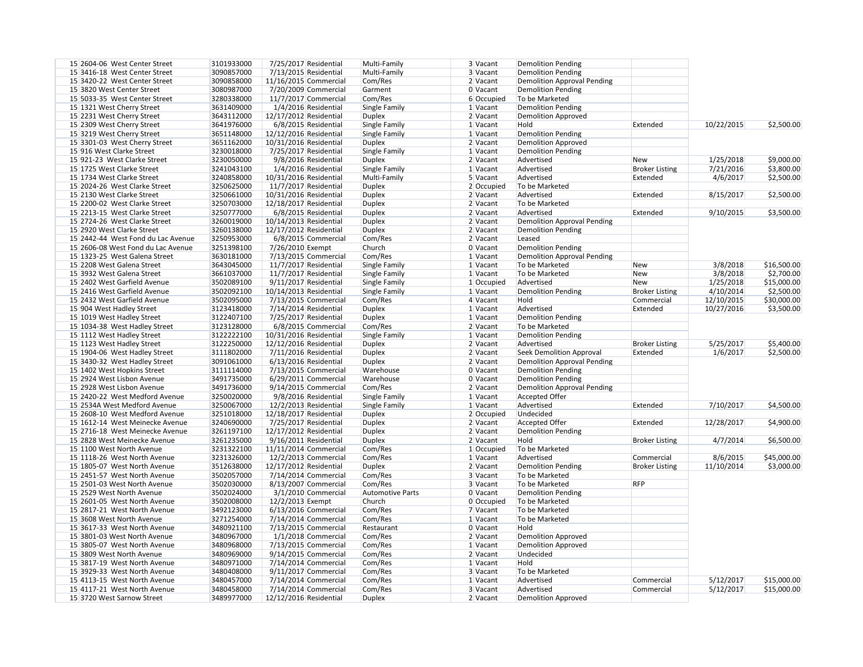| 15 2604-06 West Center Street      | 3101933000 | 7/25/2017 Residential  | Multi-Family            | 3 Vacant     | <b>Demolition Pending</b>          |                       |            |             |
|------------------------------------|------------|------------------------|-------------------------|--------------|------------------------------------|-----------------------|------------|-------------|
| 15 3416-18 West Center Street      | 3090857000 | 7/13/2015 Residential  | Multi-Family            | 3 Vacant     | <b>Demolition Pending</b>          |                       |            |             |
| 15 3420-22 West Center Street      | 3090858000 | 11/16/2015 Commercial  | Com/Res                 | 2 Vacant     | <b>Demolition Approval Pending</b> |                       |            |             |
| 15 3820 West Center Street         | 3080987000 | 7/20/2009 Commercial   | Garment                 | 0 Vacant     | <b>Demolition Pending</b>          |                       |            |             |
| 15 5033-35 West Center Street      | 3280338000 | 11/7/2017 Commercial   | Com/Res                 | 6 Occupied   | To be Marketed                     |                       |            |             |
| 15 1321 West Cherry Street         | 3631409000 | 1/4/2016 Residential   | Single Family           | $1$ Vacant   | <b>Demolition Pending</b>          |                       |            |             |
| 15 2231 West Cherry Street         | 3643112000 | 12/17/2012 Residential | <b>Duplex</b>           | 2 Vacant     | <b>Demolition Approved</b>         |                       |            |             |
| 15 2309 West Cherry Street         | 3641976000 | 6/8/2015 Residential   | Single Family           | 1 Vacant     | Hold                               | Extended              | 10/22/2015 | \$2,500.00  |
| 15 3219 West Cherry Street         | 3651148000 | 12/12/2016 Residential | Single Family           | 1 Vacant     | <b>Demolition Pending</b>          |                       |            |             |
| 15 3301-03 West Cherry Street      | 3651162000 | 10/31/2016 Residential | <b>Duplex</b>           | 2 Vacant     | <b>Demolition Approved</b>         |                       |            |             |
| 15 916 West Clarke Street          | 3230018000 | 7/25/2017 Residential  | Single Family           | 1 Vacant     | <b>Demolition Pending</b>          |                       |            |             |
| 15 921-23 West Clarke Street       | 3230050000 | 9/8/2016 Residential   | <b>Duplex</b>           | 2 Vacant     | Advertised                         | <b>New</b>            | 1/25/2018  | \$9,000.00  |
| 15 1725 West Clarke Street         | 3241043100 | 1/4/2016 Residential   | Single Family           | 1 Vacant     | Advertised                         | <b>Broker Listing</b> | 7/21/2016  | \$3,800.00  |
| 15 1734 West Clarke Street         | 3240858000 | 10/31/2016 Residential | Multi-Family            | 5 Vacant     | Advertised                         | Extended              | 4/6/2017   | \$2,500.00  |
| 15 2024-26 West Clarke Street      | 3250625000 | 11/7/2017 Residential  | <b>Duplex</b>           | 2 Occupied   | To be Marketed                     |                       |            |             |
| 15 2130 West Clarke Street         | 3250661000 | 10/31/2016 Residential | <b>Duplex</b>           | 2 Vacant     | Advertised                         | Extended              | 8/15/2017  | \$2,500.00  |
| 15 2200-02 West Clarke Street      | 3250703000 |                        |                         | 2 Vacant     | To be Marketed                     |                       |            |             |
| 15 2213-15 West Clarke Street      |            | 12/18/2017 Residential | Duplex                  |              | Advertised                         |                       |            |             |
|                                    | 3250777000 | 6/8/2015 Residential   | <b>Duplex</b>           | 2 Vacant     |                                    | Extended              | 9/10/2015  | \$3,500.00  |
| 15 2724-26 West Clarke Street      | 3260019000 | 10/14/2013 Residential | <b>Duplex</b>           | 2 Vacant     | <b>Demolition Approval Pending</b> |                       |            |             |
| 15 2920 West Clarke Street         | 3260138000 | 12/17/2012 Residential | <b>Duplex</b>           | 2 Vacant     | <b>Demolition Pending</b>          |                       |            |             |
| 15 2442-44 West Fond du Lac Avenue | 3250953000 | 6/8/2015 Commercial    | Com/Res                 | 2 Vacant     | Leased                             |                       |            |             |
| 15 2606-08 West Fond du Lac Avenue | 3251398100 | 7/26/2010 Exempt       | Church                  | 0 Vacant     | <b>Demolition Pending</b>          |                       |            |             |
| 15 1323-25 West Galena Street      | 3630181000 | 7/13/2015 Commercial   | Com/Res                 | $1$ Vacant   | <b>Demolition Approval Pending</b> |                       |            |             |
| 15 2208 West Galena Street         | 3643045000 | 11/7/2017 Residential  | Single Family           | $1$ Vacant   | To be Marketed                     | New                   | 3/8/2018   | \$16,500.00 |
| 15 3932 West Galena Street         | 3661037000 | 11/7/2017 Residential  | Single Family           | $1$ Vacant   | To be Marketed                     | New                   | 3/8/2018   | \$2,700.00  |
| 15 2402 West Garfield Avenue       | 3502089100 | 9/11/2017 Residential  | Single Family           | $1$ Occupied | Advertised                         | New                   | 1/25/2018  | \$15,000.00 |
| 15 2416 West Garfield Avenue       | 3502092100 | 10/14/2013 Residential | Single Family           | 1 Vacant     | <b>Demolition Pending</b>          | <b>Broker Listing</b> | 4/10/2014  | \$2,500.00  |
| 15 2432 West Garfield Avenue       | 3502095000 | 7/13/2015 Commercial   | Com/Res                 | 4 Vacant     | Hold                               | Commercial            | 12/10/2015 | \$30,000.00 |
| 15 904 West Hadley Street          | 3123418000 | 7/14/2014 Residential  | <b>Duplex</b>           | 1 Vacant     | Advertised                         | Extended              | 10/27/2016 | \$3,500.00  |
| 15 1019 West Hadley Street         | 3122407100 | 7/25/2017 Residential  | <b>Duplex</b>           | 1 Vacant     | <b>Demolition Pending</b>          |                       |            |             |
| 15 1034-38 West Hadley Street      | 3123128000 | 6/8/2015 Commercial    | Com/Res                 | 2 Vacant     | To be Marketed                     |                       |            |             |
| 15 1112 West Hadley Street         | 3122222100 | 10/31/2016 Residential | Single Family           | 1 Vacant     | <b>Demolition Pending</b>          |                       |            |             |
| 15 1123 West Hadley Street         | 3122250000 | 12/12/2016 Residential | <b>Duplex</b>           | 2 Vacant     | Advertised                         | <b>Broker Listing</b> | 5/25/2017  | \$5,400.00  |
| 15 1904-06 West Hadley Street      | 3111802000 | 7/11/2016 Residential  | <b>Duplex</b>           | 2 Vacant     | Seek Demolition Approval           | Extended              | 1/6/2017   | \$2,500.00  |
| 15 3430-32 West Hadley Street      | 3091061000 | 6/13/2016 Residential  | <b>Duplex</b>           | 2 Vacant     | <b>Demolition Approval Pending</b> |                       |            |             |
| 15 1402 West Hopkins Street        | 3111114000 | 7/13/2015 Commercial   | Warehouse               | 0 Vacant     | <b>Demolition Pending</b>          |                       |            |             |
| 15 2924 West Lisbon Avenue         | 3491735000 | 6/29/2011 Commercial   | Warehouse               | 0 Vacant     | <b>Demolition Pending</b>          |                       |            |             |
| 15 2928 West Lisbon Avenue         | 3491736000 | $9/14/2015$ Commercial | Com/Res                 | $2$ Vacant   | <b>Demolition Approval Pending</b> |                       |            |             |
| 15 2420-22 West Medford Avenue     | 3250020000 | 9/8/2016 Residential   | Single Family           | $1$ Vacant   | <b>Accepted Offer</b>              |                       |            |             |
| 15 2534A West Medford Avenue       | 3250067000 | 12/2/2013 Residential  | Single Family           | 1 Vacant     | Advertised                         | Extended              | 7/10/2017  | \$4,500.00  |
| 15 2608-10 West Medford Avenue     | 3251018000 | 12/18/2017 Residential | <b>Duplex</b>           | 2 Occupied   | Undecided                          |                       |            |             |
| 15 1612-14 West Meinecke Avenue    | 3240690000 | 7/25/2017 Residential  | <b>Duplex</b>           | 2 Vacant     | <b>Accepted Offer</b>              | Extended              | 12/28/2017 | \$4,900.00  |
| 15 2716-18 West Meinecke Avenue    | 3261197100 | 12/17/2012 Residential | <b>Duplex</b>           | 2 Vacant     | <b>Demolition Pending</b>          |                       |            |             |
| 15 2828 West Meinecke Avenue       | 3261235000 | 9/16/2011 Residential  | <b>Duplex</b>           | 2 Vacant     | Hold                               | <b>Broker Listing</b> | 4/7/2014   | \$6,500.00  |
| 15 1100 West North Avenue          | 3231322100 | 11/11/2014 Commercial  | Com/Res                 | $1$ Occupied | To be Marketed                     |                       |            |             |
| 15 1118-26 West North Avenue       | 3231326000 | 12/2/2013 Commercial   | Com/Res                 | 1 Vacant     | Advertised                         | Commercial            | 8/6/2015   | \$45,000.00 |
| 15 1805-07 West North Avenue       | 3512638000 | 12/17/2012 Residential | <b>Duplex</b>           | 2 Vacant     | <b>Demolition Pending</b>          | <b>Broker Listing</b> | 11/10/2014 | \$3,000.00  |
| 15 2451-57 West North Avenue       | 3502057000 | $7/14/2014$ Commercial | Com/Res                 | 3 Vacant     | To be Marketed                     |                       |            |             |
| 15 2501-03 West North Avenue       | 3502030000 | 8/13/2007 Commercial   | Com/Res                 | 3 Vacant     | To be Marketed                     | <b>RFP</b>            |            |             |
| 15 2529 West North Avenue          | 3502024000 | 3/1/2010 Commercial    | <b>Automotive Parts</b> | 0 Vacant     | <b>Demolition Pending</b>          |                       |            |             |
| 15 2601-05 West North Avenue       | 3502008000 | 12/2/2013 Exempt       | Church                  |              | To be Marketed                     |                       |            |             |
| 15 2817-21 West North Avenue       | 3492123000 | $6/13/2016$ Commercial | Com/Res                 | 0 Occupied   | To be Marketed                     |                       |            |             |
|                                    |            |                        |                         | 7 Vacant     |                                    |                       |            |             |
| 15 3608 West North Avenue          | 3271254000 | $7/14/2014$ Commercial | Com/Res                 | 1 Vacant     | To be Marketed                     |                       |            |             |
| 15 3617-33 West North Avenue       | 3480921100 | 7/13/2015 Commercial   | Restaurant              | 0 Vacant     | Hold                               |                       |            |             |
| 15 3801-03 West North Avenue       | 3480967000 | 1/1/2018 Commercial    | Com/Res                 | 2 Vacant     | <b>Demolition Approved</b>         |                       |            |             |
| 15 3805-07 West North Avenue       | 3480968000 | 7/13/2015 Commercial   | Com/Res                 | $1$ Vacant   | <b>Demolition Approved</b>         |                       |            |             |
| 15 3809 West North Avenue          | 3480969000 | 9/14/2015 Commercial   | Com/Res                 | 2 Vacant     | Undecided                          |                       |            |             |
| 15 3817-19 West North Avenue       | 3480971000 | 7/14/2014 Commercial   | Com/Res                 | $1$ Vacant   | Hold                               |                       |            |             |
| 15 3929-33 West North Avenue       | 3480408000 | 9/11/2017 Commercial   | Com/Res                 | 3 Vacant     | To be Marketed                     |                       |            |             |
| 15 4113-15 West North Avenue       | 3480457000 | $7/14/2014$ Commercial | Com/Res                 | 1 Vacant     | Advertised                         | Commercial            | 5/12/2017  | \$15,000.00 |
| 15 4117-21 West North Avenue       | 3480458000 | $7/14/2014$ Commercial | Com/Res                 | 3 Vacant     | Advertised                         | Commercial            | 5/12/2017  | \$15,000.00 |
| 15 3720 West Sarnow Street         | 3489977000 | 12/12/2016 Residential | <b>Duplex</b>           | 2 Vacant     | <b>Demolition Approved</b>         |                       |            |             |